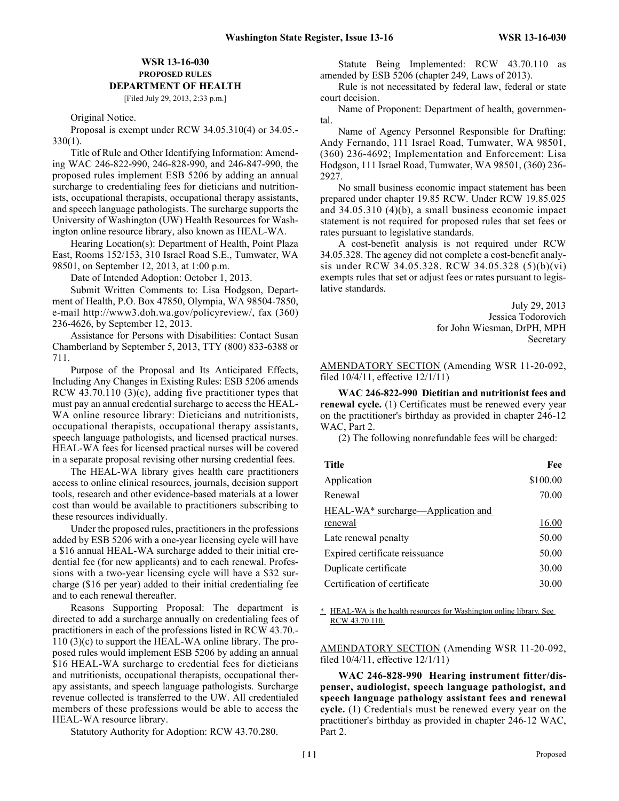# **WSR 13-16-030 PROPOSED RULES DEPARTMENT OF HEALTH**

[Filed July 29, 2013, 2:33 p.m.]

Original Notice.

Proposal is exempt under RCW 34.05.310(4) or 34.05.- 330(1).

Title of Rule and Other Identifying Information: Amending WAC 246-822-990, 246-828-990, and 246-847-990, the proposed rules implement ESB 5206 by adding an annual surcharge to credentialing fees for dieticians and nutritionists, occupational therapists, occupational therapy assistants, and speech language pathologists. The surcharge supports the University of Washington (UW) Health Resources for Washington online resource library, also known as HEAL-WA.

Hearing Location(s): Department of Health, Point Plaza East, Rooms 152/153, 310 Israel Road S.E., Tumwater, WA 98501, on September 12, 2013, at 1:00 p.m.

Date of Intended Adoption: October 1, 2013.

Submit Written Comments to: Lisa Hodgson, Department of Health, P.O. Box 47850, Olympia, WA 98504-7850, e-mail http://www3.doh.wa.gov/policyreview/, fax (360) 236-4626, by September 12, 2013.

Assistance for Persons with Disabilities: Contact Susan Chamberland by September 5, 2013, TTY (800) 833-6388 or 711.

Purpose of the Proposal and Its Anticipated Effects, Including Any Changes in Existing Rules: ESB 5206 amends RCW 43.70.110 (3)(c), adding five practitioner types that must pay an annual credential surcharge to access the HEAL-WA online resource library: Dieticians and nutritionists, occupational therapists, occupational therapy assistants, speech language pathologists, and licensed practical nurses. HEAL-WA fees for licensed practical nurses will be covered in a separate proposal revising other nursing credential fees.

The HEAL-WA library gives health care practitioners access to online clinical resources, journals, decision support tools, research and other evidence-based materials at a lower cost than would be available to practitioners subscribing to these resources individually.

Under the proposed rules, practitioners in the professions added by ESB 5206 with a one-year licensing cycle will have a \$16 annual HEAL-WA surcharge added to their initial credential fee (for new applicants) and to each renewal. Professions with a two-year licensing cycle will have a \$32 surcharge (\$16 per year) added to their initial credentialing fee and to each renewal thereafter.

Reasons Supporting Proposal: The department is directed to add a surcharge annually on credentialing fees of practitioners in each of the professions listed in RCW 43.70.- 110 (3)(c) to support the HEAL-WA online library. The proposed rules would implement ESB 5206 by adding an annual \$16 HEAL-WA surcharge to credential fees for dieticians and nutritionists, occupational therapists, occupational therapy assistants, and speech language pathologists. Surcharge revenue collected is transferred to the UW. All credentialed members of these professions would be able to access the HEAL-WA resource library.

Statutory Authority for Adoption: RCW 43.70.280.

Statute Being Implemented: RCW 43.70.110 as amended by ESB 5206 (chapter 249, Laws of 2013).

Rule is not necessitated by federal law, federal or state court decision.

Name of Proponent: Department of health, governmental.

Name of Agency Personnel Responsible for Drafting: Andy Fernando, 111 Israel Road, Tumwater, WA 98501, (360) 236-4692; Implementation and Enforcement: Lisa Hodgson, 111 Israel Road, Tumwater, WA 98501, (360) 236- 2927.

No small business economic impact statement has been prepared under chapter 19.85 RCW. Under RCW 19.85.025 and 34.05.310 (4)(b), a small business economic impact statement is not required for proposed rules that set fees or rates pursuant to legislative standards.

A cost-benefit analysis is not required under RCW 34.05.328. The agency did not complete a cost-benefit analysis under RCW 34.05.328. RCW 34.05.328 (5)(b)(vi) exempts rules that set or adjust fees or rates pursuant to legislative standards.

> July 29, 2013 Jessica Todorovich for John Wiesman, DrPH, MPH Secretary

AMENDATORY SECTION (Amending WSR 11-20-092, filed 10/4/11, effective 12/1/11)

**WAC 246-822-990 Dietitian and nutritionist fees and renewal cycle.** (1) Certificates must be renewed every year on the practitioner's birthday as provided in chapter 246-12 WAC, Part 2.

(2) The following nonrefundable fees will be charged:

| Title                                          | Fee      |
|------------------------------------------------|----------|
| Application                                    | \$100.00 |
| Renewal                                        | 70.00    |
| HEAL-WA <sup>*</sup> surcharge—Application and |          |
| renewal                                        | 16.00    |
| Late renewal penalty                           | 50.00    |
| Expired certificate reissuance                 | 50.00    |
| Duplicate certificate                          | 30.00    |
| Certification of certificate                   | 30.00    |
|                                                |          |

\* HEAL-WA is the health resources for Washington online library. See RCW 43.70.110.

AMENDATORY SECTION (Amending WSR 11-20-092, filed 10/4/11, effective 12/1/11)

**WAC 246-828-990 Hearing instrument fitter/dispenser, audiologist, speech language pathologist, and speech language pathology assistant fees and renewal cycle.** (1) Credentials must be renewed every year on the practitioner's birthday as provided in chapter 246-12 WAC, Part 2.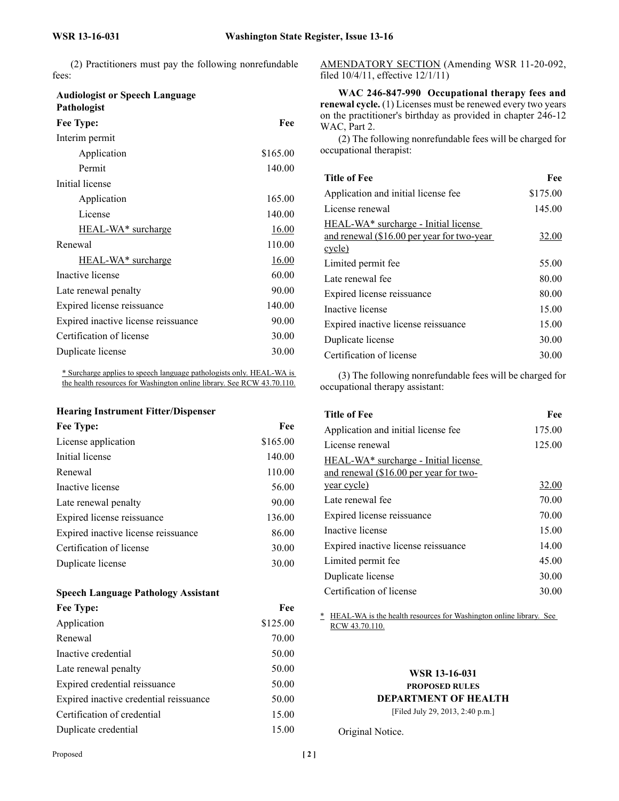(2) Practitioners must pay the following nonrefundable  $\epsilon$ 

| rees:                                                |              |
|------------------------------------------------------|--------------|
| <b>Audiologist or Speech Language</b><br>Pathologist |              |
| Fee Type:                                            | Fee          |
| Interim permit                                       |              |
| Application                                          | \$165.00     |
| Permit                                               | 140.00       |
| Initial license                                      |              |
| Application                                          | 165.00       |
| License                                              | 140.00       |
| <b>HEAL-WA*</b> surcharge                            | <u>16.00</u> |
| Renewal                                              | 110.00       |
| HEAL-WA <sup>*</sup> surcharge                       | <u>16.00</u> |
| Inactive license                                     | 60.00        |
| Late renewal penalty                                 | 90.00        |
| Expired license reissuance                           | 140.00       |
| Expired inactive license reissuance                  | 90.00        |
| Certification of license                             | 30.00        |
| Duplicate license                                    | 30.00        |
|                                                      |              |

\* Surcharge applies to speech language pathologists only. HEAL-WA is the health resources for Washington online library. See RCW 43.70.110.

# **Hearing Instrument Fitter/Dispenser**

| Fee Type:                           | Fee      |
|-------------------------------------|----------|
| License application                 | \$165.00 |
| Initial license                     | 140.00   |
| Renewal                             | 110.00   |
| Inactive license                    | 56.00    |
| Late renewal penalty                | 90.00    |
| Expired license reissuance          | 136.00   |
| Expired inactive license reissuance | 86.00    |
| Certification of license            | 30.00    |
| Duplicate license                   | 30.00    |
|                                     |          |

### **Speech Language Pathology Assistant**

| Fee Type:                              | Fee      |
|----------------------------------------|----------|
| Application                            | \$125.00 |
| Renewal                                | 70.00    |
| Inactive credential                    | 50.00    |
| Late renewal penalty                   | 50.00    |
| Expired credential reissuance          | 50.00    |
| Expired inactive credential reissuance | 50.00    |
| Certification of credential            | 15.00    |
| Duplicate credential                   | 15.00    |

AMENDATORY SECTION (Amending WSR 11-20-092, filed 10/4/11, effective 12/1/11)

**WAC 246-847-990 Occupational therapy fees and renewal cycle.** (1) Licenses must be renewed every two years on the practitioner's birthday as provided in chapter 246-12 WAC, Part 2.

(2) The following nonrefundable fees will be charged for occupational therapist:

| <b>Title of Fee</b>                              | Fee      |
|--------------------------------------------------|----------|
| Application and initial license fee              | \$175.00 |
| License renewal                                  | 145.00   |
| HEAL-WA <sup>*</sup> surcharge - Initial license |          |
| and renewal (\$16.00 per year for two-year       | 32.00    |
| cycle)                                           |          |
| Limited permit fee                               | 55.00    |
| Late renewal fee                                 | 80.00    |
| Expired license reissuance                       | 80.00    |
| Inactive license                                 | 15.00    |
| Expired inactive license reissuance              | 15.00    |
| Duplicate license                                | 30.00    |
| Certification of license                         | 30.00    |

(3) The following nonrefundable fees will be charged for occupational therapy assistant:

| <b>Title of Fee</b>                    | Fee    |
|----------------------------------------|--------|
| Application and initial license fee    | 175.00 |
| License renewal                        | 125.00 |
| HEAL-WA* surcharge - Initial license   |        |
| and renewal (\$16.00 per year for two- |        |
| year cycle)                            | 32.00  |
| Late renewal fee                       | 70.00  |
| Expired license reissuance             | 70.00  |
| Inactive license                       | 15.00  |
| Expired inactive license reissuance    | 14.00  |
| Limited permit fee                     | 45.00  |
| Duplicate license                      | 30.00  |
| Certification of license               | 30.00  |

\* HEAL-WA is the health resources for Washington online library. See RCW 43.70.110.

# **WSR 13-16-031 PROPOSED RULES DEPARTMENT OF HEALTH**

[Filed July 29, 2013, 2:40 p.m.]

Original Notice.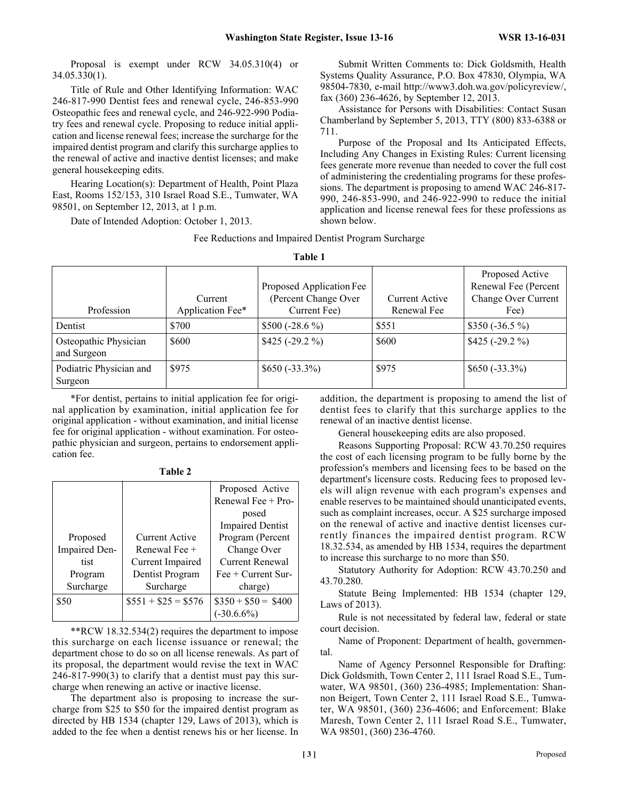Proposal is exempt under RCW 34.05.310(4) or 34.05.330(1).

Title of Rule and Other Identifying Information: WAC 246-817-990 Dentist fees and renewal cycle, 246-853-990 Osteopathic fees and renewal cycle, and 246-922-990 Podiatry fees and renewal cycle. Proposing to reduce initial application and license renewal fees; increase the surcharge for the impaired dentist program and clarify this surcharge applies to the renewal of active and inactive dentist licenses; and make general housekeeping edits.

Hearing Location(s): Department of Health, Point Plaza East, Rooms 152/153, 310 Israel Road S.E., Tumwater, WA 98501, on September 12, 2013, at 1 p.m.

Date of Intended Adoption: October 1, 2013.

Submit Written Comments to: Dick Goldsmith, Health Systems Quality Assurance, P.O. Box 47830, Olympia, WA 98504-7830, e-mail http://www3.doh.wa.gov/policyreview/, fax (360) 236-4626, by September 12, 2013.

Assistance for Persons with Disabilities: Contact Susan Chamberland by September 5, 2013, TTY (800) 833-6388 or 711.

Purpose of the Proposal and Its Anticipated Effects, Including Any Changes in Existing Rules: Current licensing fees generate more revenue than needed to cover the full cost of administering the credentialing programs for these professions. The department is proposing to amend WAC 246-817- 990, 246-853-990, and 246-922-990 to reduce the initial application and license renewal fees for these professions as shown below.

|         | Fee Reductions and Impaired Dentist Program Surcharge |  |  |  |
|---------|-------------------------------------------------------|--|--|--|
| Toble 1 |                                                       |  |  |  |

| .                                    |                             |                                                                  |                               |                                                                        |
|--------------------------------------|-----------------------------|------------------------------------------------------------------|-------------------------------|------------------------------------------------------------------------|
| Profession                           | Current<br>Application Fee* | Proposed Application Fee<br>(Percent Change Over<br>Current Fee) | Current Active<br>Renewal Fee | Proposed Active<br>Renewal Fee (Percent<br>Change Over Current<br>Fee) |
| Dentist                              | \$700                       | $$500 (-28.6 %)$                                                 | \$551                         | $$350 (-36.5 %)$                                                       |
| Osteopathic Physician<br>and Surgeon | \$600                       | $$425 (-29.2 %)$                                                 | \$600                         | $$425 (-29.2 %)$                                                       |
| Podiatric Physician and<br>Surgeon   | \$975                       | $$650 (-33.3\%)$                                                 | \$975                         | $$650 (-33.3\%)$                                                       |

\*For dentist, pertains to initial application fee for original application by examination, initial application fee for original application - without examination, and initial license fee for original application - without examination. For osteopathic physician and surgeon, pertains to endorsement application fee.

|               |                       | Proposed Active                  |
|---------------|-----------------------|----------------------------------|
|               |                       | Renewal Fee $+$ Pro-             |
|               |                       | posed                            |
|               |                       | <b>Impaired Dentist</b>          |
| Proposed      | <b>Current Active</b> | Program (Percent                 |
| Impaired Den- | Renewal Fee +         | Change Over                      |
| tist          | Current Impaired      | Current Renewal                  |
| Program       | Dentist Program       | $\text{Fe} + \text{Current Sur}$ |
| Surcharge     | Surcharge             | charge)                          |
| \$50          | $$551 + $25 = $576$   | $\$350 + \$50 = \$400$           |
|               |                       | $(-30.6.6\%)$                    |

**Table 2**

\*\*RCW 18.32.534(2) requires the department to impose this surcharge on each license issuance or renewal; the department chose to do so on all license renewals. As part of its proposal, the department would revise the text in WAC 246-817-990(3) to clarify that a dentist must pay this surcharge when renewing an active or inactive license.

The department also is proposing to increase the surcharge from \$25 to \$50 for the impaired dentist program as directed by HB 1534 (chapter 129, Laws of 2013), which is added to the fee when a dentist renews his or her license. In addition, the department is proposing to amend the list of dentist fees to clarify that this surcharge applies to the renewal of an inactive dentist license.

General housekeeping edits are also proposed.

Reasons Supporting Proposal: RCW 43.70.250 requires the cost of each licensing program to be fully borne by the profession's members and licensing fees to be based on the department's licensure costs. Reducing fees to proposed levels will align revenue with each program's expenses and enable reserves to be maintained should unanticipated events, such as complaint increases, occur. A \$25 surcharge imposed on the renewal of active and inactive dentist licenses currently finances the impaired dentist program. RCW 18.32.534, as amended by HB 1534, requires the department to increase this surcharge to no more than \$50.

Statutory Authority for Adoption: RCW 43.70.250 and 43.70.280.

Statute Being Implemented: HB 1534 (chapter 129, Laws of 2013).

Rule is not necessitated by federal law, federal or state court decision.

Name of Proponent: Department of health, governmental.

Name of Agency Personnel Responsible for Drafting: Dick Goldsmith, Town Center 2, 111 Israel Road S.E., Tumwater, WA 98501, (360) 236-4985; Implementation: Shannon Beigert, Town Center 2, 111 Israel Road S.E., Tumwater, WA 98501, (360) 236-4606; and Enforcement: Blake Maresh, Town Center 2, 111 Israel Road S.E., Tumwater, WA 98501, (360) 236-4760.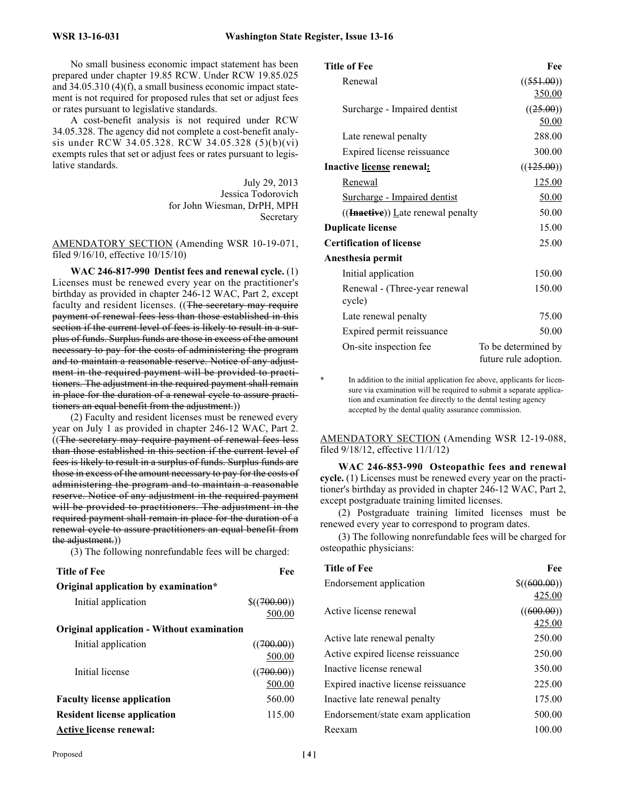No small business economic impact statement has been prepared under chapter 19.85 RCW. Under RCW 19.85.025 and 34.05.310 (4)(f), a small business economic impact statement is not required for proposed rules that set or adjust fees or rates pursuant to legislative standards.

A cost-benefit analysis is not required under RCW 34.05.328. The agency did not complete a cost-benefit analysis under RCW 34.05.328. RCW 34.05.328 (5)(b)(vi) exempts rules that set or adjust fees or rates pursuant to legislative standards.

> July 29, 2013 Jessica Todorovich for John Wiesman, DrPH, MPH Secretary

AMENDATORY SECTION (Amending WSR 10-19-071, filed 9/16/10, effective 10/15/10)

**WAC 246-817-990 Dentist fees and renewal cycle.** (1) Licenses must be renewed every year on the practitioner's birthday as provided in chapter 246-12 WAC, Part 2, except faculty and resident licenses. ((The secretary may require payment of renewal fees less than those established in this section if the current level of fees is likely to result in a surplus of funds. Surplus funds are those in excess of the amount necessary to pay for the costs of administering the program and to maintain a reasonable reserve. Notice of any adjustment in the required payment will be provided to practitioners. The adjustment in the required payment shall remain in place for the duration of a renewal cycle to assure practitioners an equal benefit from the adjustment.))

(2) Faculty and resident licenses must be renewed every year on July 1 as provided in chapter 246-12 WAC, Part 2. ((The secretary may require payment of renewal fees less than those established in this section if the current level of fees is likely to result in a surplus of funds. Surplus funds are those in excess of the amount necessary to pay for the costs of administering the program and to maintain a reasonable reserve. Notice of any adjustment in the required payment will be provided to practitioners. The adjustment in the required payment shall remain in place for the duration of a renewal cycle to assure practitioners an equal benefit from the adjustment.))

(3) The following nonrefundable fees will be charged:

| <b>Title of Fee</b>                               | Fee            |
|---------------------------------------------------|----------------|
| Original application by examination*              |                |
| Initial application                               | $\$((700.00))$ |
|                                                   | 500.00         |
| <b>Original application - Without examination</b> |                |
| Initial application                               | ((700.00))     |
|                                                   | 500.00         |
| Initial license                                   | ((700.00))     |
|                                                   | 500.00         |
| <b>Faculty license application</b>                | 560.00         |
| <b>Resident license application</b>               | 115.00         |
| <b>Active license renewal:</b>                    |                |

| Title of Fee                                  | Fee                                          |
|-----------------------------------------------|----------------------------------------------|
| Renewal                                       | ((551.00))                                   |
|                                               | 350.00                                       |
| Surcharge - Impaired dentist                  | ((25.00))                                    |
|                                               | 50.00                                        |
| Late renewal penalty                          | 288.00                                       |
| Expired license reissuance                    | 300.00                                       |
| Inactive license renewal:                     | ((125.00))                                   |
| <b>Renewal</b>                                | <u>125.00</u>                                |
| Surcharge - Impaired dentist                  | 50.00                                        |
| $((\textbf{Inactive})$ ) Late renewal penalty | 50.00                                        |
| <b>Duplicate license</b>                      | 15.00                                        |
| <b>Certification of license</b>               | 25.00                                        |
| Anesthesia permit                             |                                              |
| Initial application                           | 150.00                                       |
| Renewal - (Three-year renewal<br>cycle)       | 150.00                                       |
| Late renewal penalty                          | 75.00                                        |
| Expired permit reissuance                     | 50.00                                        |
| On-site inspection fee                        | To be determined by<br>future rule adoption. |

In addition to the initial application fee above, applicants for licensure via examination will be required to submit a separate application and examination fee directly to the dental testing agency accepted by the dental quality assurance commission.

AMENDATORY SECTION (Amending WSR 12-19-088, filed 9/18/12, effective 11/1/12)

**WAC 246-853-990 Osteopathic fees and renewal cycle.** (1) Licenses must be renewed every year on the practitioner's birthday as provided in chapter 246-12 WAC, Part 2, except postgraduate training limited licenses.

(2) Postgraduate training limited licenses must be renewed every year to correspond to program dates.

(3) The following nonrefundable fees will be charged for osteopathic physicians:

| <b>Title of Fee</b>                 | Fee          |
|-------------------------------------|--------------|
| Endorsement application             | \$((600.00)) |
|                                     | 425.00       |
| Active license renewal              | ((600.00))   |
|                                     | 425.00       |
| Active late renewal penalty         | 250.00       |
| Active expired license reissuance   | 250.00       |
| Inactive license renewal            | 350.00       |
| Expired inactive license reissuance | 225.00       |
| Inactive late renewal penalty       | 175.00       |
| Endorsement/state exam application  | 500.00       |
| Reexam                              | 100.00       |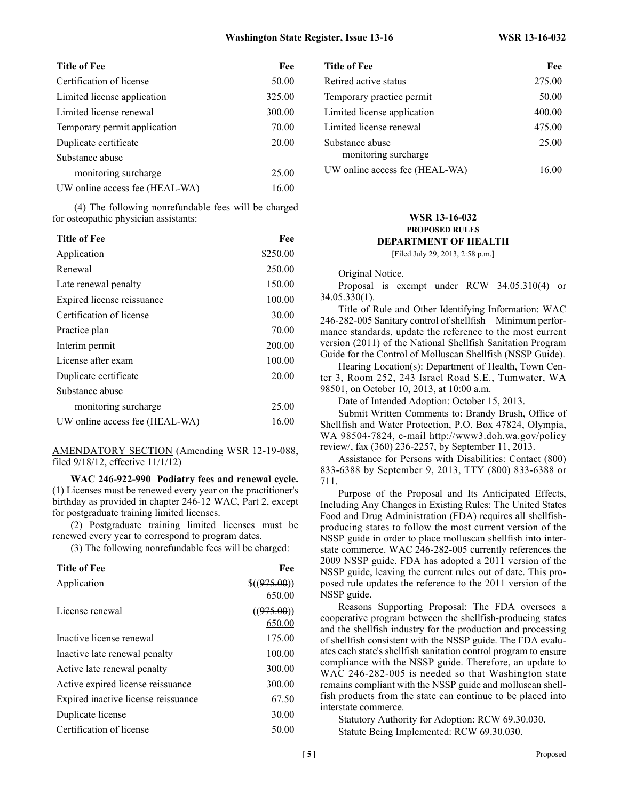| <b>Title of Fee</b>            | Fee    |
|--------------------------------|--------|
| Certification of license       | 50.00  |
| Limited license application    | 325.00 |
| Limited license renewal        | 300.00 |
| Temporary permit application   | 70.00  |
| Duplicate certificate          | 20.00  |
| Substance abuse                |        |
| monitoring surcharge           | 25.00  |
| UW online access fee (HEAL-WA) | 16.00  |

 (4) The following nonrefundable fees will be charged for osteopathic physician assistants:

| <b>Title of Fee</b>            | Fee      |
|--------------------------------|----------|
| Application                    | \$250.00 |
| Renewal                        | 250.00   |
| Late renewal penalty           | 150.00   |
| Expired license reissuance     | 100.00   |
| Certification of license       | 30.00    |
| Practice plan                  | 70.00    |
| Interim permit                 | 200.00   |
| License after exam             | 100.00   |
| Duplicate certificate          | 20.00    |
| Substance abuse                |          |
| monitoring surcharge           | 25.00    |
| UW online access fee (HEAL-WA) | 16.00    |
|                                |          |

#### AMENDATORY SECTION (Amending WSR 12-19-088, filed 9/18/12, effective 11/1/12)

**WAC 246-922-990 Podiatry fees and renewal cycle.** (1) Licenses must be renewed every year on the practitioner's birthday as provided in chapter 246-12 WAC, Part 2, except for postgraduate training limited licenses.

(2) Postgraduate training limited licenses must be renewed every year to correspond to program dates.

(3) The following nonrefundable fees will be charged:

| <b>Title of Fee</b>                 | Fee            |
|-------------------------------------|----------------|
| Application                         | $\$((975.00))$ |
|                                     | 650.00         |
| License renewal                     | ((975.00))     |
|                                     | 650.00         |
| Inactive license renewal            | 175.00         |
| Inactive late renewal penalty       | 100.00         |
| Active late renewal penalty         | 300.00         |
| Active expired license reissuance   | 300.00         |
| Expired inactive license reissuance | 67.50          |
| Duplicate license                   | 30.00          |
| Certification of license            | 50.00          |

| Title of Fee                 | Fee    | <b>Title of Fee</b>            | Fee    |
|------------------------------|--------|--------------------------------|--------|
| Certification of license     | 50.00  | Retired active status          | 275.00 |
| Limited license application  | 325.00 | Temporary practice permit      | 50.00  |
| Limited license renewal      | 300.00 | Limited license application    | 400.00 |
| Temporary permit application | 70.00  | Limited license renewal        | 475.00 |
| Duplicate certificate        | 20.00  | Substance abuse                | 25.00  |
| Substance abuse              |        | monitoring surcharge           |        |
| monitoring surcharge         | 25.00  | UW online access fee (HEAL-WA) | 16.00  |

# **WSR 13-16-032 PROPOSED RULES DEPARTMENT OF HEALTH**

[Filed July 29, 2013, 2:58 p.m.]

Original Notice.

Proposal is exempt under RCW 34.05.310(4) or 34.05.330(1).

Title of Rule and Other Identifying Information: WAC 246-282-005 Sanitary control of shellfish—Minimum performance standards, update the reference to the most current version (2011) of the National Shellfish Sanitation Program Guide for the Control of Molluscan Shellfish (NSSP Guide).

Hearing Location(s): Department of Health, Town Center 3, Room 252, 243 Israel Road S.E., Tumwater, WA 98501, on October 10, 2013, at 10:00 a.m.

Date of Intended Adoption: October 15, 2013.

Submit Written Comments to: Brandy Brush, Office of Shellfish and Water Protection, P.O. Box 47824, Olympia, WA 98504-7824, e-mail http://www3.doh.wa.gov/policy review/, fax (360) 236-2257, by September 11, 2013.

Assistance for Persons with Disabilities: Contact (800) 833-6388 by September 9, 2013, TTY (800) 833-6388 or 711.

Purpose of the Proposal and Its Anticipated Effects, Including Any Changes in Existing Rules: The United States Food and Drug Administration (FDA) requires all shellfishproducing states to follow the most current version of the NSSP guide in order to place molluscan shellfish into interstate commerce. WAC 246-282-005 currently references the 2009 NSSP guide. FDA has adopted a 2011 version of the NSSP guide, leaving the current rules out of date. This proposed rule updates the reference to the 2011 version of the NSSP guide.

Reasons Supporting Proposal: The FDA oversees a cooperative program between the shellfish-producing states and the shellfish industry for the production and processing of shellfish consistent with the NSSP guide. The FDA evaluates each state's shellfish sanitation control program to ensure compliance with the NSSP guide. Therefore, an update to WAC 246-282-005 is needed so that Washington state remains compliant with the NSSP guide and molluscan shellfish products from the state can continue to be placed into interstate commerce.

Statutory Authority for Adoption: RCW 69.30.030. Statute Being Implemented: RCW 69.30.030.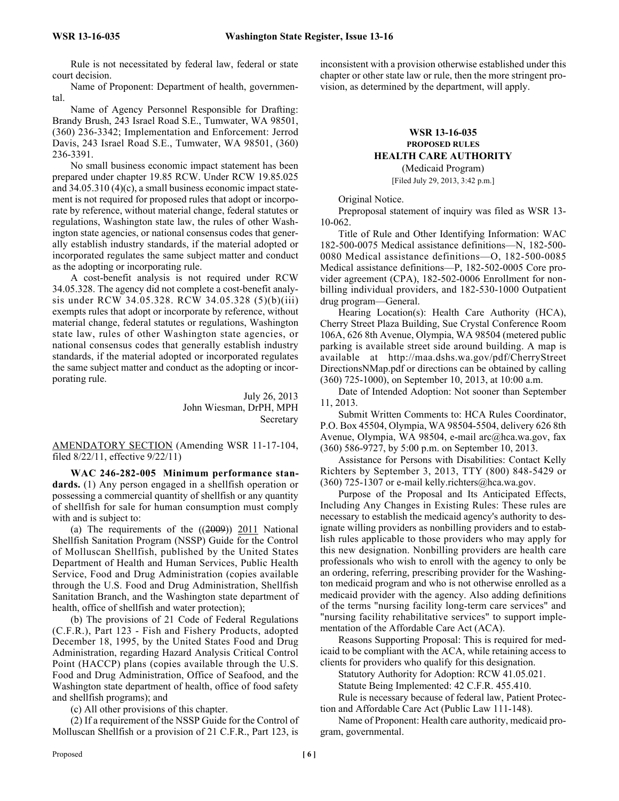Rule is not necessitated by federal law, federal or state court decision.

Name of Proponent: Department of health, governmental.

Name of Agency Personnel Responsible for Drafting: Brandy Brush, 243 Israel Road S.E., Tumwater, WA 98501, (360) 236-3342; Implementation and Enforcement: Jerrod Davis, 243 Israel Road S.E., Tumwater, WA 98501, (360) 236-3391.

No small business economic impact statement has been prepared under chapter 19.85 RCW. Under RCW 19.85.025 and 34.05.310 (4)(c), a small business economic impact statement is not required for proposed rules that adopt or incorporate by reference, without material change, federal statutes or regulations, Washington state law, the rules of other Washington state agencies, or national consensus codes that generally establish industry standards, if the material adopted or incorporated regulates the same subject matter and conduct as the adopting or incorporating rule.

A cost-benefit analysis is not required under RCW 34.05.328. The agency did not complete a cost-benefit analysis under RCW 34.05.328. RCW 34.05.328 (5)(b)(iii) exempts rules that adopt or incorporate by reference, without material change, federal statutes or regulations, Washington state law, rules of other Washington state agencies, or national consensus codes that generally establish industry standards, if the material adopted or incorporated regulates the same subject matter and conduct as the adopting or incorporating rule.

> July 26, 2013 John Wiesman, DrPH, MPH **Secretary**

AMENDATORY SECTION (Amending WSR 11-17-104, filed 8/22/11, effective 9/22/11)

**WAC 246-282-005 Minimum performance standards.** (1) Any person engaged in a shellfish operation or possessing a commercial quantity of shellfish or any quantity of shellfish for sale for human consumption must comply with and is subject to:

(a) The requirements of the  $((2009))$  2011 National Shellfish Sanitation Program (NSSP) Guide for the Control of Molluscan Shellfish, published by the United States Department of Health and Human Services, Public Health Service, Food and Drug Administration (copies available through the U.S. Food and Drug Administration, Shellfish Sanitation Branch, and the Washington state department of health, office of shellfish and water protection);

(b) The provisions of 21 Code of Federal Regulations (C.F.R.), Part 123 - Fish and Fishery Products, adopted December 18, 1995, by the United States Food and Drug Administration, regarding Hazard Analysis Critical Control Point (HACCP) plans (copies available through the U.S. Food and Drug Administration, Office of Seafood, and the Washington state department of health, office of food safety and shellfish programs); and

(c) All other provisions of this chapter.

(2) If a requirement of the NSSP Guide for the Control of Molluscan Shellfish or a provision of 21 C.F.R., Part 123, is

inconsistent with a provision otherwise established under this chapter or other state law or rule, then the more stringent provision, as determined by the department, will apply.

# **WSR 13-16-035 PROPOSED RULES HEALTH CARE AUTHORITY**

(Medicaid Program) [Filed July 29, 2013, 3:42 p.m.]

Original Notice.

Preproposal statement of inquiry was filed as WSR 13- 10-062.

Title of Rule and Other Identifying Information: WAC 182-500-0075 Medical assistance definitions—N, 182-500- 0080 Medical assistance definitions—O, 182-500-0085 Medical assistance definitions—P, 182-502-0005 Core provider agreement (CPA), 182-502-0006 Enrollment for nonbilling individual providers, and 182-530-1000 Outpatient drug program—General.

Hearing Location(s): Health Care Authority (HCA), Cherry Street Plaza Building, Sue Crystal Conference Room 106A, 626 8th Avenue, Olympia, WA 98504 (metered public parking is available street side around building. A map is available at http://maa.dshs.wa.gov/pdf/CherryStreet DirectionsNMap.pdf or directions can be obtained by calling (360) 725-1000), on September 10, 2013, at 10:00 a.m.

Date of Intended Adoption: Not sooner than September 11, 2013.

Submit Written Comments to: HCA Rules Coordinator, P.O. Box 45504, Olympia, WA 98504-5504, delivery 626 8th Avenue, Olympia, WA 98504, e-mail arc@hca.wa.gov, fax (360) 586-9727, by 5:00 p.m. on September 10, 2013.

Assistance for Persons with Disabilities: Contact Kelly Richters by September 3, 2013, TTY (800) 848-5429 or (360) 725-1307 or e-mail kelly.richters@hca.wa.gov.

Purpose of the Proposal and Its Anticipated Effects, Including Any Changes in Existing Rules: These rules are necessary to establish the medicaid agency's authority to designate willing providers as nonbilling providers and to establish rules applicable to those providers who may apply for this new designation. Nonbilling providers are health care professionals who wish to enroll with the agency to only be an ordering, referring, prescribing provider for the Washington medicaid program and who is not otherwise enrolled as a medicaid provider with the agency. Also adding definitions of the terms "nursing facility long-term care services" and "nursing facility rehabilitative services" to support implementation of the Affordable Care Act (ACA).

Reasons Supporting Proposal: This is required for medicaid to be compliant with the ACA, while retaining access to clients for providers who qualify for this designation.

Statutory Authority for Adoption: RCW 41.05.021.

Statute Being Implemented: 42 C.F.R. 455.410.

Rule is necessary because of federal law, Patient Protection and Affordable Care Act (Public Law 111-148).

Name of Proponent: Health care authority, medicaid program, governmental.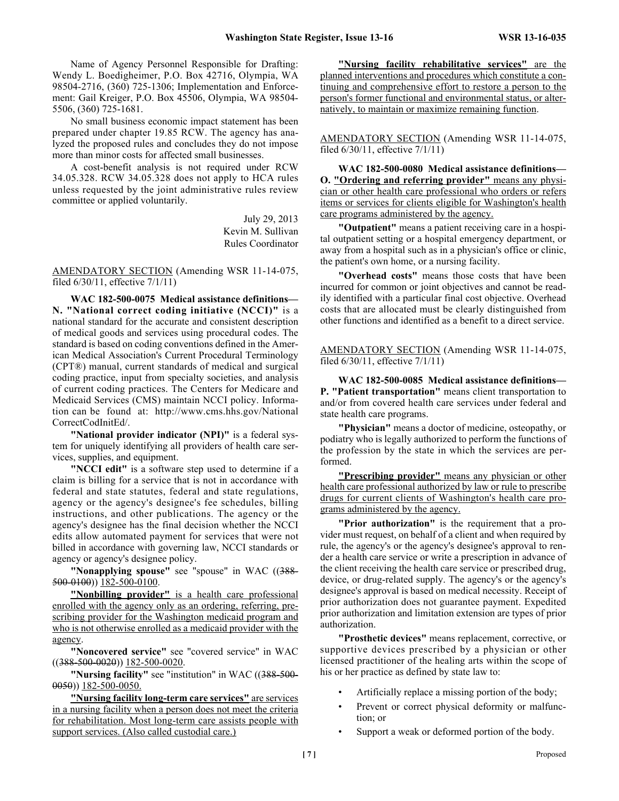Name of Agency Personnel Responsible for Drafting: Wendy L. Boedigheimer, P.O. Box 42716, Olympia, WA 98504-2716, (360) 725-1306; Implementation and Enforcement: Gail Kreiger, P.O. Box 45506, Olympia, WA 98504- 5506, (360) 725-1681.

No small business economic impact statement has been prepared under chapter 19.85 RCW. The agency has analyzed the proposed rules and concludes they do not impose more than minor costs for affected small businesses.

A cost-benefit analysis is not required under RCW 34.05.328. RCW 34.05.328 does not apply to HCA rules unless requested by the joint administrative rules review committee or applied voluntarily.

> July 29, 2013 Kevin M. Sullivan Rules Coordinator

AMENDATORY SECTION (Amending WSR 11-14-075, filed 6/30/11, effective 7/1/11)

**WAC 182-500-0075 Medical assistance definitions— N. "National correct coding initiative (NCCI)"** is a national standard for the accurate and consistent description of medical goods and services using procedural codes. The standard is based on coding conventions defined in the American Medical Association's Current Procedural Terminology (CPT®) manual, current standards of medical and surgical coding practice, input from specialty societies, and analysis of current coding practices. The Centers for Medicare and Medicaid Services (CMS) maintain NCCI policy. Information can be found at: http://www.cms.hhs.gov/National CorrectCodInitEd/.

**"National provider indicator (NPI)"** is a federal system for uniquely identifying all providers of health care services, supplies, and equipment.

**"NCCI edit"** is a software step used to determine if a claim is billing for a service that is not in accordance with federal and state statutes, federal and state regulations, agency or the agency's designee's fee schedules, billing instructions, and other publications. The agency or the agency's designee has the final decision whether the NCCI edits allow automated payment for services that were not billed in accordance with governing law, NCCI standards or agency or agency's designee policy.

**"Nonapplying spouse"** see "spouse" in WAC ((388-500-0100)) 182-500-0100.

**"Nonbilling provider"** is a health care professional enrolled with the agency only as an ordering, referring, prescribing provider for the Washington medicaid program and who is not otherwise enrolled as a medicaid provider with the agency.

**"Noncovered service"** see "covered service" in WAC  $((388-500-0020))$   $182-500-0020$ .

**"Nursing facility"** see "institution" in WAC ((388-500- 0050)) 182-500-0050.

**"Nursing facility long-term care services"** are services in a nursing facility when a person does not meet the criteria for rehabilitation. Most long-term care assists people with support services. (Also called custodial care.)

**"Nursing facility rehabilitative services"** are the planned interventions and procedures which constitute a continuing and comprehensive effort to restore a person to the person's former functional and environmental status, or alternatively, to maintain or maximize remaining function.

AMENDATORY SECTION (Amending WSR 11-14-075, filed 6/30/11, effective 7/1/11)

**WAC 182-500-0080 Medical assistance definitions— O. "Ordering and referring provider"** means any physician or other health care professional who orders or refers items or services for clients eligible for Washington's health care programs administered by the agency.

**"Outpatient"** means a patient receiving care in a hospital outpatient setting or a hospital emergency department, or away from a hospital such as in a physician's office or clinic, the patient's own home, or a nursing facility.

**"Overhead costs"** means those costs that have been incurred for common or joint objectives and cannot be readily identified with a particular final cost objective. Overhead costs that are allocated must be clearly distinguished from other functions and identified as a benefit to a direct service.

AMENDATORY SECTION (Amending WSR 11-14-075, filed 6/30/11, effective 7/1/11)

**WAC 182-500-0085 Medical assistance definitions— P. "Patient transportation"** means client transportation to and/or from covered health care services under federal and state health care programs.

**"Physician"** means a doctor of medicine, osteopathy, or podiatry who is legally authorized to perform the functions of the profession by the state in which the services are performed.

**"Prescribing provider"** means any physician or other health care professional authorized by law or rule to prescribe drugs for current clients of Washington's health care programs administered by the agency.

**"Prior authorization"** is the requirement that a provider must request, on behalf of a client and when required by rule, the agency's or the agency's designee's approval to render a health care service or write a prescription in advance of the client receiving the health care service or prescribed drug, device, or drug-related supply. The agency's or the agency's designee's approval is based on medical necessity. Receipt of prior authorization does not guarantee payment. Expedited prior authorization and limitation extension are types of prior authorization.

**"Prosthetic devices"** means replacement, corrective, or supportive devices prescribed by a physician or other licensed practitioner of the healing arts within the scope of his or her practice as defined by state law to:

- Artificially replace a missing portion of the body;
- Prevent or correct physical deformity or malfunction; or
- Support a weak or deformed portion of the body.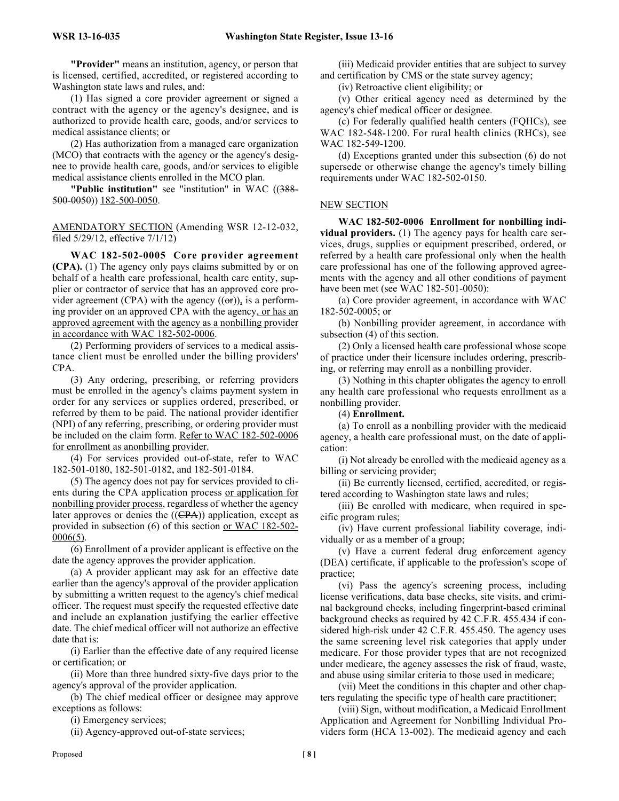**"Provider"** means an institution, agency, or person that is licensed, certified, accredited, or registered according to Washington state laws and rules, and:

(1) Has signed a core provider agreement or signed a contract with the agency or the agency's designee, and is authorized to provide health care, goods, and/or services to medical assistance clients; or

(2) Has authorization from a managed care organization (MCO) that contracts with the agency or the agency's designee to provide health care, goods, and/or services to eligible medical assistance clients enrolled in the MCO plan.

**"Public institution"** see "institution" in WAC ((388- 500-0050)) 182-500-0050.

AMENDATORY SECTION (Amending WSR 12-12-032, filed 5/29/12, effective 7/1/12)

**WAC 182-502-0005 Core provider agreement (CPA).** (1) The agency only pays claims submitted by or on behalf of a health care professional, health care entity, supplier or contractor of service that has an approved core provider agreement (CPA) with the agency  $((\Theta$ r)), is a performing provider on an approved CPA with the agency, or has an approved agreement with the agency as a nonbilling provider in accordance with WAC 182-502-0006.

(2) Performing providers of services to a medical assistance client must be enrolled under the billing providers' CPA.

(3) Any ordering, prescribing, or referring providers must be enrolled in the agency's claims payment system in order for any services or supplies ordered, prescribed, or referred by them to be paid. The national provider identifier (NPI) of any referring, prescribing, or ordering provider must be included on the claim form. Refer to WAC 182-502-0006 for enrollment as anonbilling provider.

(4) For services provided out-of-state, refer to WAC 182-501-0180, 182-501-0182, and 182-501-0184.

(5) The agency does not pay for services provided to clients during the CPA application process or application for nonbilling provider process, regardless of whether the agency later approves or denies the  $((\text{CPA}))$  application, except as provided in subsection (6) of this section or WAC 182-502- 0006(5).

(6) Enrollment of a provider applicant is effective on the date the agency approves the provider application.

(a) A provider applicant may ask for an effective date earlier than the agency's approval of the provider application by submitting a written request to the agency's chief medical officer. The request must specify the requested effective date and include an explanation justifying the earlier effective date. The chief medical officer will not authorize an effective date that is:

(i) Earlier than the effective date of any required license or certification; or

(ii) More than three hundred sixty-five days prior to the agency's approval of the provider application.

(b) The chief medical officer or designee may approve exceptions as follows:

(i) Emergency services;

(ii) Agency-approved out-of-state services;

(iii) Medicaid provider entities that are subject to survey and certification by CMS or the state survey agency;

(iv) Retroactive client eligibility; or

(v) Other critical agency need as determined by the agency's chief medical officer or designee.

(c) For federally qualified health centers (FQHCs), see WAC 182-548-1200. For rural health clinics (RHCs), see WAC 182-549-1200.

(d) Exceptions granted under this subsection (6) do not supersede or otherwise change the agency's timely billing requirements under WAC 182-502-0150.

#### NEW SECTION

**WAC 182-502-0006 Enrollment for nonbilling individual providers.** (1) The agency pays for health care services, drugs, supplies or equipment prescribed, ordered, or referred by a health care professional only when the health care professional has one of the following approved agreements with the agency and all other conditions of payment have been met (see WAC 182-501-0050):

(a) Core provider agreement, in accordance with WAC 182-502-0005; or

(b) Nonbilling provider agreement, in accordance with subsection (4) of this section.

(2) Only a licensed health care professional whose scope of practice under their licensure includes ordering, prescribing, or referring may enroll as a nonbilling provider.

(3) Nothing in this chapter obligates the agency to enroll any health care professional who requests enrollment as a nonbilling provider.

# (4) **Enrollment.**

(a) To enroll as a nonbilling provider with the medicaid agency, a health care professional must, on the date of application:

(i) Not already be enrolled with the medicaid agency as a billing or servicing provider;

(ii) Be currently licensed, certified, accredited, or registered according to Washington state laws and rules;

(iii) Be enrolled with medicare, when required in specific program rules;

(iv) Have current professional liability coverage, individually or as a member of a group;

(v) Have a current federal drug enforcement agency (DEA) certificate, if applicable to the profession's scope of practice;

(vi) Pass the agency's screening process, including license verifications, data base checks, site visits, and criminal background checks, including fingerprint-based criminal background checks as required by 42 C.F.R. 455.434 if considered high-risk under 42 C.F.R. 455.450. The agency uses the same screening level risk categories that apply under medicare. For those provider types that are not recognized under medicare, the agency assesses the risk of fraud, waste, and abuse using similar criteria to those used in medicare;

(vii) Meet the conditions in this chapter and other chapters regulating the specific type of health care practitioner;

(viii) Sign, without modification, a Medicaid Enrollment Application and Agreement for Nonbilling Individual Providers form (HCA 13-002). The medicaid agency and each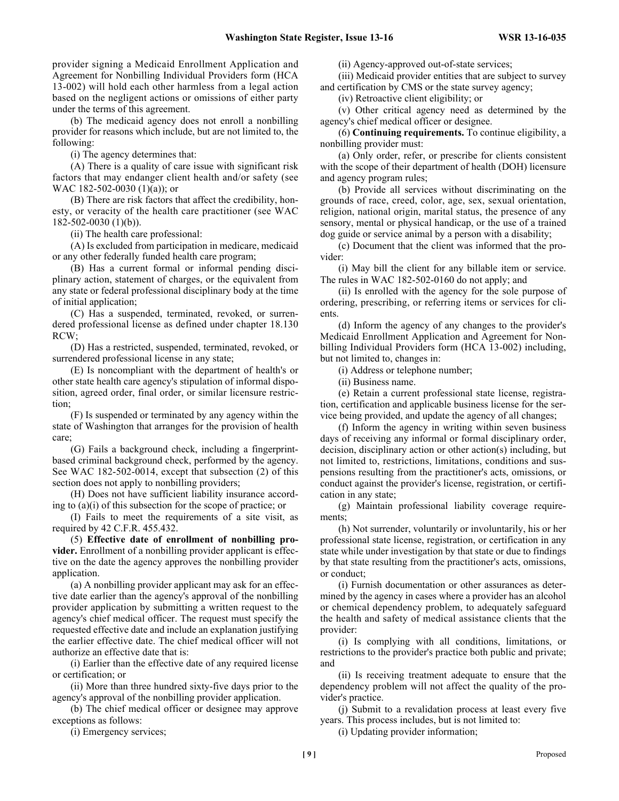provider signing a Medicaid Enrollment Application and Agreement for Nonbilling Individual Providers form (HCA 13-002) will hold each other harmless from a legal action based on the negligent actions or omissions of either party under the terms of this agreement.

(b) The medicaid agency does not enroll a nonbilling provider for reasons which include, but are not limited to, the following:

(i) The agency determines that:

(A) There is a quality of care issue with significant risk factors that may endanger client health and/or safety (see WAC 182-502-0030 (1)(a)); or

(B) There are risk factors that affect the credibility, honesty, or veracity of the health care practitioner (see WAC 182-502-0030 (1)(b)).

(ii) The health care professional:

(A) Is excluded from participation in medicare, medicaid or any other federally funded health care program;

(B) Has a current formal or informal pending disciplinary action, statement of charges, or the equivalent from any state or federal professional disciplinary body at the time of initial application;

(C) Has a suspended, terminated, revoked, or surrendered professional license as defined under chapter 18.130 RCW;

(D) Has a restricted, suspended, terminated, revoked, or surrendered professional license in any state;

(E) Is noncompliant with the department of health's or other state health care agency's stipulation of informal disposition, agreed order, final order, or similar licensure restriction;

(F) Is suspended or terminated by any agency within the state of Washington that arranges for the provision of health care;

(G) Fails a background check, including a fingerprintbased criminal background check, performed by the agency. See WAC 182-502-0014, except that subsection (2) of this section does not apply to nonbilling providers;

(H) Does not have sufficient liability insurance according to (a)(i) of this subsection for the scope of practice; or

(I) Fails to meet the requirements of a site visit, as required by 42 C.F.R. 455.432.

(5) **Effective date of enrollment of nonbilling provider.** Enrollment of a nonbilling provider applicant is effective on the date the agency approves the nonbilling provider application.

(a) A nonbilling provider applicant may ask for an effective date earlier than the agency's approval of the nonbilling provider application by submitting a written request to the agency's chief medical officer. The request must specify the requested effective date and include an explanation justifying the earlier effective date. The chief medical officer will not authorize an effective date that is:

(i) Earlier than the effective date of any required license or certification; or

(ii) More than three hundred sixty-five days prior to the agency's approval of the nonbilling provider application.

(b) The chief medical officer or designee may approve exceptions as follows:

(i) Emergency services;

(ii) Agency-approved out-of-state services;

(iii) Medicaid provider entities that are subject to survey and certification by CMS or the state survey agency;

(iv) Retroactive client eligibility; or

(v) Other critical agency need as determined by the agency's chief medical officer or designee.

(6) **Continuing requirements.** To continue eligibility, a nonbilling provider must:

(a) Only order, refer, or prescribe for clients consistent with the scope of their department of health (DOH) licensure and agency program rules;

(b) Provide all services without discriminating on the grounds of race, creed, color, age, sex, sexual orientation, religion, national origin, marital status, the presence of any sensory, mental or physical handicap, or the use of a trained dog guide or service animal by a person with a disability;

(c) Document that the client was informed that the provider:

(i) May bill the client for any billable item or service. The rules in WAC 182-502-0160 do not apply; and

(ii) Is enrolled with the agency for the sole purpose of ordering, prescribing, or referring items or services for clients.

(d) Inform the agency of any changes to the provider's Medicaid Enrollment Application and Agreement for Nonbilling Individual Providers form (HCA 13-002) including, but not limited to, changes in:

(i) Address or telephone number;

(ii) Business name.

(e) Retain a current professional state license, registration, certification and applicable business license for the service being provided, and update the agency of all changes;

(f) Inform the agency in writing within seven business days of receiving any informal or formal disciplinary order, decision, disciplinary action or other action(s) including, but not limited to, restrictions, limitations, conditions and suspensions resulting from the practitioner's acts, omissions, or conduct against the provider's license, registration, or certification in any state;

(g) Maintain professional liability coverage requirements;

(h) Not surrender, voluntarily or involuntarily, his or her professional state license, registration, or certification in any state while under investigation by that state or due to findings by that state resulting from the practitioner's acts, omissions, or conduct;

(i) Furnish documentation or other assurances as determined by the agency in cases where a provider has an alcohol or chemical dependency problem, to adequately safeguard the health and safety of medical assistance clients that the provider:

(i) Is complying with all conditions, limitations, or restrictions to the provider's practice both public and private; and

(ii) Is receiving treatment adequate to ensure that the dependency problem will not affect the quality of the provider's practice.

(j) Submit to a revalidation process at least every five years. This process includes, but is not limited to:

(i) Updating provider information;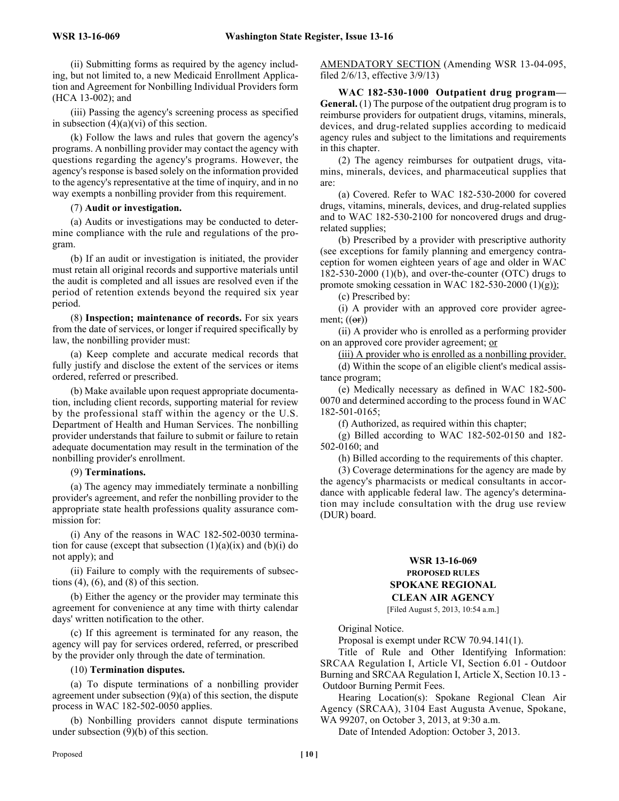(ii) Submitting forms as required by the agency including, but not limited to, a new Medicaid Enrollment Application and Agreement for Nonbilling Individual Providers form (HCA 13-002); and

(iii) Passing the agency's screening process as specified in subsection  $(4)(a)(vi)$  of this section.

(k) Follow the laws and rules that govern the agency's programs. A nonbilling provider may contact the agency with questions regarding the agency's programs. However, the agency's response is based solely on the information provided to the agency's representative at the time of inquiry, and in no way exempts a nonbilling provider from this requirement.

(7) **Audit or investigation.**

(a) Audits or investigations may be conducted to determine compliance with the rule and regulations of the program.

(b) If an audit or investigation is initiated, the provider must retain all original records and supportive materials until the audit is completed and all issues are resolved even if the period of retention extends beyond the required six year period.

(8) **Inspection; maintenance of records.** For six years from the date of services, or longer if required specifically by law, the nonbilling provider must:

(a) Keep complete and accurate medical records that fully justify and disclose the extent of the services or items ordered, referred or prescribed.

(b) Make available upon request appropriate documentation, including client records, supporting material for review by the professional staff within the agency or the U.S. Department of Health and Human Services. The nonbilling provider understands that failure to submit or failure to retain adequate documentation may result in the termination of the nonbilling provider's enrollment.

#### (9) **Terminations.**

(a) The agency may immediately terminate a nonbilling provider's agreement, and refer the nonbilling provider to the appropriate state health professions quality assurance commission for:

(i) Any of the reasons in WAC 182-502-0030 termination for cause (except that subsection  $(1)(a)(ix)$  and  $(b)(i)$  do not apply); and

(ii) Failure to comply with the requirements of subsections  $(4)$ ,  $(6)$ , and  $(8)$  of this section.

(b) Either the agency or the provider may terminate this agreement for convenience at any time with thirty calendar days' written notification to the other.

(c) If this agreement is terminated for any reason, the agency will pay for services ordered, referred, or prescribed by the provider only through the date of termination.

#### (10) **Termination disputes.**

(a) To dispute terminations of a nonbilling provider agreement under subsection (9)(a) of this section, the dispute process in WAC 182-502-0050 applies.

(b) Nonbilling providers cannot dispute terminations under subsection (9)(b) of this section.

AMENDATORY SECTION (Amending WSR 13-04-095, filed 2/6/13, effective 3/9/13)

**WAC 182-530-1000 Outpatient drug program— General.** (1) The purpose of the outpatient drug program is to reimburse providers for outpatient drugs, vitamins, minerals, devices, and drug-related supplies according to medicaid agency rules and subject to the limitations and requirements in this chapter.

(2) The agency reimburses for outpatient drugs, vitamins, minerals, devices, and pharmaceutical supplies that are:

(a) Covered. Refer to WAC 182-530-2000 for covered drugs, vitamins, minerals, devices, and drug-related supplies and to WAC 182-530-2100 for noncovered drugs and drugrelated supplies;

(b) Prescribed by a provider with prescriptive authority (see exceptions for family planning and emergency contraception for women eighteen years of age and older in WAC 182-530-2000 (1)(b), and over-the-counter (OTC) drugs to promote smoking cessation in WAC 182-530-2000  $(1)(g)$ ;

(c) Prescribed by:

(i) A provider with an approved core provider agreement;  $((or))$ 

(ii) A provider who is enrolled as a performing provider on an approved core provider agreement; or

(iii) A provider who is enrolled as a nonbilling provider.

(d) Within the scope of an eligible client's medical assistance program;

(e) Medically necessary as defined in WAC 182-500- 0070 and determined according to the process found in WAC 182-501-0165;

(f) Authorized, as required within this chapter;

(g) Billed according to WAC 182-502-0150 and 182- 502-0160; and

(h) Billed according to the requirements of this chapter.

(3) Coverage determinations for the agency are made by the agency's pharmacists or medical consultants in accordance with applicable federal law. The agency's determination may include consultation with the drug use review (DUR) board.

# **WSR 13-16-069 PROPOSED RULES SPOKANE REGIONAL CLEAN AIR AGENCY**

[Filed August 5, 2013, 10:54 a.m.]

Original Notice.

Proposal is exempt under RCW 70.94.141(1).

Title of Rule and Other Identifying Information: SRCAA Regulation I, Article VI, Section 6.01 - Outdoor Burning and SRCAA Regulation I, Article X, Section 10.13 - Outdoor Burning Permit Fees.

Hearing Location(s): Spokane Regional Clean Air Agency (SRCAA), 3104 East Augusta Avenue, Spokane, WA 99207, on October 3, 2013, at 9:30 a.m.

Date of Intended Adoption: October 3, 2013.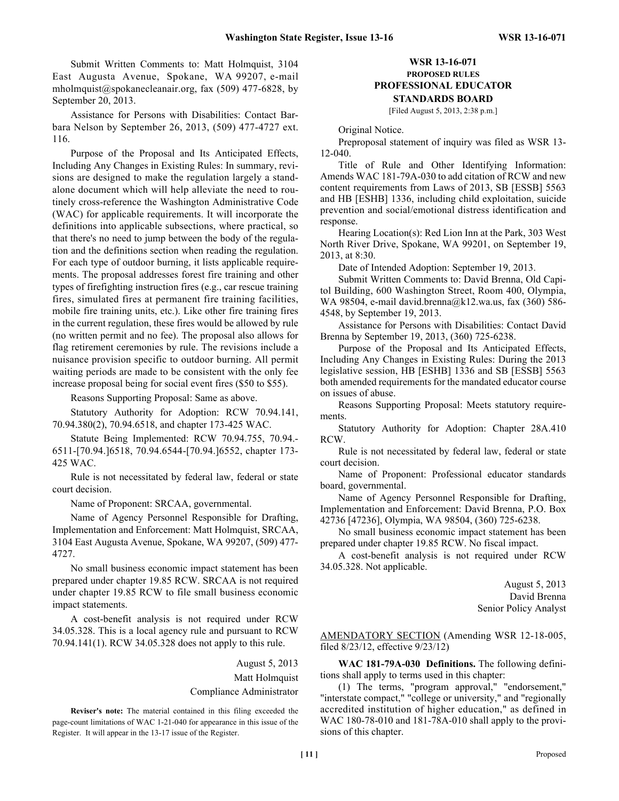Submit Written Comments to: Matt Holmquist, 3104 East Augusta Avenue, Spokane, WA 99207, e-mail mholmquist@spokanecleanair.org, fax (509) 477-6828, by September 20, 2013.

Assistance for Persons with Disabilities: Contact Barbara Nelson by September 26, 2013, (509) 477-4727 ext. 116.

Purpose of the Proposal and Its Anticipated Effects, Including Any Changes in Existing Rules: In summary, revisions are designed to make the regulation largely a standalone document which will help alleviate the need to routinely cross-reference the Washington Administrative Code (WAC) for applicable requirements. It will incorporate the definitions into applicable subsections, where practical, so that there's no need to jump between the body of the regulation and the definitions section when reading the regulation. For each type of outdoor burning, it lists applicable requirements. The proposal addresses forest fire training and other types of firefighting instruction fires (e.g., car rescue training fires, simulated fires at permanent fire training facilities, mobile fire training units, etc.). Like other fire training fires in the current regulation, these fires would be allowed by rule (no written permit and no fee). The proposal also allows for flag retirement ceremonies by rule. The revisions include a nuisance provision specific to outdoor burning. All permit waiting periods are made to be consistent with the only fee increase proposal being for social event fires (\$50 to \$55).

Reasons Supporting Proposal: Same as above.

Statutory Authority for Adoption: RCW 70.94.141, 70.94.380(2), 70.94.6518, and chapter 173-425 WAC.

Statute Being Implemented: RCW 70.94.755, 70.94.- 6511-[70.94.]6518, 70.94.6544-[70.94.]6552, chapter 173- 425 WAC.

Rule is not necessitated by federal law, federal or state court decision.

Name of Proponent: SRCAA, governmental.

Name of Agency Personnel Responsible for Drafting, Implementation and Enforcement: Matt Holmquist, SRCAA, 3104 East Augusta Avenue, Spokane, WA 99207, (509) 477- 4727.

No small business economic impact statement has been prepared under chapter 19.85 RCW. SRCAA is not required under chapter 19.85 RCW to file small business economic impact statements.

A cost-benefit analysis is not required under RCW 34.05.328. This is a local agency rule and pursuant to RCW 70.94.141(1). RCW 34.05.328 does not apply to this rule.

August 5, 2013

Matt Holmquist

Compliance Administrator

**Reviser's note:** The material contained in this filing exceeded the page-count limitations of WAC 1-21-040 for appearance in this issue of the Register. It will appear in the 13-17 issue of the Register.

# **WSR 13-16-071 PROPOSED RULES PROFESSIONAL EDUCATOR STANDARDS BOARD**

[Filed August 5, 2013, 2:38 p.m.]

Original Notice.

Preproposal statement of inquiry was filed as WSR 13- 12-040.

Title of Rule and Other Identifying Information: Amends WAC 181-79A-030 to add citation of RCW and new content requirements from Laws of 2013, SB [ESSB] 5563 and HB [ESHB] 1336, including child exploitation, suicide prevention and social/emotional distress identification and response.

Hearing Location(s): Red Lion Inn at the Park, 303 West North River Drive, Spokane, WA 99201, on September 19, 2013, at 8:30.

Date of Intended Adoption: September 19, 2013.

Submit Written Comments to: David Brenna, Old Capitol Building, 600 Washington Street, Room 400, Olympia, WA 98504, e-mail david.brenna@k12.wa.us, fax (360) 586- 4548, by September 19, 2013.

Assistance for Persons with Disabilities: Contact David Brenna by September 19, 2013, (360) 725-6238.

Purpose of the Proposal and Its Anticipated Effects, Including Any Changes in Existing Rules: During the 2013 legislative session, HB [ESHB] 1336 and SB [ESSB] 5563 both amended requirements for the mandated educator course on issues of abuse.

Reasons Supporting Proposal: Meets statutory requirements.

Statutory Authority for Adoption: Chapter 28A.410 RCW.

Rule is not necessitated by federal law, federal or state court decision.

Name of Proponent: Professional educator standards board, governmental.

Name of Agency Personnel Responsible for Drafting, Implementation and Enforcement: David Brenna, P.O. Box 42736 [47236], Olympia, WA 98504, (360) 725-6238.

No small business economic impact statement has been prepared under chapter 19.85 RCW. No fiscal impact.

A cost-benefit analysis is not required under RCW 34.05.328. Not applicable.

> August 5, 2013 David Brenna Senior Policy Analyst

AMENDATORY SECTION (Amending WSR 12-18-005, filed 8/23/12, effective 9/23/12)

**WAC 181-79A-030 Definitions.** The following definitions shall apply to terms used in this chapter:

(1) The terms, "program approval," "endorsement," "interstate compact," "college or university," and "regionally accredited institution of higher education," as defined in WAC 180-78-010 and 181-78A-010 shall apply to the provisions of this chapter.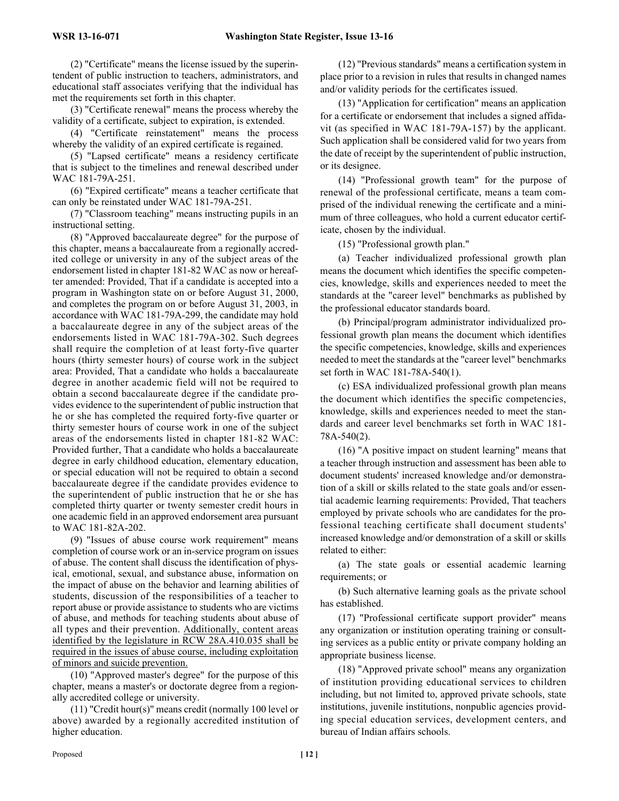(2) "Certificate" means the license issued by the superintendent of public instruction to teachers, administrators, and educational staff associates verifying that the individual has met the requirements set forth in this chapter.

(3) "Certificate renewal" means the process whereby the validity of a certificate, subject to expiration, is extended.

(4) "Certificate reinstatement" means the process whereby the validity of an expired certificate is regained.

(5) "Lapsed certificate" means a residency certificate that is subject to the timelines and renewal described under WAC 181-79A-251.

(6) "Expired certificate" means a teacher certificate that can only be reinstated under WAC 181-79A-251.

(7) "Classroom teaching" means instructing pupils in an instructional setting.

(8) "Approved baccalaureate degree" for the purpose of this chapter, means a baccalaureate from a regionally accredited college or university in any of the subject areas of the endorsement listed in chapter 181-82 WAC as now or hereafter amended: Provided, That if a candidate is accepted into a program in Washington state on or before August 31, 2000, and completes the program on or before August 31, 2003, in accordance with WAC 181-79A-299, the candidate may hold a baccalaureate degree in any of the subject areas of the endorsements listed in WAC 181-79A-302. Such degrees shall require the completion of at least forty-five quarter hours (thirty semester hours) of course work in the subject area: Provided, That a candidate who holds a baccalaureate degree in another academic field will not be required to obtain a second baccalaureate degree if the candidate provides evidence to the superintendent of public instruction that he or she has completed the required forty-five quarter or thirty semester hours of course work in one of the subject areas of the endorsements listed in chapter 181-82 WAC: Provided further, That a candidate who holds a baccalaureate degree in early childhood education, elementary education, or special education will not be required to obtain a second baccalaureate degree if the candidate provides evidence to the superintendent of public instruction that he or she has completed thirty quarter or twenty semester credit hours in one academic field in an approved endorsement area pursuant to WAC 181-82A-202.

(9) "Issues of abuse course work requirement" means completion of course work or an in-service program on issues of abuse. The content shall discuss the identification of physical, emotional, sexual, and substance abuse, information on the impact of abuse on the behavior and learning abilities of students, discussion of the responsibilities of a teacher to report abuse or provide assistance to students who are victims of abuse, and methods for teaching students about abuse of all types and their prevention. Additionally, content areas identified by the legislature in RCW 28A.410.035 shall be required in the issues of abuse course, including exploitation of minors and suicide prevention.

(10) "Approved master's degree" for the purpose of this chapter, means a master's or doctorate degree from a regionally accredited college or university.

(11) "Credit hour(s)" means credit (normally 100 level or above) awarded by a regionally accredited institution of higher education.

(12) "Previous standards" means a certification system in place prior to a revision in rules that results in changed names and/or validity periods for the certificates issued.

(13) "Application for certification" means an application for a certificate or endorsement that includes a signed affidavit (as specified in WAC 181-79A-157) by the applicant. Such application shall be considered valid for two years from the date of receipt by the superintendent of public instruction, or its designee.

(14) "Professional growth team" for the purpose of renewal of the professional certificate, means a team comprised of the individual renewing the certificate and a minimum of three colleagues, who hold a current educator certificate, chosen by the individual.

(15) "Professional growth plan."

(a) Teacher individualized professional growth plan means the document which identifies the specific competencies, knowledge, skills and experiences needed to meet the standards at the "career level" benchmarks as published by the professional educator standards board.

(b) Principal/program administrator individualized professional growth plan means the document which identifies the specific competencies, knowledge, skills and experiences needed to meet the standards at the "career level" benchmarks set forth in WAC 181-78A-540(1).

(c) ESA individualized professional growth plan means the document which identifies the specific competencies, knowledge, skills and experiences needed to meet the standards and career level benchmarks set forth in WAC 181- 78A-540(2).

(16) "A positive impact on student learning" means that a teacher through instruction and assessment has been able to document students' increased knowledge and/or demonstration of a skill or skills related to the state goals and/or essential academic learning requirements: Provided, That teachers employed by private schools who are candidates for the professional teaching certificate shall document students' increased knowledge and/or demonstration of a skill or skills related to either:

(a) The state goals or essential academic learning requirements; or

(b) Such alternative learning goals as the private school has established.

(17) "Professional certificate support provider" means any organization or institution operating training or consulting services as a public entity or private company holding an appropriate business license.

(18) "Approved private school" means any organization of institution providing educational services to children including, but not limited to, approved private schools, state institutions, juvenile institutions, nonpublic agencies providing special education services, development centers, and bureau of Indian affairs schools.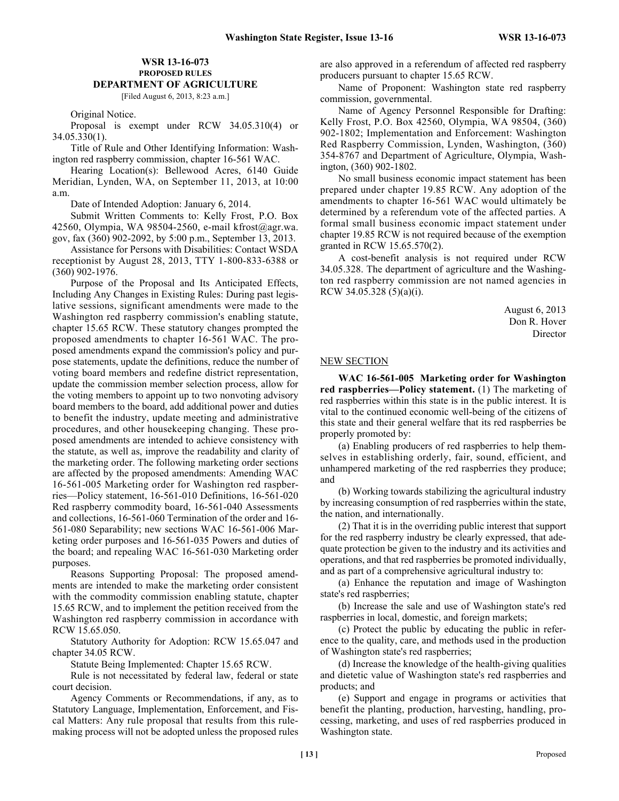# **WSR 13-16-073 PROPOSED RULES DEPARTMENT OF AGRICULTURE**

[Filed August 6, 2013, 8:23 a.m.]

Original Notice.

Proposal is exempt under RCW 34.05.310(4) or 34.05.330(1).

Title of Rule and Other Identifying Information: Washington red raspberry commission, chapter 16-561 WAC.

Hearing Location(s): Bellewood Acres, 6140 Guide Meridian, Lynden, WA, on September 11, 2013, at 10:00 a.m.

Date of Intended Adoption: January 6, 2014.

Submit Written Comments to: Kelly Frost, P.O. Box 42560, Olympia, WA 98504-2560, e-mail kfrost@agr.wa. gov, fax (360) 902-2092, by 5:00 p.m., September 13, 2013.

Assistance for Persons with Disabilities: Contact WSDA receptionist by August 28, 2013, TTY 1-800-833-6388 or (360) 902-1976.

Purpose of the Proposal and Its Anticipated Effects, Including Any Changes in Existing Rules: During past legislative sessions, significant amendments were made to the Washington red raspberry commission's enabling statute, chapter 15.65 RCW. These statutory changes prompted the proposed amendments to chapter 16-561 WAC. The proposed amendments expand the commission's policy and purpose statements, update the definitions, reduce the number of voting board members and redefine district representation, update the commission member selection process, allow for the voting members to appoint up to two nonvoting advisory board members to the board, add additional power and duties to benefit the industry, update meeting and administrative procedures, and other housekeeping changing. These proposed amendments are intended to achieve consistency with the statute, as well as, improve the readability and clarity of the marketing order. The following marketing order sections are affected by the proposed amendments: Amending WAC 16-561-005 Marketing order for Washington red raspberries—Policy statement, 16-561-010 Definitions, 16-561-020 Red raspberry commodity board, 16-561-040 Assessments and collections, 16-561-060 Termination of the order and 16- 561-080 Separability; new sections WAC 16-561-006 Marketing order purposes and 16-561-035 Powers and duties of the board; and repealing WAC 16-561-030 Marketing order purposes.

Reasons Supporting Proposal: The proposed amendments are intended to make the marketing order consistent with the commodity commission enabling statute, chapter 15.65 RCW, and to implement the petition received from the Washington red raspberry commission in accordance with RCW 15.65.050.

Statutory Authority for Adoption: RCW 15.65.047 and chapter 34.05 RCW.

Statute Being Implemented: Chapter 15.65 RCW.

Rule is not necessitated by federal law, federal or state court decision.

Agency Comments or Recommendations, if any, as to Statutory Language, Implementation, Enforcement, and Fiscal Matters: Any rule proposal that results from this rulemaking process will not be adopted unless the proposed rules are also approved in a referendum of affected red raspberry producers pursuant to chapter 15.65 RCW.

Name of Proponent: Washington state red raspberry commission, governmental.

Name of Agency Personnel Responsible for Drafting: Kelly Frost, P.O. Box 42560, Olympia, WA 98504, (360) 902-1802; Implementation and Enforcement: Washington Red Raspberry Commission, Lynden, Washington, (360) 354-8767 and Department of Agriculture, Olympia, Washington, (360) 902-1802.

No small business economic impact statement has been prepared under chapter 19.85 RCW. Any adoption of the amendments to chapter 16-561 WAC would ultimately be determined by a referendum vote of the affected parties. A formal small business economic impact statement under chapter 19.85 RCW is not required because of the exemption granted in RCW 15.65.570(2).

A cost-benefit analysis is not required under RCW 34.05.328. The department of agriculture and the Washington red raspberry commission are not named agencies in RCW 34.05.328 (5)(a)(i).

> August 6, 2013 Don R. Hover Director

#### NEW SECTION

**WAC 16-561-005 Marketing order for Washington red raspberries—Policy statement.** (1) The marketing of red raspberries within this state is in the public interest. It is vital to the continued economic well-being of the citizens of this state and their general welfare that its red raspberries be properly promoted by:

(a) Enabling producers of red raspberries to help themselves in establishing orderly, fair, sound, efficient, and unhampered marketing of the red raspberries they produce; and

(b) Working towards stabilizing the agricultural industry by increasing consumption of red raspberries within the state, the nation, and internationally.

(2) That it is in the overriding public interest that support for the red raspberry industry be clearly expressed, that adequate protection be given to the industry and its activities and operations, and that red raspberries be promoted individually, and as part of a comprehensive agricultural industry to:

(a) Enhance the reputation and image of Washington state's red raspberries;

(b) Increase the sale and use of Washington state's red raspberries in local, domestic, and foreign markets;

(c) Protect the public by educating the public in reference to the quality, care, and methods used in the production of Washington state's red raspberries;

(d) Increase the knowledge of the health-giving qualities and dietetic value of Washington state's red raspberries and products; and

(e) Support and engage in programs or activities that benefit the planting, production, harvesting, handling, processing, marketing, and uses of red raspberries produced in Washington state.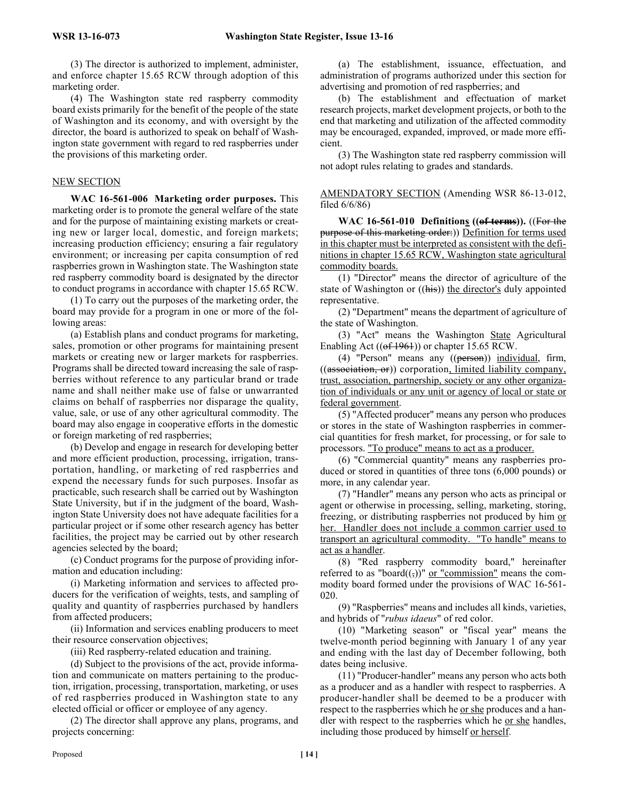(3) The director is authorized to implement, administer, and enforce chapter 15.65 RCW through adoption of this marketing order.

(4) The Washington state red raspberry commodity board exists primarily for the benefit of the people of the state of Washington and its economy, and with oversight by the director, the board is authorized to speak on behalf of Washington state government with regard to red raspberries under the provisions of this marketing order.

#### NEW SECTION

**WAC 16-561-006 Marketing order purposes.** This marketing order is to promote the general welfare of the state and for the purpose of maintaining existing markets or creating new or larger local, domestic, and foreign markets; increasing production efficiency; ensuring a fair regulatory environment; or increasing per capita consumption of red raspberries grown in Washington state. The Washington state red raspberry commodity board is designated by the director to conduct programs in accordance with chapter 15.65 RCW.

(1) To carry out the purposes of the marketing order, the board may provide for a program in one or more of the following areas:

(a) Establish plans and conduct programs for marketing, sales, promotion or other programs for maintaining present markets or creating new or larger markets for raspberries. Programs shall be directed toward increasing the sale of raspberries without reference to any particular brand or trade name and shall neither make use of false or unwarranted claims on behalf of raspberries nor disparage the quality, value, sale, or use of any other agricultural commodity. The board may also engage in cooperative efforts in the domestic or foreign marketing of red raspberries;

(b) Develop and engage in research for developing better and more efficient production, processing, irrigation, transportation, handling, or marketing of red raspberries and expend the necessary funds for such purposes. Insofar as practicable, such research shall be carried out by Washington State University, but if in the judgment of the board, Washington State University does not have adequate facilities for a particular project or if some other research agency has better facilities, the project may be carried out by other research agencies selected by the board;

(c) Conduct programs for the purpose of providing information and education including:

(i) Marketing information and services to affected producers for the verification of weights, tests, and sampling of quality and quantity of raspberries purchased by handlers from affected producers;

(ii) Information and services enabling producers to meet their resource conservation objectives;

(iii) Red raspberry-related education and training.

(d) Subject to the provisions of the act, provide information and communicate on matters pertaining to the production, irrigation, processing, transportation, marketing, or uses of red raspberries produced in Washington state to any elected official or officer or employee of any agency.

(2) The director shall approve any plans, programs, and projects concerning:

(a) The establishment, issuance, effectuation, and administration of programs authorized under this section for advertising and promotion of red raspberries; and

(b) The establishment and effectuation of market research projects, market development projects, or both to the end that marketing and utilization of the affected commodity may be encouraged, expanded, improved, or made more efficient.

(3) The Washington state red raspberry commission will not adopt rules relating to grades and standards.

#### AMENDATORY SECTION (Amending WSR 86-13-012, filed 6/6/86)

**WAC 16-561-010 Definitions ((of terms)).** ((For the purpose of this marketing order:)) Definition for terms used in this chapter must be interpreted as consistent with the definitions in chapter 15.65 RCW, Washington state agricultural commodity boards.

(1) "Director" means the director of agriculture of the state of Washington or ((his)) the director's duly appointed representative.

(2) "Department" means the department of agriculture of the state of Washington.

(3) "Act" means the Washington State Agricultural Enabling Act  $((of 1961))$  or chapter 15.65 RCW.

(4) "Person" means any ((person)) individual, firm, ((association, or)) corporation, limited liability company, trust, association, partnership, society or any other organization of individuals or any unit or agency of local or state or federal government.

(5) "Affected producer" means any person who produces or stores in the state of Washington raspberries in commercial quantities for fresh market, for processing, or for sale to processors. "To produce" means to act as a producer.

(6) "Commercial quantity" means any raspberries produced or stored in quantities of three tons (6,000 pounds) or more, in any calendar year.

(7) "Handler" means any person who acts as principal or agent or otherwise in processing, selling, marketing, storing, freezing, or distributing raspberries not produced by him or her. Handler does not include a common carrier used to transport an agricultural commodity. "To handle" means to act as a handler.

(8) "Red raspberry commodity board," hereinafter referred to as "board $((,))$ " <u>or "commission"</u> means the commodity board formed under the provisions of WAC 16-561- 020.

(9) "Raspberries" means and includes all kinds, varieties, and hybrids of "*rubus idaeus*" of red color.

(10) "Marketing season" or "fiscal year" means the twelve-month period beginning with January 1 of any year and ending with the last day of December following, both dates being inclusive.

(11) "Producer-handler" means any person who acts both as a producer and as a handler with respect to raspberries. A producer-handler shall be deemed to be a producer with respect to the raspberries which he <u>or she</u> produces and a handler with respect to the raspberries which he or she handles, including those produced by himself or herself.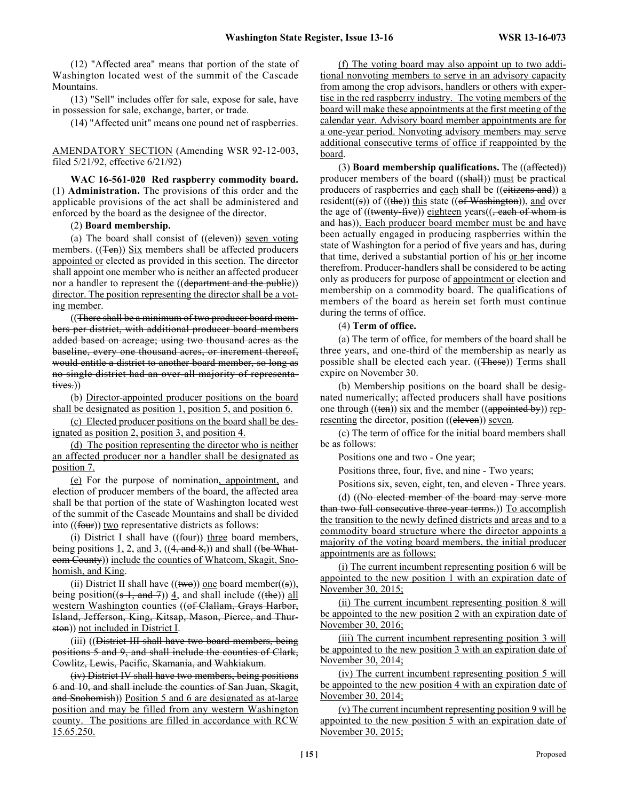(12) "Affected area" means that portion of the state of Washington located west of the summit of the Cascade Mountains.

(13) "Sell" includes offer for sale, expose for sale, have in possession for sale, exchange, barter, or trade.

(14) "Affected unit" means one pound net of raspberries.

AMENDATORY SECTION (Amending WSR 92-12-003, filed 5/21/92, effective 6/21/92)

**WAC 16-561-020 Red raspberry commodity board.** (1) **Administration.** The provisions of this order and the applicable provisions of the act shall be administered and enforced by the board as the designee of the director.

(2) **Board membership.**

(a) The board shall consist of ((eleven)) seven voting members.  $((Ten))$  Six members shall be affected producers appointed or elected as provided in this section. The director shall appoint one member who is neither an affected producer nor a handler to represent the ((department and the public)) director. The position representing the director shall be a voting member.

((There shall be a minimum of two producer board members per district, with additional producer board members added based on acreage; using two thousand acres as the baseline, every one thousand acres, or increment thereof, would entitle a district to another board member, so long as no single district had an over-all majority of representatives.))

(b) Director-appointed producer positions on the board shall be designated as position 1, position 5, and position 6.

(c) Elected producer positions on the board shall be designated as position 2, position 3, and position 4.

(d) The position representing the director who is neither an affected producer nor a handler shall be designated as position 7.

(e) For the purpose of nomination, appointment, and election of producer members of the board, the affected area shall be that portion of the state of Washington located west of the summit of the Cascade Mountains and shall be divided into ((four)) two representative districts as follows:

(i) District I shall have  $((four))$  three board members, being positions  $1, 2$ , and 3, ((4, and 8,)) and shall ((be Whatcom County)) include the counties of Whatcom, Skagit, Snohomish, and King.

(ii) District II shall have  $((\text{two}))$  one board member((s)), being position( $(s - 1, \text{ and } 7)$ ) 4, and shall include ((the)) all western Washington counties ((of Clallam, Grays Harbor, Island, Jefferson, King, Kitsap, Mason, Pierce, and Thurston)) not included in District I.

(iii) ((District III shall have two board members, being positions 5 and 9, and shall include the counties of Clark, Cowlitz, Lewis, Pacific, Skamania, and Wahkiakum.

(iv) District IV shall have two members, being positions 6 and 10, and shall include the counties of San Juan, Skagit, and Snohomish)) Position 5 and 6 are designated as at-large position and may be filled from any western Washington county. The positions are filled in accordance with RCW 15.65.250.

(f) The voting board may also appoint up to two additional nonvoting members to serve in an advisory capacity from among the crop advisors, handlers or others with expertise in the red raspberry industry. The voting members of the board will make these appointments at the first meeting of the calendar year. Advisory board member appointments are for a one-year period. Nonvoting advisory members may serve additional consecutive terms of office if reappointed by the board.

(3) **Board membership qualifications.** The ((affected)) producer members of the board ((shall)) must be practical producers of raspberries and each shall be (( $e$ itizens and))  $\underline{a}$ resident((s)) of ((the)) this state ((of Washington)), and over the age of  $((\text{~~twenty-five~~)) eighteen years $((\text{,-each of whom is})$$ and has)). Each producer board member must be and have been actually engaged in producing raspberries within the state of Washington for a period of five years and has, during that time, derived a substantial portion of his or her income therefrom. Producer-handlers shall be considered to be acting only as producers for purpose of appointment or election and membership on a commodity board. The qualifications of members of the board as herein set forth must continue during the terms of office.

(4) **Term of office.**

(a) The term of office, for members of the board shall be three years, and one-third of the membership as nearly as possible shall be elected each year.  $((\text{These}))$  Terms shall expire on November 30.

(b) Membership positions on the board shall be designated numerically; affected producers shall have positions one through  $((ten))$  six and the member  $((appointed by))$  representing the director, position ((eleven)) seven.

(c) The term of office for the initial board members shall be as follows:

Positions one and two - One year;

Positions three, four, five, and nine - Two years;

Positions six, seven, eight, ten, and eleven - Three years.

(d) ((No elected member of the board may serve more than two full consecutive three-year terms.)) To accomplish the transition to the newly defined districts and areas and to a commodity board structure where the director appoints a majority of the voting board members, the initial producer appointments are as follows:

(i) The current incumbent representing position 6 will be appointed to the new position 1 with an expiration date of November 30, 2015;

(ii) The current incumbent representing position 8 will be appointed to the new position 2 with an expiration date of November 30, 2016;

(iii) The current incumbent representing position 3 will be appointed to the new position 3 with an expiration date of November 30, 2014;

(iv) The current incumbent representing position 5 will be appointed to the new position 4 with an expiration date of November 30, 2014;

(v) The current incumbent representing position 9 will be appointed to the new position 5 with an expiration date of November 30, 2015;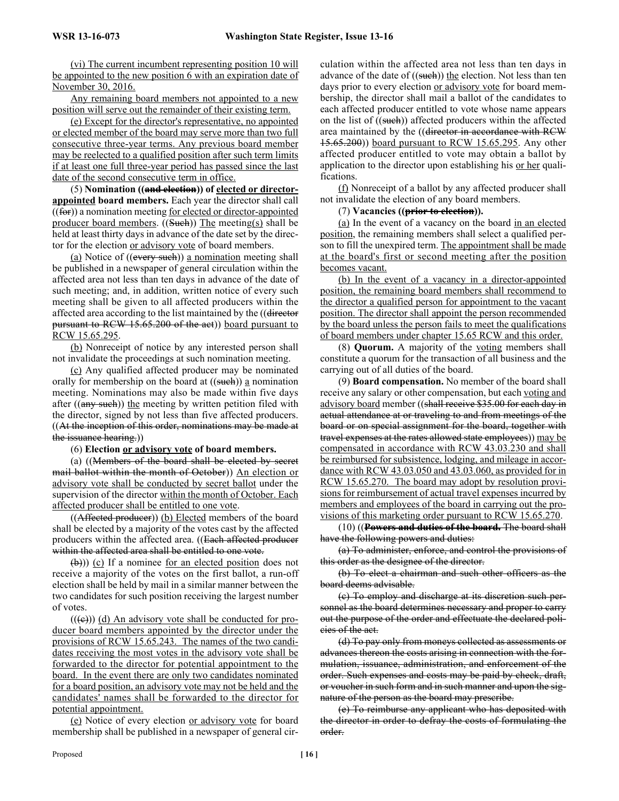(vi) The current incumbent representing position 10 will be appointed to the new position 6 with an expiration date of November 30, 2016.

Any remaining board members not appointed to a new position will serve out the remainder of their existing term.

(e) Except for the director's representative, no appointed or elected member of the board may serve more than two full consecutive three-year terms. Any previous board member may be reelected to a qualified position after such term limits if at least one full three-year period has passed since the last date of the second consecutive term in office.

(5) **Nomination ((and election)) of elected or directorappointed board members.** Each year the director shall call  $((**for**))$  a nomination meeting <u>for elected or director-appointed</u> producer board members.  $((\text{Such}))$  The meeting(s) shall be held at least thirty days in advance of the date set by the director for the election or advisory vote of board members.

(a) Notice of ((every such)) a nomination meeting shall be published in a newspaper of general circulation within the affected area not less than ten days in advance of the date of such meeting; and, in addition, written notice of every such meeting shall be given to all affected producers within the affected area according to the list maintained by the ((director pursuant to RCW 15.65.200 of the act)) board pursuant to RCW 15.65.295.

(b) Nonreceipt of notice by any interested person shall not invalidate the proceedings at such nomination meeting.

(c) Any qualified affected producer may be nominated orally for membership on the board at  $((\text{such}))$  a nomination meeting. Nominations may also be made within five days after  $((any such))$  the meeting by written petition filed with the director, signed by not less than five affected producers. ((At the inception of this order, nominations may be made at the issuance hearing.))

#### (6) **Election or advisory vote of board members.**

(a) ((Members of the board shall be elected by secret mail ballot within the month of October)) An election or advisory vote shall be conducted by secret ballot under the supervision of the director within the month of October. Each affected producer shall be entitled to one vote.

((Affected producer)) (b) Elected members of the board shall be elected by a majority of the votes cast by the affected producers within the affected area. ((Each affected producer within the affected area shall be entitled to one vote.

(b))) (c) If a nominee <u>for an elected position</u> does not receive a majority of the votes on the first ballot, a run-off election shall be held by mail in a similar manner between the two candidates for such position receiving the largest number of votes.

 $((\text{e}))$  (d) An advisory vote shall be conducted for producer board members appointed by the director under the provisions of RCW 15.65.243. The names of the two candidates receiving the most votes in the advisory vote shall be forwarded to the director for potential appointment to the board. In the event there are only two candidates nominated for a board position, an advisory vote may not be held and the candidates' names shall be forwarded to the director for potential appointment.

(e) Notice of every election or advisory vote for board membership shall be published in a newspaper of general circulation within the affected area not less than ten days in advance of the date of  $((\text{such}))$  the election. Not less than ten days prior to every election <u>or advisory vote</u> for board membership, the director shall mail a ballot of the candidates to each affected producer entitled to vote whose name appears on the list of  $((\text{such}))$  affected producers within the affected area maintained by the ((director in accordance with RCW 15.65.200)) board pursuant to RCW 15.65.295. Any other affected producer entitled to vote may obtain a ballot by application to the director upon establishing his or her qualifications.

(f) Nonreceipt of a ballot by any affected producer shall not invalidate the election of any board members.

# (7) **Vacancies ((prior to election)).**

(a) In the event of a vacancy on the board in an elected position, the remaining members shall select a qualified person to fill the unexpired term. The appointment shall be made at the board's first or second meeting after the position becomes vacant.

(b) In the event of a vacancy in a director-appointed position, the remaining board members shall recommend to the director a qualified person for appointment to the vacant position. The director shall appoint the person recommended by the board unless the person fails to meet the qualifications of board members under chapter 15.65 RCW and this order.

(8) **Quorum.** A majority of the voting members shall constitute a quorum for the transaction of all business and the carrying out of all duties of the board.

(9) **Board compensation.** No member of the board shall receive any salary or other compensation, but each voting and advisory board member ((shall receive \$35.00 for each day in actual attendance at or traveling to and from meetings of the board or on special assignment for the board, together with travel expenses at the rates allowed state employees)) may be compensated in accordance with RCW 43.03.230 and shall be reimbursed for subsistence, lodging, and mileage in accordance with RCW 43.03.050 and 43.03.060, as provided for in RCW 15.65.270. The board may adopt by resolution provisions for reimbursement of actual travel expenses incurred by members and employees of the board in carrying out the provisions of this marketing order pursuant to RCW 15.65.270.

(10) ((**Powers and duties of the board.** The board shall have the following powers and duties:

(a) To administer, enforce, and control the provisions of this order as the designee of the director.

(b) To elect a chairman and such other officers as the board deems advisable.

(c) To employ and discharge at its discretion such personnel as the board determines necessary and proper to carry out the purpose of the order and effectuate the declared policies of the act.

(d) To pay only from moneys collected as assessments or advances thereon the costs arising in connection with the formulation, issuance, administration, and enforcement of the order. Such expenses and costs may be paid by check, draft, or voucher in such form and in such manner and upon the signature of the person as the board may prescribe.

(e) To reimburse any applicant who has deposited with the director in order to defray the costs of formulating the order.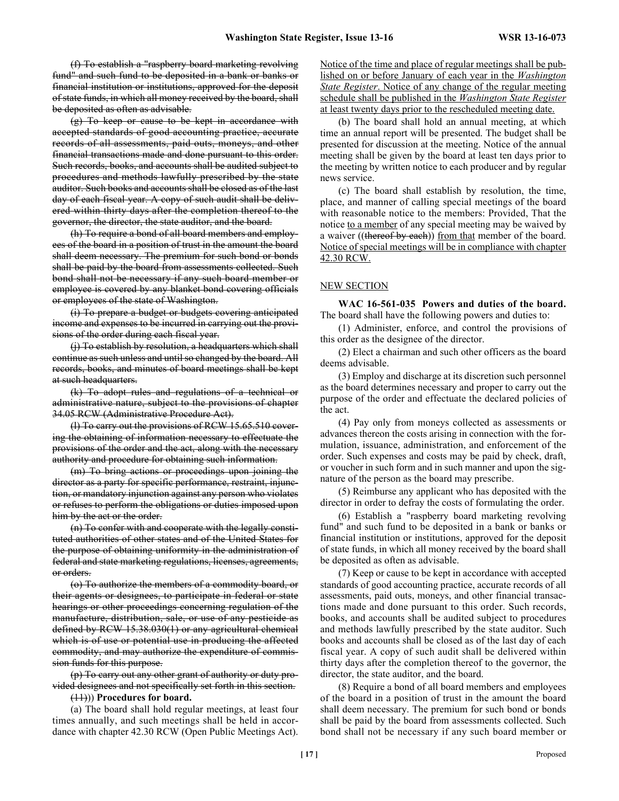(f) To establish a "raspberry board marketing revolving fund" and such fund to be deposited in a bank or banks or financial institution or institutions, approved for the deposit of state funds, in which all money received by the board, shall be deposited as often as advisable.

(g) To keep or cause to be kept in accordance with accepted standards of good accounting practice, accurate records of all assessments, paid outs, moneys, and other financial transactions made and done pursuant to this order. Such records, books, and accounts shall be audited subject to procedures and methods lawfully prescribed by the state auditor. Such books and accounts shall be closed as of the last day of each fiscal year. A copy of such audit shall be delivered within thirty days after the completion thereof to the governor, the director, the state auditor, and the board.

(h) To require a bond of all board members and employees of the board in a position of trust in the amount the board shall deem necessary. The premium for such bond or bonds shall be paid by the board from assessments collected. Such bond shall not be necessary if any such board member or employee is covered by any blanket bond covering officials or employees of the state of Washington.

(i) To prepare a budget or budgets covering anticipated income and expenses to be incurred in carrying out the provisions of the order during each fiscal year.

(j) To establish by resolution, a headquarters which shall continue as such unless and until so changed by the board. All records, books, and minutes of board meetings shall be kept at such headquarters.

(k) To adopt rules and regulations of a technical or administrative nature, subject to the provisions of chapter 34.05 RCW (Administrative Procedure Act).

(l) To carry out the provisions of RCW 15.65.510 covering the obtaining of information necessary to effectuate the provisions of the order and the act, along with the necessary authority and procedure for obtaining such information.

(m) To bring actions or proceedings upon joining the director as a party for specific performance, restraint, injunction, or mandatory injunction against any person who violates or refuses to perform the obligations or duties imposed upon him by the act or the order.

(n) To confer with and cooperate with the legally constituted authorities of other states and of the United States for the purpose of obtaining uniformity in the administration of federal and state marketing regulations, licenses, agreements, or orders.

(o) To authorize the members of a commodity board, or their agents or designees, to participate in federal or state hearings or other proceedings concerning regulation of the manufacture, distribution, sale, or use of any pesticide as defined by RCW 15.38.030(1) or any agricultural chemical which is of use or potential use in producing the affected commodity, and may authorize the expenditure of commission funds for this purpose.

(p) To carry out any other grant of authority or duty provided designees and not specifically set forth in this section.

#### (11))) **Procedures for board.**

(a) The board shall hold regular meetings, at least four times annually, and such meetings shall be held in accordance with chapter 42.30 RCW (Open Public Meetings Act).

Notice of the time and place of regular meetings shall be published on or before January of each year in the *Washington State Register*. Notice of any change of the regular meeting schedule shall be published in the *Washington State Register* at least twenty days prior to the rescheduled meeting date.

(b) The board shall hold an annual meeting, at which time an annual report will be presented. The budget shall be presented for discussion at the meeting. Notice of the annual meeting shall be given by the board at least ten days prior to the meeting by written notice to each producer and by regular news service.

(c) The board shall establish by resolution, the time, place, and manner of calling special meetings of the board with reasonable notice to the members: Provided, That the notice to a member of any special meeting may be waived by a waiver ((thereof by each)) from that member of the board. Notice of special meetings will be in compliance with chapter 42.30 RCW.

#### NEW SECTION

**WAC 16-561-035 Powers and duties of the board.** The board shall have the following powers and duties to:

(1) Administer, enforce, and control the provisions of this order as the designee of the director.

(2) Elect a chairman and such other officers as the board deems advisable.

(3) Employ and discharge at its discretion such personnel as the board determines necessary and proper to carry out the purpose of the order and effectuate the declared policies of the act.

(4) Pay only from moneys collected as assessments or advances thereon the costs arising in connection with the formulation, issuance, administration, and enforcement of the order. Such expenses and costs may be paid by check, draft, or voucher in such form and in such manner and upon the signature of the person as the board may prescribe.

(5) Reimburse any applicant who has deposited with the director in order to defray the costs of formulating the order.

(6) Establish a "raspberry board marketing revolving fund" and such fund to be deposited in a bank or banks or financial institution or institutions, approved for the deposit of state funds, in which all money received by the board shall be deposited as often as advisable.

(7) Keep or cause to be kept in accordance with accepted standards of good accounting practice, accurate records of all assessments, paid outs, moneys, and other financial transactions made and done pursuant to this order. Such records, books, and accounts shall be audited subject to procedures and methods lawfully prescribed by the state auditor. Such books and accounts shall be closed as of the last day of each fiscal year. A copy of such audit shall be delivered within thirty days after the completion thereof to the governor, the director, the state auditor, and the board.

(8) Require a bond of all board members and employees of the board in a position of trust in the amount the board shall deem necessary. The premium for such bond or bonds shall be paid by the board from assessments collected. Such bond shall not be necessary if any such board member or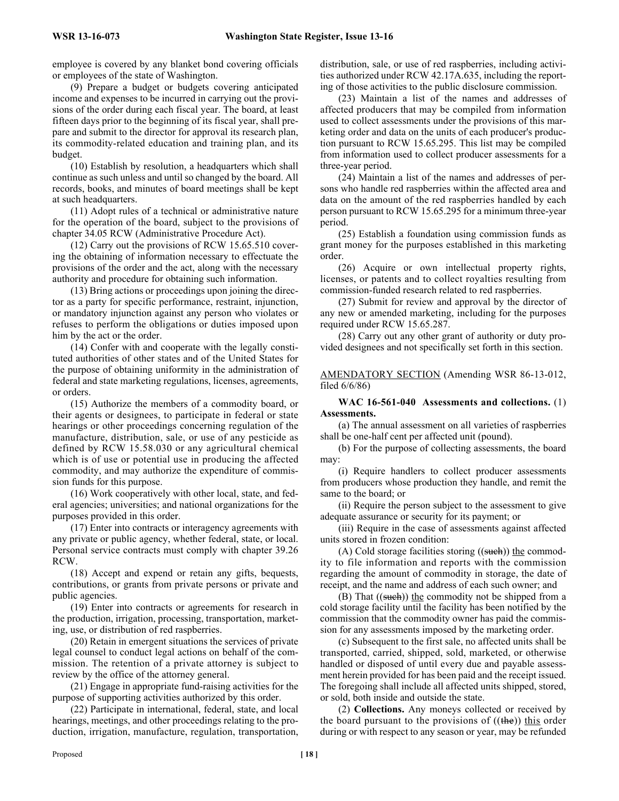employee is covered by any blanket bond covering officials or employees of the state of Washington.

(9) Prepare a budget or budgets covering anticipated income and expenses to be incurred in carrying out the provisions of the order during each fiscal year. The board, at least fifteen days prior to the beginning of its fiscal year, shall prepare and submit to the director for approval its research plan, its commodity-related education and training plan, and its budget.

(10) Establish by resolution, a headquarters which shall continue as such unless and until so changed by the board. All records, books, and minutes of board meetings shall be kept at such headquarters.

(11) Adopt rules of a technical or administrative nature for the operation of the board, subject to the provisions of chapter 34.05 RCW (Administrative Procedure Act).

(12) Carry out the provisions of RCW 15.65.510 covering the obtaining of information necessary to effectuate the provisions of the order and the act, along with the necessary authority and procedure for obtaining such information.

(13) Bring actions or proceedings upon joining the director as a party for specific performance, restraint, injunction, or mandatory injunction against any person who violates or refuses to perform the obligations or duties imposed upon him by the act or the order.

(14) Confer with and cooperate with the legally constituted authorities of other states and of the United States for the purpose of obtaining uniformity in the administration of federal and state marketing regulations, licenses, agreements, or orders.

(15) Authorize the members of a commodity board, or their agents or designees, to participate in federal or state hearings or other proceedings concerning regulation of the manufacture, distribution, sale, or use of any pesticide as defined by RCW 15.58.030 or any agricultural chemical which is of use or potential use in producing the affected commodity, and may authorize the expenditure of commission funds for this purpose.

(16) Work cooperatively with other local, state, and federal agencies; universities; and national organizations for the purposes provided in this order.

(17) Enter into contracts or interagency agreements with any private or public agency, whether federal, state, or local. Personal service contracts must comply with chapter 39.26 RCW.

(18) Accept and expend or retain any gifts, bequests, contributions, or grants from private persons or private and public agencies.

(19) Enter into contracts or agreements for research in the production, irrigation, processing, transportation, marketing, use, or distribution of red raspberries.

(20) Retain in emergent situations the services of private legal counsel to conduct legal actions on behalf of the commission. The retention of a private attorney is subject to review by the office of the attorney general.

(21) Engage in appropriate fund-raising activities for the purpose of supporting activities authorized by this order.

(22) Participate in international, federal, state, and local hearings, meetings, and other proceedings relating to the production, irrigation, manufacture, regulation, transportation, distribution, sale, or use of red raspberries, including activities authorized under RCW 42.17A.635, including the reporting of those activities to the public disclosure commission.

(23) Maintain a list of the names and addresses of affected producers that may be compiled from information used to collect assessments under the provisions of this marketing order and data on the units of each producer's production pursuant to RCW 15.65.295. This list may be compiled from information used to collect producer assessments for a three-year period.

(24) Maintain a list of the names and addresses of persons who handle red raspberries within the affected area and data on the amount of the red raspberries handled by each person pursuant to RCW 15.65.295 for a minimum three-year period.

(25) Establish a foundation using commission funds as grant money for the purposes established in this marketing order.

(26) Acquire or own intellectual property rights, licenses, or patents and to collect royalties resulting from commission-funded research related to red raspberries.

(27) Submit for review and approval by the director of any new or amended marketing, including for the purposes required under RCW 15.65.287.

(28) Carry out any other grant of authority or duty provided designees and not specifically set forth in this section.

#### AMENDATORY SECTION (Amending WSR 86-13-012, filed 6/6/86)

#### **WAC 16-561-040 Assessments and collections.** (1) **Assessments.**

(a) The annual assessment on all varieties of raspberries shall be one-half cent per affected unit (pound).

(b) For the purpose of collecting assessments, the board may:

(i) Require handlers to collect producer assessments from producers whose production they handle, and remit the same to the board; or

(ii) Require the person subject to the assessment to give adequate assurance or security for its payment; or

(iii) Require in the case of assessments against affected units stored in frozen condition:

(A) Cold storage facilities storing  $((\text{such}))$  the commodity to file information and reports with the commission regarding the amount of commodity in storage, the date of receipt, and the name and address of each such owner; and

(B) That  $((\text{such})\)$  the commodity not be shipped from a cold storage facility until the facility has been notified by the commission that the commodity owner has paid the commission for any assessments imposed by the marketing order.

(c) Subsequent to the first sale, no affected units shall be transported, carried, shipped, sold, marketed, or otherwise handled or disposed of until every due and payable assessment herein provided for has been paid and the receipt issued. The foregoing shall include all affected units shipped, stored, or sold, both inside and outside the state.

(2) **Collections.** Any moneys collected or received by the board pursuant to the provisions of  $((the))$  this order during or with respect to any season or year, may be refunded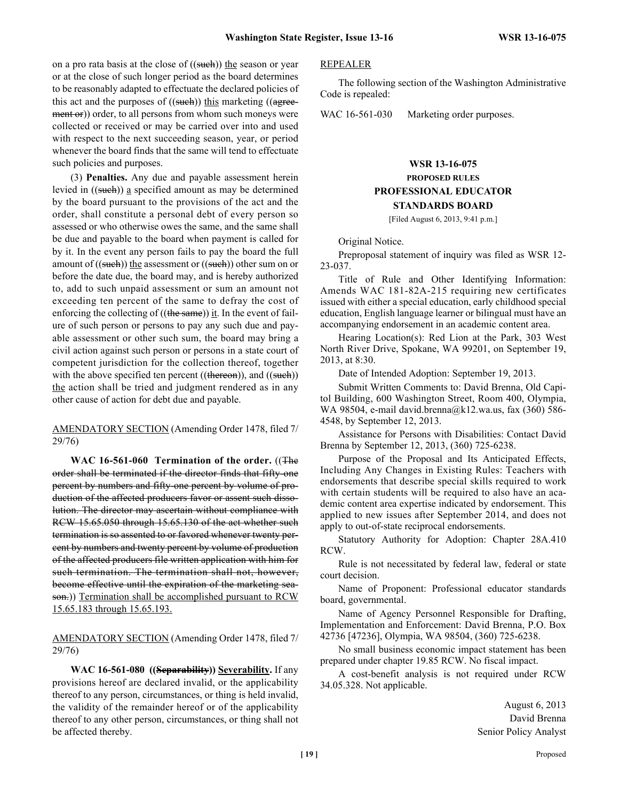on a pro rata basis at the close of  $((\text{such})$  the season or year or at the close of such longer period as the board determines to be reasonably adapted to effectuate the declared policies of this act and the purposes of  $((\text{such})\)$  this marketing  $((\text{agree})\)$ ment or)) order, to all persons from whom such moneys were collected or received or may be carried over into and used with respect to the next succeeding season, year, or period whenever the board finds that the same will tend to effectuate such policies and purposes.

(3) **Penalties.** Any due and payable assessment herein levied in ((such)) a specified amount as may be determined by the board pursuant to the provisions of the act and the order, shall constitute a personal debt of every person so assessed or who otherwise owes the same, and the same shall be due and payable to the board when payment is called for by it. In the event any person fails to pay the board the full amount of  $((\text{such})\)$  the assessment or  $((\text{such})\)$  other sum on or before the date due, the board may, and is hereby authorized to, add to such unpaid assessment or sum an amount not exceeding ten percent of the same to defray the cost of enforcing the collecting of  $((the same))$  it. In the event of failure of such person or persons to pay any such due and payable assessment or other such sum, the board may bring a civil action against such person or persons in a state court of competent jurisdiction for the collection thereof, together with the above specified ten percent  $((\text{thereon}))$ , and  $((\text{such}))$ the action shall be tried and judgment rendered as in any other cause of action for debt due and payable.

AMENDATORY SECTION (Amending Order 1478, filed 7/ 29/76)

**WAC 16-561-060 Termination of the order.** ((The order shall be terminated if the director finds that fifty-one percent by numbers and fifty-one percent by volume of production of the affected producers favor or assent such dissolution. The director may ascertain without compliance with RCW 15.65.050 through 15.65.130 of the act whether such termination is so assented to or favored whenever twenty percent by numbers and twenty percent by volume of production of the affected producers file written application with him for such termination. The termination shall not, however, become effective until the expiration of the marketing season.)) Termination shall be accomplished pursuant to RCW 15.65.183 through 15.65.193.

AMENDATORY SECTION (Amending Order 1478, filed 7/ 29/76)

**WAC 16-561-080 ((Separability)) Severability.** If any provisions hereof are declared invalid, or the applicability thereof to any person, circumstances, or thing is held invalid, the validity of the remainder hereof or of the applicability thereof to any other person, circumstances, or thing shall not be affected thereby.

#### REPEALER

The following section of the Washington Administrative Code is repealed:

WAC 16-561-030 Marketing order purposes.

# **WSR 13-16-075 PROPOSED RULES PROFESSIONAL EDUCATOR STANDARDS BOARD**

[Filed August 6, 2013, 9:41 p.m.]

Original Notice.

Preproposal statement of inquiry was filed as WSR 12- 23-037.

Title of Rule and Other Identifying Information: Amends WAC 181-82A-215 requiring new certificates issued with either a special education, early childhood special education, English language learner or bilingual must have an accompanying endorsement in an academic content area.

Hearing Location(s): Red Lion at the Park, 303 West North River Drive, Spokane, WA 99201, on September 19, 2013, at 8:30.

Date of Intended Adoption: September 19, 2013.

Submit Written Comments to: David Brenna, Old Capitol Building, 600 Washington Street, Room 400, Olympia, WA 98504, e-mail david.brenna@k12.wa.us, fax (360) 586- 4548, by September 12, 2013.

Assistance for Persons with Disabilities: Contact David Brenna by September 12, 2013, (360) 725-6238.

Purpose of the Proposal and Its Anticipated Effects, Including Any Changes in Existing Rules: Teachers with endorsements that describe special skills required to work with certain students will be required to also have an academic content area expertise indicated by endorsement. This applied to new issues after September 2014, and does not apply to out-of-state reciprocal endorsements.

Statutory Authority for Adoption: Chapter 28A.410 RCW.

Rule is not necessitated by federal law, federal or state court decision.

Name of Proponent: Professional educator standards board, governmental.

Name of Agency Personnel Responsible for Drafting, Implementation and Enforcement: David Brenna, P.O. Box 42736 [47236], Olympia, WA 98504, (360) 725-6238.

No small business economic impact statement has been prepared under chapter 19.85 RCW. No fiscal impact.

A cost-benefit analysis is not required under RCW 34.05.328. Not applicable.

> August 6, 2013 David Brenna Senior Policy Analyst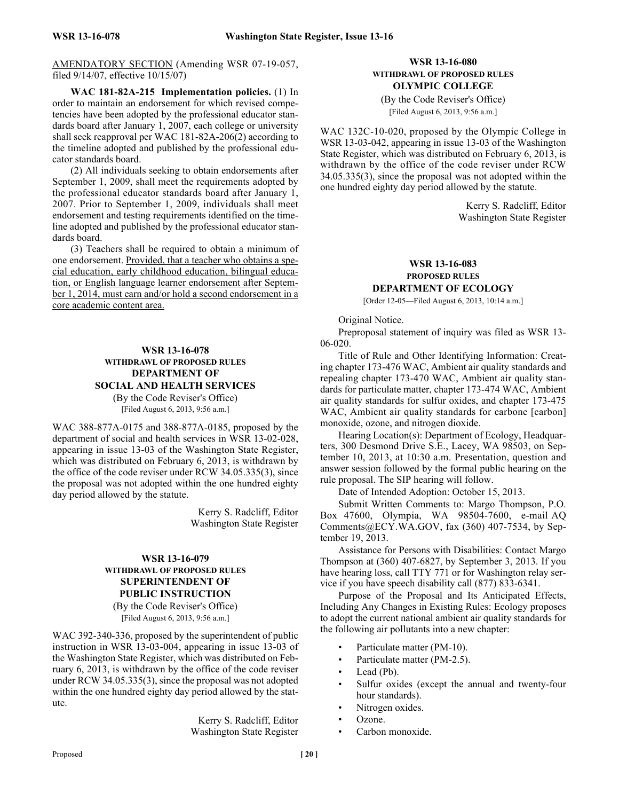AMENDATORY SECTION (Amending WSR 07-19-057, filed 9/14/07, effective 10/15/07)

**WAC 181-82A-215 Implementation policies.** (1) In order to maintain an endorsement for which revised competencies have been adopted by the professional educator standards board after January 1, 2007, each college or university shall seek reapproval per WAC 181-82A-206(2) according to the timeline adopted and published by the professional educator standards board.

(2) All individuals seeking to obtain endorsements after September 1, 2009, shall meet the requirements adopted by the professional educator standards board after January 1, 2007. Prior to September 1, 2009, individuals shall meet endorsement and testing requirements identified on the timeline adopted and published by the professional educator standards board.

(3) Teachers shall be required to obtain a minimum of one endorsement. Provided, that a teacher who obtains a special education, early childhood education, bilingual education, or English language learner endorsement after September 1, 2014, must earn and/or hold a second endorsement in a core academic content area.

### **WSR 13-16-078 WITHDRAWL OF PROPOSED RULES DEPARTMENT OF SOCIAL AND HEALTH SERVICES**

(By the Code Reviser's Office) [Filed August 6, 2013, 9:56 a.m.]

WAC 388-877A-0175 and 388-877A-0185, proposed by the department of social and health services in WSR 13-02-028, appearing in issue 13-03 of the Washington State Register, which was distributed on February 6, 2013, is withdrawn by the office of the code reviser under RCW 34.05.335(3), since the proposal was not adopted within the one hundred eighty day period allowed by the statute.

> Kerry S. Radcliff, Editor Washington State Register

# **WSR 13-16-079 WITHDRAWL OF PROPOSED RULES SUPERINTENDENT OF PUBLIC INSTRUCTION**

(By the Code Reviser's Office) [Filed August 6, 2013, 9:56 a.m.]

WAC 392-340-336, proposed by the superintendent of public instruction in WSR 13-03-004, appearing in issue 13-03 of the Washington State Register, which was distributed on February 6, 2013, is withdrawn by the office of the code reviser under RCW 34.05.335(3), since the proposal was not adopted within the one hundred eighty day period allowed by the statute.

> Kerry S. Radcliff, Editor Washington State Register

# **WSR 13-16-080 WITHDRAWL OF PROPOSED RULES OLYMPIC COLLEGE**

(By the Code Reviser's Office) [Filed August 6, 2013, 9:56 a.m.]

WAC 132C-10-020, proposed by the Olympic College in WSR 13-03-042, appearing in issue 13-03 of the Washington State Register, which was distributed on February 6, 2013, is withdrawn by the office of the code reviser under RCW 34.05.335(3), since the proposal was not adopted within the one hundred eighty day period allowed by the statute.

> Kerry S. Radcliff, Editor Washington State Register

# **WSR 13-16-083 PROPOSED RULES DEPARTMENT OF ECOLOGY**

[Order 12-05—Filed August 6, 2013, 10:14 a.m.]

Original Notice.

Preproposal statement of inquiry was filed as WSR 13- 06-020.

Title of Rule and Other Identifying Information: Creating chapter 173-476 WAC, Ambient air quality standards and repealing chapter 173-470 WAC, Ambient air quality standards for particulate matter, chapter 173-474 WAC, Ambient air quality standards for sulfur oxides, and chapter 173-475 WAC, Ambient air quality standards for carbone [carbon] monoxide, ozone, and nitrogen dioxide.

Hearing Location(s): Department of Ecology, Headquarters, 300 Desmond Drive S.E., Lacey, WA 98503, on September 10, 2013, at 10:30 a.m. Presentation, question and answer session followed by the formal public hearing on the rule proposal. The SIP hearing will follow.

Date of Intended Adoption: October 15, 2013.

Submit Written Comments to: Margo Thompson, P.O. Box 47600, Olympia, WA 98504-7600, e-mail AQ Comments@ECY.WA.GOV, fax (360) 407-7534, by September 19, 2013.

Assistance for Persons with Disabilities: Contact Margo Thompson at (360) 407-6827, by September 3, 2013. If you have hearing loss, call TTY 771 or for Washington relay service if you have speech disability call (877) 833-6341.

Purpose of the Proposal and Its Anticipated Effects, Including Any Changes in Existing Rules: Ecology proposes to adopt the current national ambient air quality standards for the following air pollutants into a new chapter:

- Particulate matter (PM-10).
- Particulate matter (PM-2.5).
- Lead (Pb).
- Sulfur oxides (except the annual and twenty-four hour standards).
- Nitrogen oxides.
- Ozone.
- Carbon monoxide.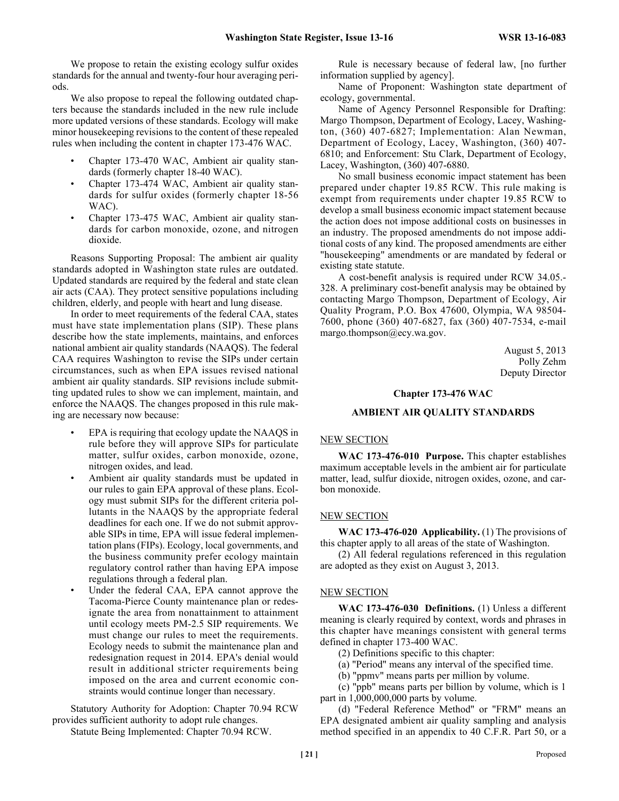We propose to retain the existing ecology sulfur oxides standards for the annual and twenty-four hour averaging periods.

We also propose to repeal the following outdated chapters because the standards included in the new rule include more updated versions of these standards. Ecology will make minor housekeeping revisions to the content of these repealed rules when including the content in chapter 173-476 WAC.

- Chapter 173-470 WAC, Ambient air quality standards (formerly chapter 18-40 WAC).
- Chapter 173-474 WAC, Ambient air quality standards for sulfur oxides (formerly chapter 18-56 WAC).
- Chapter 173-475 WAC, Ambient air quality standards for carbon monoxide, ozone, and nitrogen dioxide.

Reasons Supporting Proposal: The ambient air quality standards adopted in Washington state rules are outdated. Updated standards are required by the federal and state clean air acts (CAA). They protect sensitive populations including children, elderly, and people with heart and lung disease.

In order to meet requirements of the federal CAA, states must have state implementation plans (SIP). These plans describe how the state implements, maintains, and enforces national ambient air quality standards (NAAQS). The federal CAA requires Washington to revise the SIPs under certain circumstances, such as when EPA issues revised national ambient air quality standards. SIP revisions include submitting updated rules to show we can implement, maintain, and enforce the NAAQS. The changes proposed in this rule making are necessary now because:

- EPA is requiring that ecology update the NAAQS in rule before they will approve SIPs for particulate matter, sulfur oxides, carbon monoxide, ozone, nitrogen oxides, and lead.
- Ambient air quality standards must be updated in our rules to gain EPA approval of these plans. Ecology must submit SIPs for the different criteria pollutants in the NAAQS by the appropriate federal deadlines for each one. If we do not submit approvable SIPs in time, EPA will issue federal implementation plans (FIPs). Ecology, local governments, and the business community prefer ecology maintain regulatory control rather than having EPA impose regulations through a federal plan.
- Under the federal CAA, EPA cannot approve the Tacoma-Pierce County maintenance plan or redesignate the area from nonattainment to attainment until ecology meets PM-2.5 SIP requirements. We must change our rules to meet the requirements. Ecology needs to submit the maintenance plan and redesignation request in 2014. EPA's denial would result in additional stricter requirements being imposed on the area and current economic constraints would continue longer than necessary.

Statutory Authority for Adoption: Chapter 70.94 RCW provides sufficient authority to adopt rule changes.

Statute Being Implemented: Chapter 70.94 RCW.

Rule is necessary because of federal law, [no further information supplied by agency].

Name of Proponent: Washington state department of ecology, governmental.

Name of Agency Personnel Responsible for Drafting: Margo Thompson, Department of Ecology, Lacey, Washington, (360) 407-6827; Implementation: Alan Newman, Department of Ecology, Lacey, Washington, (360) 407- 6810; and Enforcement: Stu Clark, Department of Ecology, Lacey, Washington, (360) 407-6880.

No small business economic impact statement has been prepared under chapter 19.85 RCW. This rule making is exempt from requirements under chapter 19.85 RCW to develop a small business economic impact statement because the action does not impose additional costs on businesses in an industry. The proposed amendments do not impose additional costs of any kind. The proposed amendments are either "housekeeping" amendments or are mandated by federal or existing state statute.

A cost-benefit analysis is required under RCW 34.05.- 328. A preliminary cost-benefit analysis may be obtained by contacting Margo Thompson, Department of Ecology, Air Quality Program, P.O. Box 47600, Olympia, WA 98504- 7600, phone (360) 407-6827, fax (360) 407-7534, e-mail margo.thompson@ecy.wa.gov.

> August 5, 2013 Polly Zehm Deputy Director

#### **Chapter 173-476 WAC**

#### **AMBIENT AIR QUALITY STANDARDS**

# NEW SECTION

**WAC 173-476-010 Purpose.** This chapter establishes maximum acceptable levels in the ambient air for particulate matter, lead, sulfur dioxide, nitrogen oxides, ozone, and carbon monoxide.

#### NEW SECTION

**WAC 173-476-020 Applicability.** (1) The provisions of this chapter apply to all areas of the state of Washington.

(2) All federal regulations referenced in this regulation are adopted as they exist on August 3, 2013.

#### NEW SECTION

**WAC 173-476-030 Definitions.** (1) Unless a different meaning is clearly required by context, words and phrases in this chapter have meanings consistent with general terms defined in chapter 173-400 WAC.

- (2) Definitions specific to this chapter:
- (a) "Period" means any interval of the specified time.
- (b) "ppmv" means parts per million by volume.

(c) "ppb" means parts per billion by volume, which is 1 part in 1,000,000,000 parts by volume.

(d) "Federal Reference Method" or "FRM" means an EPA designated ambient air quality sampling and analysis method specified in an appendix to 40 C.F.R. Part 50, or a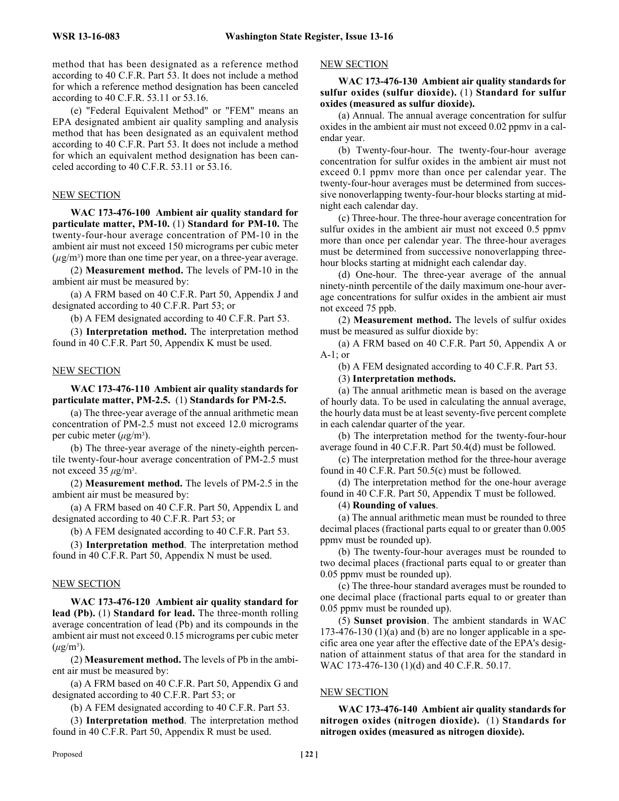method that has been designated as a reference method according to 40 C.F.R. Part 53. It does not include a method for which a reference method designation has been canceled according to 40 C.F.R. 53.11 or 53.16.

(e) "Federal Equivalent Method" or "FEM" means an EPA designated ambient air quality sampling and analysis method that has been designated as an equivalent method according to 40 C.F.R. Part 53. It does not include a method for which an equivalent method designation has been canceled according to 40 C.F.R. 53.11 or 53.16.

#### NEW SECTION

**WAC 173-476-100 Ambient air quality standard for particulate matter, PM-10.** (1) **Standard for PM-10.** The twenty-four-hour average concentration of PM-10 in the ambient air must not exceed 150 micrograms per cubic meter  $(\mu g/m^3)$  more than one time per year, on a three-year average.

(2) **Measurement method.** The levels of PM-10 in the ambient air must be measured by:

(a) A FRM based on 40 C.F.R. Part 50, Appendix J and designated according to 40 C.F.R. Part 53; or

(b) A FEM designated according to 40 C.F.R. Part 53.

(3) **Interpretation method.** The interpretation method found in 40 C.F.R. Part 50, Appendix K must be used.

#### NEW SECTION

**WAC 173-476-110 Ambient air quality standards for particulate matter, PM-2.5.** (1) **Standards for PM-2.5.**

(a) The three-year average of the annual arithmetic mean concentration of PM-2.5 must not exceed 12.0 micrograms per cubic meter (*μ*g/m3 ).

(b) The three-year average of the ninety-eighth percentile twenty-four-hour average concentration of PM-2.5 must not exceed  $35 \mu g/m^3$ .

(2) **Measurement method.** The levels of PM-2.5 in the ambient air must be measured by:

(a) A FRM based on 40 C.F.R. Part 50, Appendix L and designated according to 40 C.F.R. Part 53; or

(b) A FEM designated according to 40 C.F.R. Part 53.

(3) **Interpretation method**. The interpretation method found in 40 C.F.R. Part 50, Appendix N must be used.

#### NEW SECTION

**WAC 173-476-120 Ambient air quality standard for lead (Pb).** (1) **Standard for lead.** The three-month rolling average concentration of lead (Pb) and its compounds in the ambient air must not exceed 0.15 micrograms per cubic meter  $(\mu$ g/m<sup>3</sup>).

(2) **Measurement method.** The levels of Pb in the ambient air must be measured by:

(a) A FRM based on 40 C.F.R. Part 50, Appendix G and designated according to 40 C.F.R. Part 53; or

(b) A FEM designated according to 40 C.F.R. Part 53.

(3) **Interpretation method**. The interpretation method found in 40 C.F.R. Part 50, Appendix R must be used.

**WAC 173-476-130 Ambient air quality standards for sulfur oxides (sulfur dioxide).** (1) **Standard for sulfur oxides (measured as sulfur dioxide).**

(a) Annual. The annual average concentration for sulfur oxides in the ambient air must not exceed 0.02 ppmv in a calendar year.

(b) Twenty-four-hour. The twenty-four-hour average concentration for sulfur oxides in the ambient air must not exceed 0.1 ppmv more than once per calendar year. The twenty-four-hour averages must be determined from successive nonoverlapping twenty-four-hour blocks starting at midnight each calendar day.

(c) Three-hour. The three-hour average concentration for sulfur oxides in the ambient air must not exceed 0.5 ppmv more than once per calendar year. The three-hour averages must be determined from successive nonoverlapping threehour blocks starting at midnight each calendar day.

(d) One-hour. The three-year average of the annual ninety-ninth percentile of the daily maximum one-hour average concentrations for sulfur oxides in the ambient air must not exceed 75 ppb.

(2) **Measurement method.** The levels of sulfur oxides must be measured as sulfur dioxide by:

(a) A FRM based on 40 C.F.R. Part 50, Appendix A or  $A-1$ ; or

(b) A FEM designated according to 40 C.F.R. Part 53.

(3) **Interpretation methods.**

(a) The annual arithmetic mean is based on the average of hourly data. To be used in calculating the annual average, the hourly data must be at least seventy-five percent complete in each calendar quarter of the year.

(b) The interpretation method for the twenty-four-hour average found in 40 C.F.R. Part 50.4(d) must be followed.

(c) The interpretation method for the three-hour average found in 40 C.F.R. Part 50.5(c) must be followed.

(d) The interpretation method for the one-hour average found in 40 C.F.R. Part 50, Appendix T must be followed.

(4) **Rounding of values**.

(a) The annual arithmetic mean must be rounded to three decimal places (fractional parts equal to or greater than 0.005 ppmv must be rounded up).

(b) The twenty-four-hour averages must be rounded to two decimal places (fractional parts equal to or greater than 0.05 ppmv must be rounded up).

(c) The three-hour standard averages must be rounded to one decimal place (fractional parts equal to or greater than 0.05 ppmv must be rounded up).

(5) **Sunset provision**. The ambient standards in WAC 173-476-130 (1)(a) and (b) are no longer applicable in a specific area one year after the effective date of the EPA's designation of attainment status of that area for the standard in WAC 173-476-130 (1)(d) and 40 C.F.R. 50.17.

#### NEW SECTION

**WAC 173-476-140 Ambient air quality standards for nitrogen oxides (nitrogen dioxide).** (1) **Standards for nitrogen oxides (measured as nitrogen dioxide).**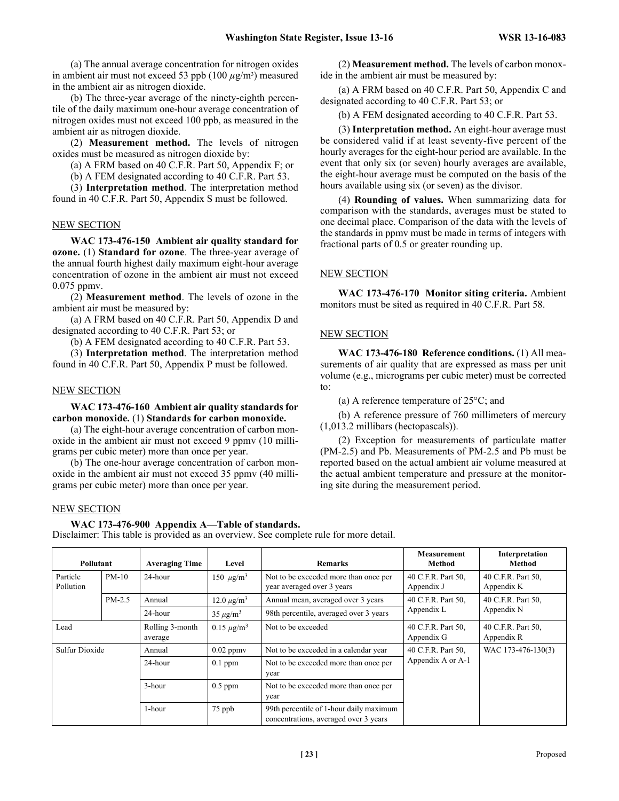(a) The annual average concentration for nitrogen oxides in ambient air must not exceed 53 ppb  $(100 \mu g/m<sup>3</sup>)$  measured in the ambient air as nitrogen dioxide.

(b) The three-year average of the ninety-eighth percentile of the daily maximum one-hour average concentration of nitrogen oxides must not exceed 100 ppb, as measured in the ambient air as nitrogen dioxide.

(2) **Measurement method.** The levels of nitrogen oxides must be measured as nitrogen dioxide by:

(a) A FRM based on 40 C.F.R. Part 50, Appendix F; or

(b) A FEM designated according to 40 C.F.R. Part 53.

(3) **Interpretation method**. The interpretation method found in 40 C.F.R. Part 50, Appendix S must be followed.

#### NEW SECTION

**WAC 173-476-150 Ambient air quality standard for ozone.** (1) **Standard for ozone**. The three-year average of the annual fourth highest daily maximum eight-hour average concentration of ozone in the ambient air must not exceed 0.075 ppmv.

(2) **Measurement method**. The levels of ozone in the ambient air must be measured by:

(a) A FRM based on 40 C.F.R. Part 50, Appendix D and designated according to 40 C.F.R. Part 53; or

(b) A FEM designated according to 40 C.F.R. Part 53.

(3) **Interpretation method**. The interpretation method found in 40 C.F.R. Part 50, Appendix P must be followed.

#### NEW SECTION

#### **WAC 173-476-160 Ambient air quality standards for carbon monoxide.** (1) **Standards for carbon monoxide.**

(a) The eight-hour average concentration of carbon monoxide in the ambient air must not exceed 9 ppmv (10 milligrams per cubic meter) more than once per year.

(b) The one-hour average concentration of carbon monoxide in the ambient air must not exceed 35 ppmv (40 milligrams per cubic meter) more than once per year.

#### NEW SECTION

# **WAC 173-476-900 Appendix A—Table of standards.**

Disclaimer: This table is provided as an overview. See complete rule for more detail.

| Pollutant             |          | <b>Averaging Time</b>      | Level                      | <b>Remarks</b>                                                                   | <b>Measurement</b><br>Method     | Interpretation<br>Method         |  |
|-----------------------|----------|----------------------------|----------------------------|----------------------------------------------------------------------------------|----------------------------------|----------------------------------|--|
| Particle<br>Pollution | $PM-10$  | 24-hour                    | 150 $\mu$ g/m <sup>3</sup> | Not to be exceeded more than once per<br>year averaged over 3 years              | 40 C.F.R. Part 50,<br>Appendix J | 40 C.F.R. Part 50,<br>Appendix K |  |
|                       | $PM-2.5$ | Annual                     | $12.0 \ \mu g/m^3$         | Annual mean, averaged over 3 years                                               | 40 C.F.R. Part 50.               | 40 C.F.R. Part 50,               |  |
|                       |          | 24-hour                    | $35 \mu g/m^3$             | 98th percentile, averaged over 3 years                                           | Appendix L                       | Appendix N                       |  |
| Lead                  |          | Rolling 3-month<br>average | $0.15 \ \mu g/m^3$         | Not to be exceeded                                                               | 40 C.F.R. Part 50.<br>Appendix G | 40 C.F.R. Part 50,<br>Appendix R |  |
| <b>Sulfur Dioxide</b> |          | Annual                     | $0.02$ ppmv                | Not to be exceeded in a calendar year                                            | 40 C.F.R. Part 50,               | WAC 173-476-130(3)               |  |
|                       |          | 24-hour                    | $0.1$ ppm                  | Not to be exceeded more than once per<br>year                                    | Appendix A or A-1                |                                  |  |
|                       |          | 3-hour                     | $0.5$ ppm                  | Not to be exceeded more than once per<br>year                                    |                                  |                                  |  |
|                       |          | 1-hour                     | 75 ppb                     | 99th percentile of 1-hour daily maximum<br>concentrations, averaged over 3 years |                                  |                                  |  |

(2) **Measurement method.** The levels of carbon monoxide in the ambient air must be measured by:

(a) A FRM based on 40 C.F.R. Part 50, Appendix C and designated according to 40 C.F.R. Part 53; or

(b) A FEM designated according to 40 C.F.R. Part 53.

(3) **Interpretation method.** An eight-hour average must be considered valid if at least seventy-five percent of the hourly averages for the eight-hour period are available. In the event that only six (or seven) hourly averages are available, the eight-hour average must be computed on the basis of the hours available using six (or seven) as the divisor.

(4) **Rounding of values.** When summarizing data for comparison with the standards, averages must be stated to one decimal place. Comparison of the data with the levels of the standards in ppmv must be made in terms of integers with fractional parts of 0.5 or greater rounding up.

#### NEW SECTION

**WAC 173-476-170 Monitor siting criteria.** Ambient monitors must be sited as required in 40 C.F.R. Part 58.

#### NEW SECTION

**WAC 173-476-180 Reference conditions.** (1) All measurements of air quality that are expressed as mass per unit volume (e.g., micrograms per cubic meter) must be corrected to:

(a) A reference temperature of 25°C; and

(b) A reference pressure of 760 millimeters of mercury (1,013.2 millibars (hectopascals)).

(2) Exception for measurements of particulate matter (PM-2.5) and Pb. Measurements of PM-2.5 and Pb must be reported based on the actual ambient air volume measured at the actual ambient temperature and pressure at the monitoring site during the measurement period.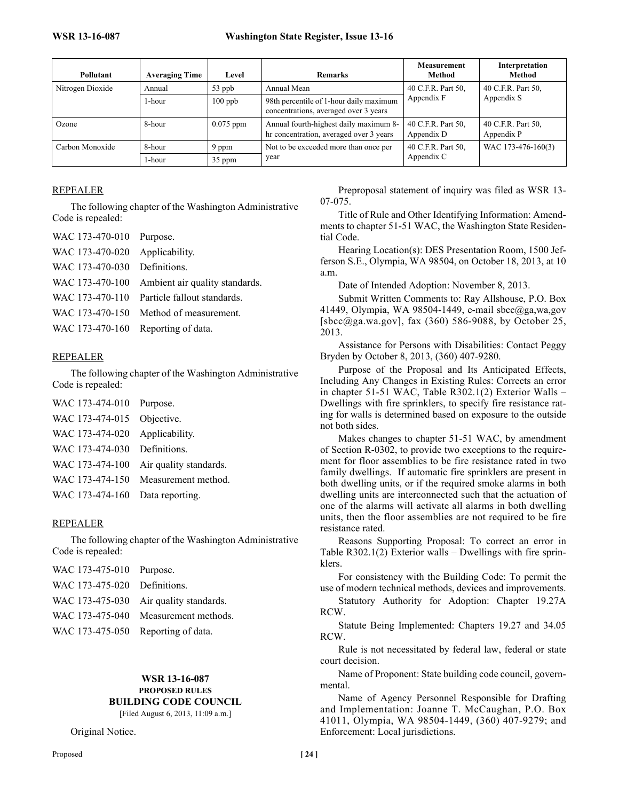| Pollutant        | <b>Averaging Time</b> | Level       | <b>Remarks</b>                                                                    | Measurement<br>Method            | Interpretation<br>Method         |
|------------------|-----------------------|-------------|-----------------------------------------------------------------------------------|----------------------------------|----------------------------------|
| Nitrogen Dioxide | Annual                | 53 ppb      | Annual Mean                                                                       | 40 C.F.R. Part 50.               | 40 C.F.R. Part 50,               |
|                  | 1-hour                | $100$ ppb   | 98th percentile of 1-hour daily maximum<br>concentrations, averaged over 3 years  | Appendix F                       | Appendix S                       |
| Ozone            | 8-hour                | $0.075$ ppm | Annual fourth-highest daily maximum 8-<br>hr concentration, averaged over 3 years | 40 C.F.R. Part 50.<br>Appendix D | 40 C.F.R. Part 50,<br>Appendix P |
| Carbon Monoxide  | 8-hour                | 9 ppm       | Not to be exceeded more than once per                                             | 40 C.F.R. Part 50,               | WAC 173-476-160(3)               |
|                  | 1-hour                | 35 ppm      | year                                                                              | Appendix C                       |                                  |

### REPEALER

The following chapter of the Washington Administrative Code is repealed:

| WAC 173-470-010 Purpose.           |                                                |
|------------------------------------|------------------------------------------------|
| WAC 173-470-020 Applicability.     |                                                |
| WAC 173-470-030 Definitions.       |                                                |
|                                    | WAC 173-470-100 Ambient air quality standards. |
|                                    | WAC 173-470-110 Particle fallout standards.    |
|                                    | WAC 173-470-150 Method of measurement.         |
| WAC 173-470-160 Reporting of data. |                                                |

### REPEALER

The following chapter of the Washington Administrative Code is repealed:

| WAC 173-474-010 Purpose.        |                                        |
|---------------------------------|----------------------------------------|
| WAC 173-474-015 Objective.      |                                        |
| WAC 173-474-020 Applicability.  |                                        |
| WAC 173-474-030 Definitions.    |                                        |
|                                 | WAC 173-474-100 Air quality standards. |
|                                 | WAC 173-474-150 Measurement method.    |
| WAC 173-474-160 Data reporting. |                                        |

#### REPEALER

The following chapter of the Washington Administrative Code is repealed:

| WAC 173-475-010 Purpose.           |                                        |
|------------------------------------|----------------------------------------|
| WAC 173-475-020 Definitions.       |                                        |
|                                    | WAC 173-475-030 Air quality standards. |
|                                    | WAC 173-475-040 Measurement methods.   |
| WAC 173-475-050 Reporting of data. |                                        |

# **WSR 13-16-087 PROPOSED RULES BUILDING CODE COUNCIL**

[Filed August 6, 2013, 11:09 a.m.]

Original Notice.

Preproposal statement of inquiry was filed as WSR 13- 07-075.

Title of Rule and Other Identifying Information: Amendments to chapter 51-51 WAC, the Washington State Residential Code.

Hearing Location(s): DES Presentation Room, 1500 Jefferson S.E., Olympia, WA 98504, on October 18, 2013, at 10 a.m.

Date of Intended Adoption: November 8, 2013.

Submit Written Comments to: Ray Allshouse, P.O. Box 41449, Olympia, WA 98504-1449, e-mail sbcc@ga,wa,gov [sbcc@ga.wa.gov], fax (360) 586-9088, by October 25, 2013.

Assistance for Persons with Disabilities: Contact Peggy Bryden by October 8, 2013, (360) 407-9280.

Purpose of the Proposal and Its Anticipated Effects, Including Any Changes in Existing Rules: Corrects an error in chapter 51-51 WAC, Table R302.1(2) Exterior Walls – Dwellings with fire sprinklers, to specify fire resistance rating for walls is determined based on exposure to the outside not both sides.

Makes changes to chapter 51-51 WAC, by amendment of Section R-0302, to provide two exceptions to the requirement for floor assemblies to be fire resistance rated in two family dwellings. If automatic fire sprinklers are present in both dwelling units, or if the required smoke alarms in both dwelling units are interconnected such that the actuation of one of the alarms will activate all alarms in both dwelling units, then the floor assemblies are not required to be fire resistance rated.

Reasons Supporting Proposal: To correct an error in Table R302.1(2) Exterior walls – Dwellings with fire sprinklers.

For consistency with the Building Code: To permit the use of modern technical methods, devices and improvements.

Statutory Authority for Adoption: Chapter 19.27A RCW.

Statute Being Implemented: Chapters 19.27 and 34.05 RCW.

Rule is not necessitated by federal law, federal or state court decision.

Name of Proponent: State building code council, governmental.

Name of Agency Personnel Responsible for Drafting and Implementation: Joanne T. McCaughan, P.O. Box 41011, Olympia, WA 98504-1449, (360) 407-9279; and Enforcement: Local jurisdictions.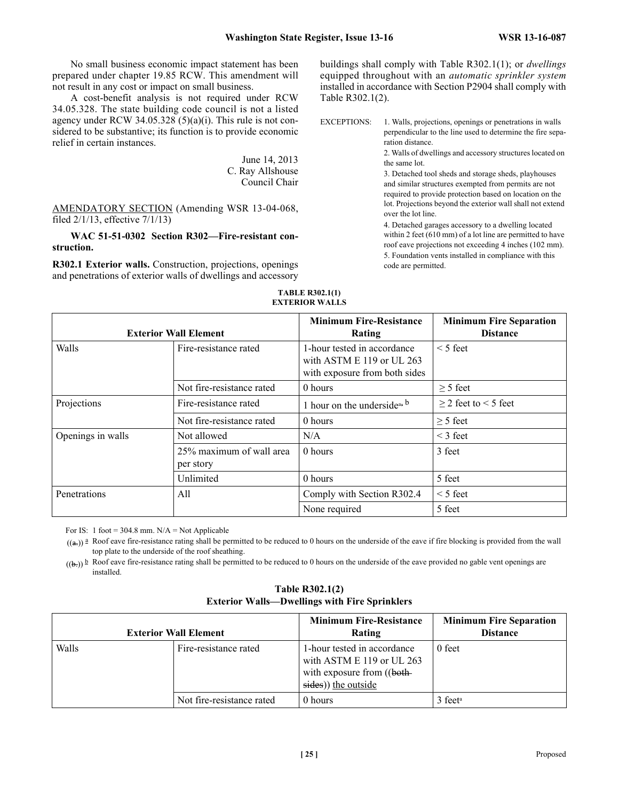No small business economic impact statement has been prepared under chapter 19.85 RCW. This amendment will not result in any cost or impact on small business.

A cost-benefit analysis is not required under RCW 34.05.328. The state building code council is not a listed agency under RCW 34.05.328  $(5)(a)(i)$ . This rule is not considered to be substantive; its function is to provide economic relief in certain instances.

> June 14, 2013 C. Ray Allshouse Council Chair

AMENDATORY SECTION (Amending WSR 13-04-068, filed 2/1/13, effective 7/1/13)

**WAC 51-51-0302 Section R302—Fire-resistant construction.**

**R302.1 Exterior walls.** Construction, projections, openings and penetrations of exterior walls of dwellings and accessory buildings shall comply with Table R302.1(1); or *dwellings* equipped throughout with an *automatic sprinkler system* installed in accordance with Section P2904 shall comply with Table R302.1(2).

EXCEPTIONS: 1. Walls, projections, openings or penetrations in walls perpendicular to the line used to determine the fire separation distance.

2. Walls of dwellings and accessory structures located on the same lot.

3. Detached tool sheds and storage sheds, playhouses and similar structures exempted from permits are not required to provide protection based on location on the lot. Projections beyond the exterior wall shall not extend over the lot line.

4. Detached garages accessory to a dwelling located within 2 feet (610 mm) of a lot line are permitted to have roof eave projections not exceeding 4 inches (102 mm).

5. Foundation vents installed in compliance with this code are permitted.

#### **TABLE R302.1(1) EXTERIOR WALLS**

|                   | <b>Exterior Wall Element</b>          | <b>Minimum Fire-Resistance</b><br>Rating                                                  | <b>Minimum Fire Separation</b><br><b>Distance</b> |
|-------------------|---------------------------------------|-------------------------------------------------------------------------------------------|---------------------------------------------------|
| Walls             | Fire-resistance rated                 | 1-hour tested in accordance<br>with ASTM E 119 or UL 263<br>with exposure from both sides | $<$ 5 feet                                        |
|                   | Not fire-resistance rated             | 0 hours                                                                                   | $> 5$ feet                                        |
| Projections       | Fire-resistance rated                 | 1 hour on the underside <sup>ab</sup>                                                     | $>$ 2 feet to $<$ 5 feet                          |
|                   | Not fire-resistance rated             | 0 hours                                                                                   | $\geq$ 5 feet                                     |
| Openings in walls | Not allowed                           | N/A                                                                                       | $\leq$ 3 feet                                     |
|                   | 25% maximum of wall area<br>per story | 0 hours                                                                                   | 3 feet                                            |
|                   | Unlimited                             | 0 hours                                                                                   | 5 feet                                            |
| Penetrations      | All                                   | Comply with Section R302.4                                                                | $\leq$ 5 feet                                     |
|                   |                                       | None required                                                                             | 5 feet                                            |

For IS: 1 foot =  $304.8$  mm. N/A = Not Applicable

 $((a))$ <sup>2</sup> Roof eave fire-resistance rating shall be permitted to be reduced to 0 hours on the underside of the eave if fire blocking is provided from the wall top plate to the underside of the roof sheathing.

 $((b))$  Roof eave fire-resistance rating shall be permitted to be reduced to 0 hours on the underside of the eave provided no gable vent openings are installed.

|  | <b>Table R302.1(2)</b>                               |  |  |
|--|------------------------------------------------------|--|--|
|  | <b>Exterior Walls—Dwellings with Fire Sprinklers</b> |  |  |

|       | <b>Exterior Wall Element</b> | <b>Minimum Fire-Resistance</b><br>Rating                                                                       | <b>Minimum Fire Separation</b><br><b>Distance</b> |
|-------|------------------------------|----------------------------------------------------------------------------------------------------------------|---------------------------------------------------|
| Walls | Fire-resistance rated        | 1-hour tested in accordance<br>with ASTM $E$ 119 or UL 263<br>with exposure from ((both-<br>sides) the outside | 0 feet                                            |
|       | Not fire-resistance rated    | 0 hours                                                                                                        | $3$ feet <sup>a</sup>                             |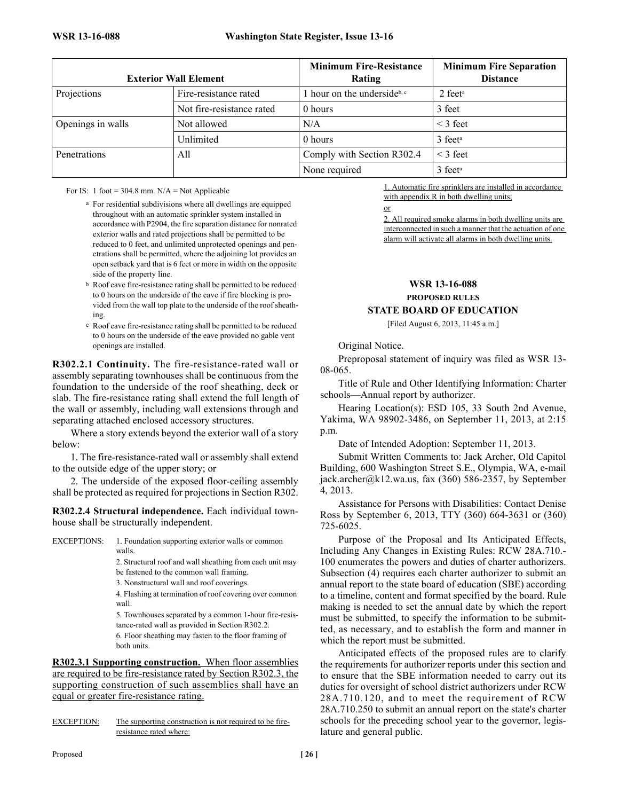| <b>Exterior Wall Element</b> |                           | <b>Minimum Fire-Resistance</b><br>Rating | <b>Minimum Fire Separation</b><br><b>Distance</b> |  |
|------------------------------|---------------------------|------------------------------------------|---------------------------------------------------|--|
| Projections                  | Fire-resistance rated     | 1 hour on the underside <sup>b, c</sup>  | $2$ feet <sup>a</sup>                             |  |
|                              | Not fire-resistance rated | 0 hours                                  | 3 feet                                            |  |
| Openings in walls            | Not allowed               | N/A                                      | $<$ 3 feet                                        |  |
|                              | Unlimited                 | 0 hours                                  | $3$ feet <sup>a</sup>                             |  |
| Penetrations                 | All                       | Comply with Section R302.4               | $<$ 3 feet                                        |  |
|                              |                           | None required                            | 3 feet <sup>a</sup>                               |  |

For IS: 1 foot =  $304.8$  mm. N/A = Not Applicable

- a For residential subdivisions where all dwellings are equipped throughout with an automatic sprinkler system installed in accordance with P2904, the fire separation distance for nonrated exterior walls and rated projections shall be permitted to be reduced to 0 feet, and unlimited unprotected openings and penetrations shall be permitted, where the adjoining lot provides an open setback yard that is 6 feet or more in width on the opposite side of the property line.
- b Roof eave fire-resistance rating shall be permitted to be reduced to 0 hours on the underside of the eave if fire blocking is provided from the wall top plate to the underside of the roof sheathing.
- c Roof eave fire-resistance rating shall be permitted to be reduced to 0 hours on the underside of the eave provided no gable vent openings are installed.

**R302.2.1 Continuity.** The fire-resistance-rated wall or assembly separating townhouses shall be continuous from the foundation to the underside of the roof sheathing, deck or slab. The fire-resistance rating shall extend the full length of the wall or assembly, including wall extensions through and separating attached enclosed accessory structures.

Where a story extends beyond the exterior wall of a story below:

1. The fire-resistance-rated wall or assembly shall extend to the outside edge of the upper story; or

2. The underside of the exposed floor-ceiling assembly shall be protected as required for projections in Section R302.

**R302.2.4 Structural independence.** Each individual townhouse shall be structurally independent.

EXCEPTIONS: 1. Foundation supporting exterior walls or common walls.

2. Structural roof and wall sheathing from each unit may be fastened to the common wall framing.

3. Nonstructural wall and roof coverings.

4. Flashing at termination of roof covering over common wall.

5. Townhouses separated by a common 1-hour fire-resistance-rated wall as provided in Section R302.2.

6. Floor sheathing may fasten to the floor framing of both units.

**R302.3.1 Supporting construction.** When floor assemblies are required to be fire-resistance rated by Section R302.3, the supporting construction of such assemblies shall have an equal or greater fire-resistance rating.

EXCEPTION: The supporting construction is not required to be fireresistance rated where:

1. Automatic fire sprinklers are installed in accordance with appendix R in both dwelling units;

or

2. All required smoke alarms in both dwelling units are interconnected in such a manner that the actuation of one alarm will activate all alarms in both dwelling units.

# **WSR 13-16-088 PROPOSED RULES**

# **STATE BOARD OF EDUCATION**

#### [Filed August 6, 2013, 11:45 a.m.]

### Original Notice.

Preproposal statement of inquiry was filed as WSR 13- 08-065.

Title of Rule and Other Identifying Information: Charter schools—Annual report by authorizer.

Hearing Location(s): ESD 105, 33 South 2nd Avenue, Yakima, WA 98902-3486, on September 11, 2013, at 2:15 p.m.

Date of Intended Adoption: September 11, 2013.

Submit Written Comments to: Jack Archer, Old Capitol Building, 600 Washington Street S.E., Olympia, WA, e-mail jack.archer@k12.wa.us, fax (360) 586-2357, by September 4, 2013.

Assistance for Persons with Disabilities: Contact Denise Ross by September 6, 2013, TTY (360) 664-3631 or (360) 725-6025.

Purpose of the Proposal and Its Anticipated Effects, Including Any Changes in Existing Rules: RCW 28A.710.- 100 enumerates the powers and duties of charter authorizers. Subsection (4) requires each charter authorizer to submit an annual report to the state board of education (SBE) according to a timeline, content and format specified by the board. Rule making is needed to set the annual date by which the report must be submitted, to specify the information to be submitted, as necessary, and to establish the form and manner in which the report must be submitted.

Anticipated effects of the proposed rules are to clarify the requirements for authorizer reports under this section and to ensure that the SBE information needed to carry out its duties for oversight of school district authorizers under RCW 28A.710.120, and to meet the requirement of RCW 28A.710.250 to submit an annual report on the state's charter schools for the preceding school year to the governor, legislature and general public.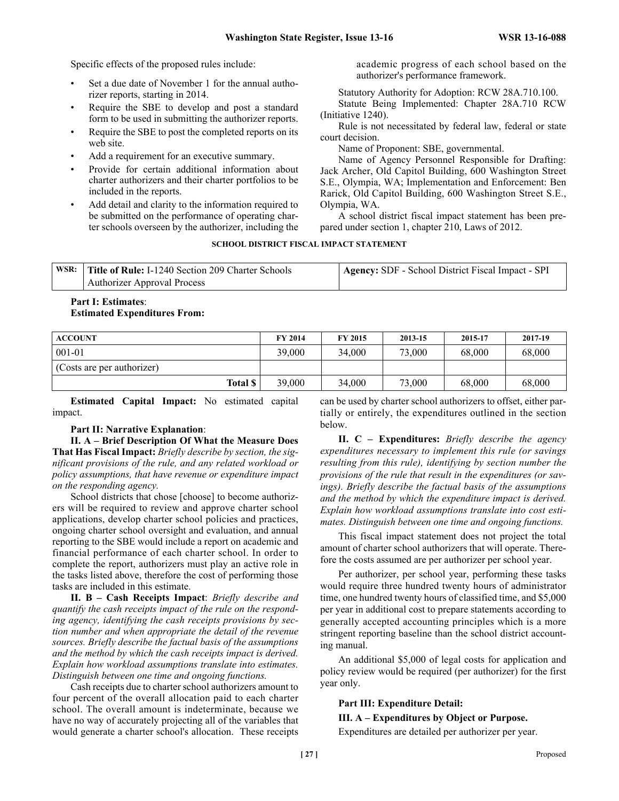Specific effects of the proposed rules include:

- Set a due date of November 1 for the annual authorizer reports, starting in 2014.
- Require the SBE to develop and post a standard form to be used in submitting the authorizer reports.
- Require the SBE to post the completed reports on its web site.
- Add a requirement for an executive summary.
- Provide for certain additional information about charter authorizers and their charter portfolios to be included in the reports.
- Add detail and clarity to the information required to be submitted on the performance of operating charter schools overseen by the authorizer, including the

academic progress of each school based on the authorizer's performance framework.

Statutory Authority for Adoption: RCW 28A.710.100.

Statute Being Implemented: Chapter 28A.710 RCW (Initiative 1240).

Rule is not necessitated by federal law, federal or state court decision.

Name of Proponent: SBE, governmental.

Name of Agency Personnel Responsible for Drafting: Jack Archer, Old Capitol Building, 600 Washington Street S.E., Olympia, WA; Implementation and Enforcement: Ben Rarick, Old Capitol Building, 600 Washington Street S.E., Olympia, WA.

A school district fiscal impact statement has been prepared under section 1, chapter 210, Laws of 2012.

#### **SCHOOL DISTRICT FISCAL IMPACT STATEMENT**

| WSR: Title of Rule: I-1240 Section 209 Charter Schools | Agency: SDF - School District Fiscal Impact - SPI |
|--------------------------------------------------------|---------------------------------------------------|
| <b>Authorizer Approval Process</b>                     |                                                   |

### **Part I: Estimates**: **Estimated Expenditures From:**

| <b>ACCOUNT</b>             | <b>FY 2014</b> | FY 2015 | 2013-15 | 2015-17 | 2017-19 |
|----------------------------|----------------|---------|---------|---------|---------|
| $001 - 01$                 | 39,000         | 34,000  | 73,000  | 68,000  | 68,000  |
| (Costs are per authorizer) |                |         |         |         |         |
| Total S                    | 39,000         | 34,000  | 73,000  | 68,000  | 68,000  |

**Estimated Capital Impact:** No estimated capital impact.

# **Part II: Narrative Explanation**:

**II. A – Brief Description Of What the Measure Does That Has Fiscal Impact:** *Briefly describe by section, the significant provisions of the rule, and any related workload or policy assumptions, that have revenue or expenditure impact on the responding agency.*

School districts that chose [choose] to become authorizers will be required to review and approve charter school applications, develop charter school policies and practices, ongoing charter school oversight and evaluation, and annual reporting to the SBE would include a report on academic and financial performance of each charter school. In order to complete the report, authorizers must play an active role in the tasks listed above, therefore the cost of performing those tasks are included in this estimate.

**II. B – Cash Receipts Impact**: *Briefly describe and quantify the cash receipts impact of the rule on the responding agency, identifying the cash receipts provisions by section number and when appropriate the detail of the revenue sources. Briefly describe the factual basis of the assumptions and the method by which the cash receipts impact is derived. Explain how workload assumptions translate into estimates. Distinguish between one time and ongoing functions.*

Cash receipts due to charter school authorizers amount to four percent of the overall allocation paid to each charter school. The overall amount is indeterminate, because we have no way of accurately projecting all of the variables that would generate a charter school's allocation. These receipts

can be used by charter school authorizers to offset, either partially or entirely, the expenditures outlined in the section below.

**II. C – Expenditures:** *Briefly describe the agency expenditures necessary to implement this rule (or savings resulting from this rule), identifying by section number the provisions of the rule that result in the expenditures (or savings). Briefly describe the factual basis of the assumptions and the method by which the expenditure impact is derived. Explain how workload assumptions translate into cost estimates. Distinguish between one time and ongoing functions.*

This fiscal impact statement does not project the total amount of charter school authorizers that will operate. Therefore the costs assumed are per authorizer per school year.

Per authorizer, per school year, performing these tasks would require three hundred twenty hours of administrator time, one hundred twenty hours of classified time, and \$5,000 per year in additional cost to prepare statements according to generally accepted accounting principles which is a more stringent reporting baseline than the school district accounting manual.

An additional \$5,000 of legal costs for application and policy review would be required (per authorizer) for the first year only.

#### **Part III: Expenditure Detail:**

**III. A – Expenditures by Object or Purpose.**

Expenditures are detailed per authorizer per year.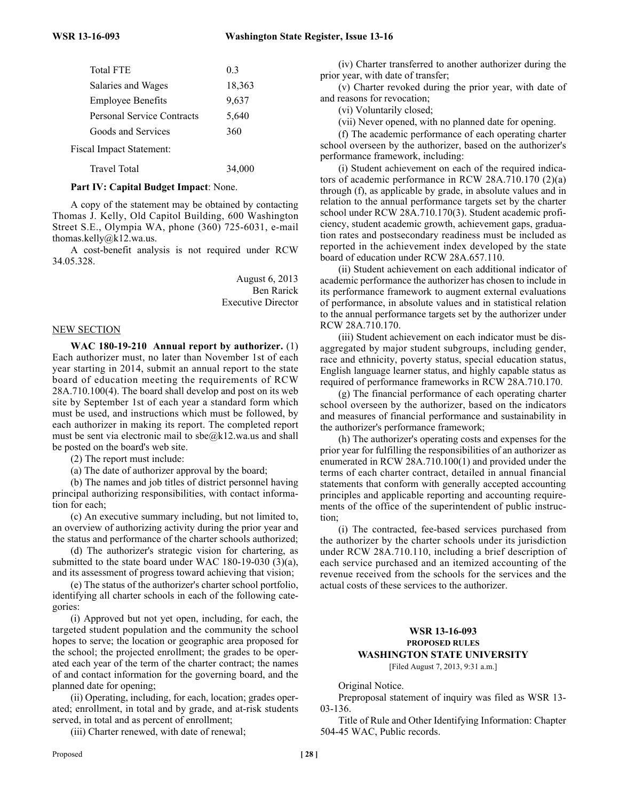| <b>Total FTE</b>                  | 03     |
|-----------------------------------|--------|
| Salaries and Wages                | 18,363 |
| <b>Employee Benefits</b>          | 9,637  |
| <b>Personal Service Contracts</b> | 5,640  |
| Goods and Services                | 360    |
| Fiscal Impact Statement:          |        |
| <b>Travel Total</b>               | 34.000 |

#### **Part IV: Capital Budget Impact**: None.

A copy of the statement may be obtained by contacting Thomas J. Kelly, Old Capitol Building, 600 Washington Street S.E., Olympia WA, phone (360) 725-6031, e-mail thomas.kelly@k12.wa.us.

A cost-benefit analysis is not required under RCW 34.05.328.

> August 6, 2013 Ben Rarick Executive Director

#### NEW SECTION

**WAC 180-19-210 Annual report by authorizer.** (1) Each authorizer must, no later than November 1st of each year starting in 2014, submit an annual report to the state board of education meeting the requirements of RCW 28A.710.100(4). The board shall develop and post on its web site by September 1st of each year a standard form which must be used, and instructions which must be followed, by each authorizer in making its report. The completed report must be sent via electronic mail to  $sbe@k12.wa.us$  and shall be posted on the board's web site.

(2) The report must include:

(a) The date of authorizer approval by the board;

(b) The names and job titles of district personnel having principal authorizing responsibilities, with contact information for each;

(c) An executive summary including, but not limited to, an overview of authorizing activity during the prior year and the status and performance of the charter schools authorized;

(d) The authorizer's strategic vision for chartering, as submitted to the state board under WAC 180-19-030 (3)(a), and its assessment of progress toward achieving that vision;

(e) The status of the authorizer's charter school portfolio, identifying all charter schools in each of the following categories:

(i) Approved but not yet open, including, for each, the targeted student population and the community the school hopes to serve; the location or geographic area proposed for the school; the projected enrollment; the grades to be operated each year of the term of the charter contract; the names of and contact information for the governing board, and the planned date for opening;

(ii) Operating, including, for each, location; grades operated; enrollment, in total and by grade, and at-risk students served, in total and as percent of enrollment;

(iii) Charter renewed, with date of renewal;

(iv) Charter transferred to another authorizer during the prior year, with date of transfer;

(v) Charter revoked during the prior year, with date of and reasons for revocation;

(vi) Voluntarily closed;

(vii) Never opened, with no planned date for opening.

(f) The academic performance of each operating charter school overseen by the authorizer, based on the authorizer's performance framework, including:

(i) Student achievement on each of the required indicators of academic performance in RCW 28A.710.170 (2)(a) through (f), as applicable by grade, in absolute values and in relation to the annual performance targets set by the charter school under RCW 28A.710.170(3). Student academic proficiency, student academic growth, achievement gaps, graduation rates and postsecondary readiness must be included as reported in the achievement index developed by the state board of education under RCW 28A.657.110.

(ii) Student achievement on each additional indicator of academic performance the authorizer has chosen to include in its performance framework to augment external evaluations of performance, in absolute values and in statistical relation to the annual performance targets set by the authorizer under RCW 28A.710.170.

(iii) Student achievement on each indicator must be disaggregated by major student subgroups, including gender, race and ethnicity, poverty status, special education status, English language learner status, and highly capable status as required of performance frameworks in RCW 28A.710.170.

(g) The financial performance of each operating charter school overseen by the authorizer, based on the indicators and measures of financial performance and sustainability in the authorizer's performance framework;

(h) The authorizer's operating costs and expenses for the prior year for fulfilling the responsibilities of an authorizer as enumerated in RCW 28A.710.100(1) and provided under the terms of each charter contract, detailed in annual financial statements that conform with generally accepted accounting principles and applicable reporting and accounting requirements of the office of the superintendent of public instruction;

(i) The contracted, fee-based services purchased from the authorizer by the charter schools under its jurisdiction under RCW 28A.710.110, including a brief description of each service purchased and an itemized accounting of the revenue received from the schools for the services and the actual costs of these services to the authorizer.

#### **WSR 13-16-093 PROPOSED RULES WASHINGTON STATE UNIVERSITY** [Filed August 7, 2013, 9:31 a.m.]

Original Notice.

Preproposal statement of inquiry was filed as WSR 13- 03-136.

Title of Rule and Other Identifying Information: Chapter 504-45 WAC, Public records.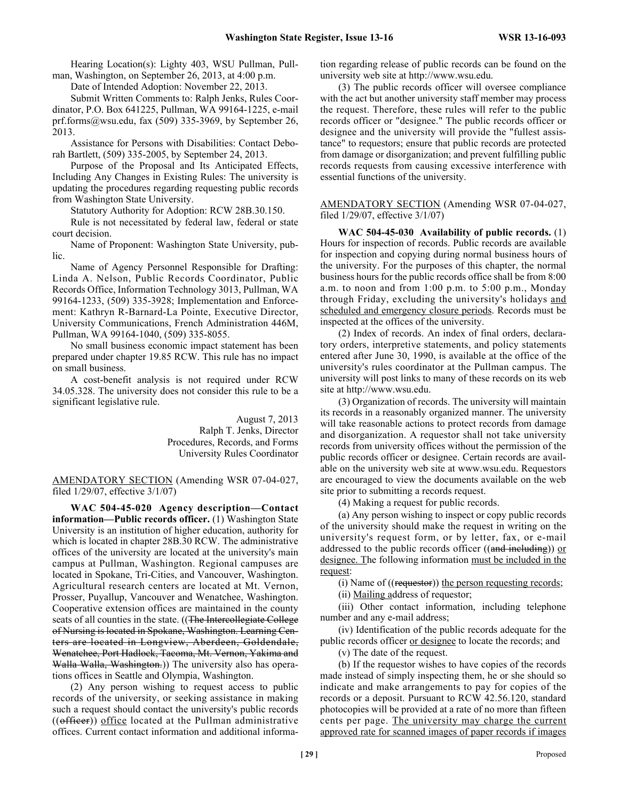Hearing Location(s): Lighty 403, WSU Pullman, Pullman, Washington, on September 26, 2013, at 4:00 p.m.

Date of Intended Adoption: November 22, 2013.

Submit Written Comments to: Ralph Jenks, Rules Coordinator, P.O. Box 641225, Pullman, WA 99164-1225, e-mail prf.forms@wsu.edu, fax (509) 335-3969, by September 26, 2013.

Assistance for Persons with Disabilities: Contact Deborah Bartlett, (509) 335-2005, by September 24, 2013.

Purpose of the Proposal and Its Anticipated Effects, Including Any Changes in Existing Rules: The university is updating the procedures regarding requesting public records from Washington State University.

Statutory Authority for Adoption: RCW 28B.30.150.

Rule is not necessitated by federal law, federal or state court decision.

Name of Proponent: Washington State University, public.

Name of Agency Personnel Responsible for Drafting: Linda A. Nelson, Public Records Coordinator, Public Records Office, Information Technology 3013, Pullman, WA 99164-1233, (509) 335-3928; Implementation and Enforcement: Kathryn R-Barnard-La Pointe, Executive Director, University Communications, French Administration 446M, Pullman, WA 99164-1040, (509) 335-8055.

No small business economic impact statement has been prepared under chapter 19.85 RCW. This rule has no impact on small business.

A cost-benefit analysis is not required under RCW 34.05.328. The university does not consider this rule to be a significant legislative rule.

> August 7, 2013 Ralph T. Jenks, Director Procedures, Records, and Forms University Rules Coordinator

AMENDATORY SECTION (Amending WSR 07-04-027, filed 1/29/07, effective 3/1/07)

**WAC 504-45-020 Agency description—Contact information—Public records officer.** (1) Washington State University is an institution of higher education, authority for which is located in chapter 28B.30 RCW. The administrative offices of the university are located at the university's main campus at Pullman, Washington. Regional campuses are located in Spokane, Tri-Cities, and Vancouver, Washington. Agricultural research centers are located at Mt. Vernon, Prosser, Puyallup, Vancouver and Wenatchee, Washington. Cooperative extension offices are maintained in the county seats of all counties in the state. ((The Intercollegiate College) of Nursing is located in Spokane, Washington. Learning Centers are located in Longview, Aberdeen, Goldendale, Wenatchee, Port Hadlock, Tacoma, Mt. Vernon, Yakima and Walla Walla, Washington.)) The university also has operations offices in Seattle and Olympia, Washington.

(2) Any person wishing to request access to public records of the university, or seeking assistance in making such a request should contact the university's public records  $((\text{offer})$ ) office located at the Pullman administrative offices. Current contact information and additional information regarding release of public records can be found on the university web site at http://www.wsu.edu.

(3) The public records officer will oversee compliance with the act but another university staff member may process the request. Therefore, these rules will refer to the public records officer or "designee." The public records officer or designee and the university will provide the "fullest assistance" to requestors; ensure that public records are protected from damage or disorganization; and prevent fulfilling public records requests from causing excessive interference with essential functions of the university.

AMENDATORY SECTION (Amending WSR 07-04-027, filed 1/29/07, effective 3/1/07)

**WAC 504-45-030 Availability of public records.** (1) Hours for inspection of records. Public records are available for inspection and copying during normal business hours of the university. For the purposes of this chapter, the normal business hours for the public records office shall be from 8:00 a.m. to noon and from 1:00 p.m. to 5:00 p.m., Monday through Friday, excluding the university's holidays and scheduled and emergency closure periods. Records must be inspected at the offices of the university.

(2) Index of records. An index of final orders, declaratory orders, interpretive statements, and policy statements entered after June 30, 1990, is available at the office of the university's rules coordinator at the Pullman campus. The university will post links to many of these records on its web site at http://www.wsu.edu.

(3) Organization of records. The university will maintain its records in a reasonably organized manner. The university will take reasonable actions to protect records from damage and disorganization. A requestor shall not take university records from university offices without the permission of the public records officer or designee. Certain records are available on the university web site at www.wsu.edu. Requestors are encouraged to view the documents available on the web site prior to submitting a records request.

(4) Making a request for public records.

(a) Any person wishing to inspect or copy public records of the university should make the request in writing on the university's request form, or by letter, fax, or e-mail addressed to the public records officer  $((and including))$  or designee. The following information must be included in the request:

(i) Name of  $((\text{requestor}))$  the person requesting records;

(ii) Mailing address of requestor;

(iii) Other contact information, including telephone number and any e-mail address;

(iv) Identification of the public records adequate for the public records officer or designee to locate the records; and

(v) The date of the request.

(b) If the requestor wishes to have copies of the records made instead of simply inspecting them, he or she should so indicate and make arrangements to pay for copies of the records or a deposit. Pursuant to RCW 42.56.120, standard photocopies will be provided at a rate of no more than fifteen cents per page. The university may charge the current approved rate for scanned images of paper records if images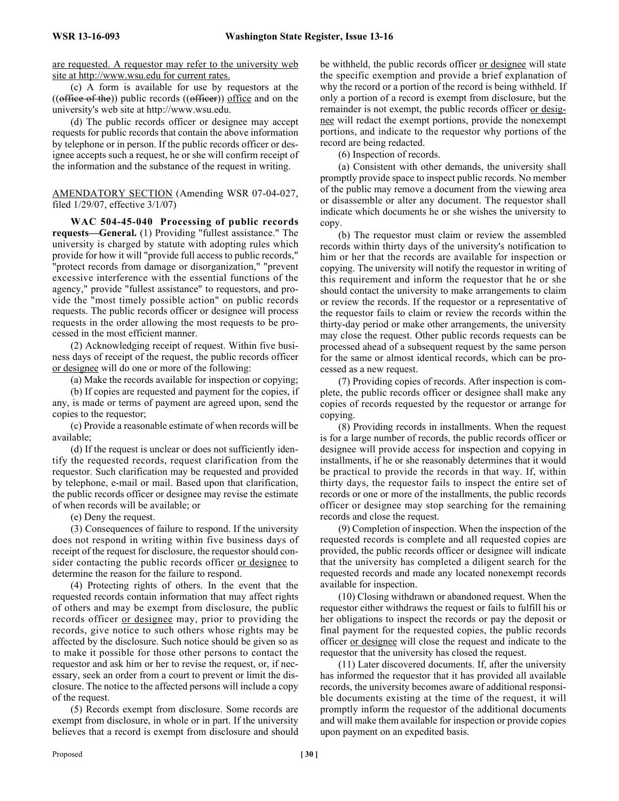are requested. A requestor may refer to the university web site at http://www.wsu.edu for current rates.

(c) A form is available for use by requestors at the  $((\text{office of the}))$  public records  $((\text{office})\)$  office and on the university's web site at http://www.wsu.edu.

(d) The public records officer or designee may accept requests for public records that contain the above information by telephone or in person. If the public records officer or designee accepts such a request, he or she will confirm receipt of the information and the substance of the request in writing.

AMENDATORY SECTION (Amending WSR 07-04-027, filed 1/29/07, effective 3/1/07)

**WAC 504-45-040 Processing of public records requests—General.** (1) Providing "fullest assistance." The university is charged by statute with adopting rules which provide for how it will "provide full access to public records," "protect records from damage or disorganization," "prevent excessive interference with the essential functions of the agency," provide "fullest assistance" to requestors, and provide the "most timely possible action" on public records requests. The public records officer or designee will process requests in the order allowing the most requests to be processed in the most efficient manner.

(2) Acknowledging receipt of request. Within five business days of receipt of the request, the public records officer or designee will do one or more of the following:

(a) Make the records available for inspection or copying;

(b) If copies are requested and payment for the copies, if any, is made or terms of payment are agreed upon, send the copies to the requestor;

(c) Provide a reasonable estimate of when records will be available;

(d) If the request is unclear or does not sufficiently identify the requested records, request clarification from the requestor. Such clarification may be requested and provided by telephone, e-mail or mail. Based upon that clarification, the public records officer or designee may revise the estimate of when records will be available; or

(e) Deny the request.

(3) Consequences of failure to respond. If the university does not respond in writing within five business days of receipt of the request for disclosure, the requestor should consider contacting the public records officer or designee to determine the reason for the failure to respond.

(4) Protecting rights of others. In the event that the requested records contain information that may affect rights of others and may be exempt from disclosure, the public records officer or designee may, prior to providing the records, give notice to such others whose rights may be affected by the disclosure. Such notice should be given so as to make it possible for those other persons to contact the requestor and ask him or her to revise the request, or, if necessary, seek an order from a court to prevent or limit the disclosure. The notice to the affected persons will include a copy of the request.

(5) Records exempt from disclosure. Some records are exempt from disclosure, in whole or in part. If the university believes that a record is exempt from disclosure and should be withheld, the public records officer or designee will state the specific exemption and provide a brief explanation of why the record or a portion of the record is being withheld. If only a portion of a record is exempt from disclosure, but the remainder is not exempt, the public records officer or designee will redact the exempt portions, provide the nonexempt portions, and indicate to the requestor why portions of the record are being redacted.

(6) Inspection of records.

(a) Consistent with other demands, the university shall promptly provide space to inspect public records. No member of the public may remove a document from the viewing area or disassemble or alter any document. The requestor shall indicate which documents he or she wishes the university to copy.

(b) The requestor must claim or review the assembled records within thirty days of the university's notification to him or her that the records are available for inspection or copying. The university will notify the requestor in writing of this requirement and inform the requestor that he or she should contact the university to make arrangements to claim or review the records. If the requestor or a representative of the requestor fails to claim or review the records within the thirty-day period or make other arrangements, the university may close the request. Other public records requests can be processed ahead of a subsequent request by the same person for the same or almost identical records, which can be processed as a new request.

(7) Providing copies of records. After inspection is complete, the public records officer or designee shall make any copies of records requested by the requestor or arrange for copying.

(8) Providing records in installments. When the request is for a large number of records, the public records officer or designee will provide access for inspection and copying in installments, if he or she reasonably determines that it would be practical to provide the records in that way. If, within thirty days, the requestor fails to inspect the entire set of records or one or more of the installments, the public records officer or designee may stop searching for the remaining records and close the request.

(9) Completion of inspection. When the inspection of the requested records is complete and all requested copies are provided, the public records officer or designee will indicate that the university has completed a diligent search for the requested records and made any located nonexempt records available for inspection.

(10) Closing withdrawn or abandoned request. When the requestor either withdraws the request or fails to fulfill his or her obligations to inspect the records or pay the deposit or final payment for the requested copies, the public records officer or designee will close the request and indicate to the requestor that the university has closed the request.

(11) Later discovered documents. If, after the university has informed the requestor that it has provided all available records, the university becomes aware of additional responsible documents existing at the time of the request, it will promptly inform the requestor of the additional documents and will make them available for inspection or provide copies upon payment on an expedited basis.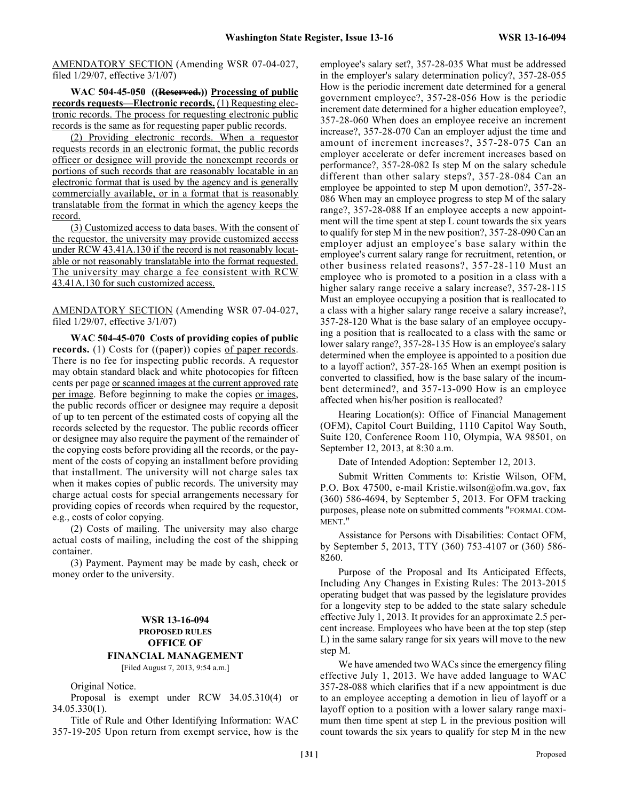AMENDATORY SECTION (Amending WSR 07-04-027, filed 1/29/07, effective 3/1/07)

**WAC 504-45-050 ((Reserved.)) Processing of public records requests—Electronic records.** (1) Requesting electronic records. The process for requesting electronic public records is the same as for requesting paper public records.

(2) Providing electronic records. When a requestor requests records in an electronic format, the public records officer or designee will provide the nonexempt records or portions of such records that are reasonably locatable in an electronic format that is used by the agency and is generally commercially available, or in a format that is reasonably translatable from the format in which the agency keeps the record.

(3) Customized access to data bases. With the consent of the requestor, the university may provide customized access under RCW 43.41A.130 if the record is not reasonably locatable or not reasonably translatable into the format requested. The university may charge a fee consistent with RCW 43.41A.130 for such customized access.

AMENDATORY SECTION (Amending WSR 07-04-027, filed 1/29/07, effective 3/1/07)

**WAC 504-45-070 Costs of providing copies of public records.** (1) Costs for ((paper)) copies of paper records. There is no fee for inspecting public records. A requestor may obtain standard black and white photocopies for fifteen cents per page or scanned images at the current approved rate per image. Before beginning to make the copies or images, the public records officer or designee may require a deposit of up to ten percent of the estimated costs of copying all the records selected by the requestor. The public records officer or designee may also require the payment of the remainder of the copying costs before providing all the records, or the payment of the costs of copying an installment before providing that installment. The university will not charge sales tax when it makes copies of public records. The university may charge actual costs for special arrangements necessary for providing copies of records when required by the requestor, e.g., costs of color copying.

(2) Costs of mailing. The university may also charge actual costs of mailing, including the cost of the shipping container.

(3) Payment. Payment may be made by cash, check or money order to the university.

# **WSR 13-16-094 PROPOSED RULES OFFICE OF FINANCIAL MANAGEMENT** [Filed August 7, 2013, 9:54 a.m.]

Original Notice.

Proposal is exempt under RCW 34.05.310(4) or 34.05.330(1).

Title of Rule and Other Identifying Information: WAC 357-19-205 Upon return from exempt service, how is the employee's salary set?, 357-28-035 What must be addressed in the employer's salary determination policy?, 357-28-055 How is the periodic increment date determined for a general government employee?, 357-28-056 How is the periodic increment date determined for a higher education employee?, 357-28-060 When does an employee receive an increment increase?, 357-28-070 Can an employer adjust the time and amount of increment increases?, 357-28-075 Can an employer accelerate or defer increment increases based on performance?, 357-28-082 Is step M on the salary schedule different than other salary steps?, 357-28-084 Can an employee be appointed to step M upon demotion?, 357-28- 086 When may an employee progress to step M of the salary range?, 357-28-088 If an employee accepts a new appointment will the time spent at step L count towards the six years to qualify for step M in the new position?, 357-28-090 Can an employer adjust an employee's base salary within the employee's current salary range for recruitment, retention, or other business related reasons?, 357-28-110 Must an employee who is promoted to a position in a class with a higher salary range receive a salary increase?, 357-28-115 Must an employee occupying a position that is reallocated to a class with a higher salary range receive a salary increase?, 357-28-120 What is the base salary of an employee occupying a position that is reallocated to a class with the same or lower salary range?, 357-28-135 How is an employee's salary determined when the employee is appointed to a position due to a layoff action?, 357-28-165 When an exempt position is converted to classified, how is the base salary of the incumbent determined?, and 357-13-090 How is an employee affected when his/her position is reallocated?

Hearing Location(s): Office of Financial Management (OFM), Capitol Court Building, 1110 Capitol Way South, Suite 120, Conference Room 110, Olympia, WA 98501, on September 12, 2013, at 8:30 a.m.

Date of Intended Adoption: September 12, 2013.

Submit Written Comments to: Kristie Wilson, OFM, P.O. Box 47500, e-mail Kristie.wilson@ofm.wa.gov, fax (360) 586-4694, by September 5, 2013. For OFM tracking purposes, please note on submitted comments "FORMAL COM-MENT."

Assistance for Persons with Disabilities: Contact OFM, by September 5, 2013, TTY (360) 753-4107 or (360) 586- 8260.

Purpose of the Proposal and Its Anticipated Effects, Including Any Changes in Existing Rules: The 2013-2015 operating budget that was passed by the legislature provides for a longevity step to be added to the state salary schedule effective July 1, 2013. It provides for an approximate 2.5 percent increase. Employees who have been at the top step (step L) in the same salary range for six years will move to the new step M.

We have amended two WACs since the emergency filing effective July 1, 2013. We have added language to WAC 357-28-088 which clarifies that if a new appointment is due to an employee accepting a demotion in lieu of layoff or a layoff option to a position with a lower salary range maximum then time spent at step L in the previous position will count towards the six years to qualify for step M in the new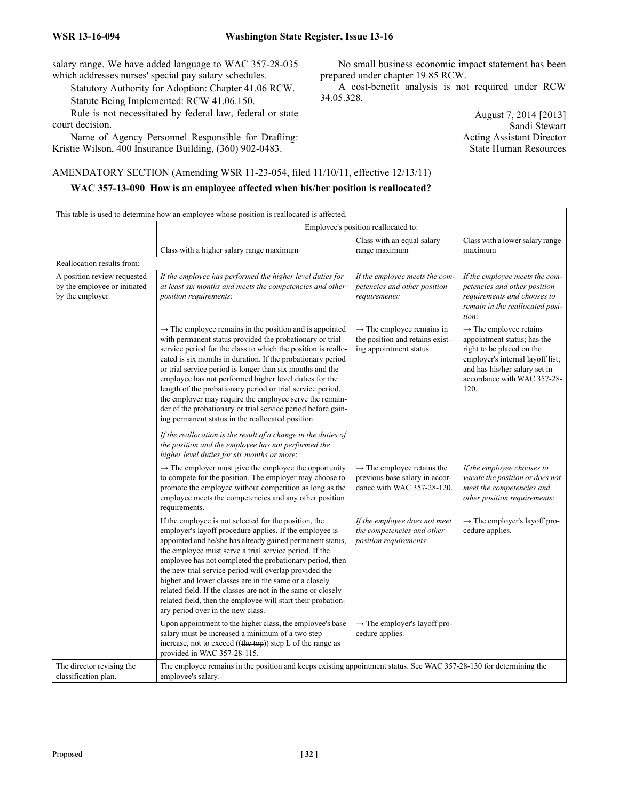salary range. We have added language to WAC 357-28-035 which addresses nurses' special pay salary schedules.

Statutory Authority for Adoption: Chapter 41.06 RCW.

Statute Being Implemented: RCW 41.06.150.

Rule is not necessitated by federal law, federal or state court decision.

Name of Agency Personnel Responsible for Drafting: Kristie Wilson, 400 Insurance Building, (360) 902-0483.

No small business economic impact statement has been prepared under chapter 19.85 RCW.

A cost-benefit analysis is not required under RCW 34.05.328.

> August 7, 2014 [2013] Sandi Stewart Acting Assistant Director State Human Resources

AMENDATORY SECTION (Amending WSR 11-23-054, filed 11/10/11, effective 12/13/11)

# **WAC 357-13-090 How is an employee affected when his/her position is reallocated?**

| This table is used to determine how an employee whose position is reallocated is affected. |                                                                                                                                                                                                                                                                                                                                                                                                                                                                                                                                                                                                                                      |                                                                                                        |                                                                                                                                                                                                            |  |
|--------------------------------------------------------------------------------------------|--------------------------------------------------------------------------------------------------------------------------------------------------------------------------------------------------------------------------------------------------------------------------------------------------------------------------------------------------------------------------------------------------------------------------------------------------------------------------------------------------------------------------------------------------------------------------------------------------------------------------------------|--------------------------------------------------------------------------------------------------------|------------------------------------------------------------------------------------------------------------------------------------------------------------------------------------------------------------|--|
|                                                                                            | Employee's position reallocated to:                                                                                                                                                                                                                                                                                                                                                                                                                                                                                                                                                                                                  |                                                                                                        |                                                                                                                                                                                                            |  |
|                                                                                            | Class with a higher salary range maximum                                                                                                                                                                                                                                                                                                                                                                                                                                                                                                                                                                                             | Class with an equal salary<br>range maximum                                                            | Class with a lower salary range<br>maximum                                                                                                                                                                 |  |
| Reallocation results from:                                                                 |                                                                                                                                                                                                                                                                                                                                                                                                                                                                                                                                                                                                                                      |                                                                                                        |                                                                                                                                                                                                            |  |
| A position review requested<br>by the employee or initiated<br>by the employer             | If the employee has performed the higher level duties for<br>at least six months and meets the competencies and other<br>position requirements:                                                                                                                                                                                                                                                                                                                                                                                                                                                                                      | If the employee meets the com-<br>petencies and other position<br>requirements:                        | If the employee meets the com-<br>petencies and other position<br>requirements and chooses to<br>remain in the reallocated posi-<br>tion:                                                                  |  |
|                                                                                            | $\rightarrow$ The employee remains in the position and is appointed<br>with permanent status provided the probationary or trial<br>service period for the class to which the position is reallo-<br>cated is six months in duration. If the probationary period<br>or trial service period is longer than six months and the<br>employee has not performed higher level duties for the<br>length of the probationary period or trial service period,<br>the employer may require the employee serve the remain-<br>der of the probationary or trial service period before gain-<br>ing permanent status in the reallocated position. | $\rightarrow$ The employee remains in<br>the position and retains exist-<br>ing appointment status.    | $\rightarrow$ The employee retains<br>appointment status; has the<br>right to be placed on the<br>employer's internal layoff list;<br>and has his/her salary set in<br>accordance with WAC 357-28-<br>120. |  |
|                                                                                            | If the reallocation is the result of a change in the duties of<br>the position and the employee has not performed the<br>higher level duties for six months or more:                                                                                                                                                                                                                                                                                                                                                                                                                                                                 |                                                                                                        |                                                                                                                                                                                                            |  |
|                                                                                            | $\rightarrow$ The employer must give the employee the opportunity<br>to compete for the position. The employer may choose to<br>promote the employee without competition as long as the<br>employee meets the competencies and any other position<br>requirements.                                                                                                                                                                                                                                                                                                                                                                   | $\rightarrow$ The employee retains the<br>previous base salary in accor-<br>dance with WAC 357-28-120. | If the employee chooses to<br>vacate the position or does not<br>meet the competencies and<br>other position requirements:                                                                                 |  |
|                                                                                            | If the employee is not selected for the position, the<br>employer's layoff procedure applies. If the employee is<br>appointed and he/she has already gained permanent status,<br>the employee must serve a trial service period. If the<br>employee has not completed the probationary period, then<br>the new trial service period will overlap provided the<br>higher and lower classes are in the same or a closely<br>related field. If the classes are not in the same or closely<br>related field, then the employee will start their probation-<br>ary period over in the new class.                                          | If the employee does not meet<br>the competencies and other<br>position requirements:                  | $\rightarrow$ The employer's layoff pro-<br>cedure applies.                                                                                                                                                |  |
|                                                                                            | Upon appointment to the higher class, the employee's base<br>salary must be increased a minimum of a two step<br>increase, not to exceed $((the top))$ step $L$ of the range as<br>provided in WAC 357-28-115.                                                                                                                                                                                                                                                                                                                                                                                                                       | $\rightarrow$ The employer's layoff pro-<br>cedure applies.                                            |                                                                                                                                                                                                            |  |
| The director revising the<br>classification plan.                                          | The employee remains in the position and keeps existing appointment status. See WAC 357-28-130 for determining the<br>employee's salary.                                                                                                                                                                                                                                                                                                                                                                                                                                                                                             |                                                                                                        |                                                                                                                                                                                                            |  |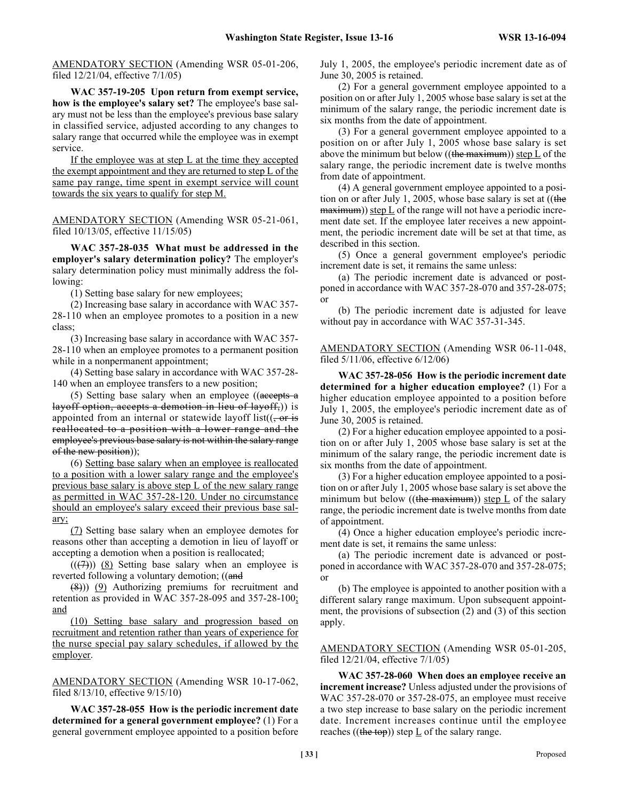AMENDATORY SECTION (Amending WSR 05-01-206, filed 12/21/04, effective 7/1/05)

**WAC 357-19-205 Upon return from exempt service, how is the employee's salary set?** The employee's base salary must not be less than the employee's previous base salary in classified service, adjusted according to any changes to salary range that occurred while the employee was in exempt service.

If the employee was at step L at the time they accepted the exempt appointment and they are returned to step L of the same pay range, time spent in exempt service will count towards the six years to qualify for step M.

AMENDATORY SECTION (Amending WSR 05-21-061, filed 10/13/05, effective 11/15/05)

**WAC 357-28-035 What must be addressed in the employer's salary determination policy?** The employer's salary determination policy must minimally address the following:

(1) Setting base salary for new employees;

(2) Increasing base salary in accordance with WAC 357- 28-110 when an employee promotes to a position in a new class;

(3) Increasing base salary in accordance with WAC 357- 28-110 when an employee promotes to a permanent position while in a nonpermanent appointment;

(4) Setting base salary in accordance with WAC 357-28- 140 when an employee transfers to a new position;

(5) Setting base salary when an employee ((accepts a layoff option, accepts a demotion in lieu of layoff,)) is appointed from an internal or statewide layoff list( $\left($ , or is reallocated to a position with a lower range and the employee's previous base salary is not within the salary range of the new position));

(6) Setting base salary when an employee is reallocated to a position with a lower salary range and the employee's previous base salary is above step L of the new salary range as permitted in WAC 357-28-120. Under no circumstance should an employee's salary exceed their previous base salary;

(7) Setting base salary when an employee demotes for reasons other than accepting a demotion in lieu of layoff or accepting a demotion when a position is reallocated;

 $((\overline{(7)}))$  (8) Setting base salary when an employee is reverted following a voluntary demotion; ((and

 $(\frac{8}{6})$ ) (9) Authorizing premiums for recruitment and retention as provided in WAC 357-28-095 and 357-28-100; and

(10) Setting base salary and progression based on recruitment and retention rather than years of experience for the nurse special pay salary schedules, if allowed by the employer.

AMENDATORY SECTION (Amending WSR 10-17-062, filed 8/13/10, effective 9/15/10)

**WAC 357-28-055 How is the periodic increment date determined for a general government employee?** (1) For a general government employee appointed to a position before July 1, 2005, the employee's periodic increment date as of June 30, 2005 is retained.

(2) For a general government employee appointed to a position on or after July 1, 2005 whose base salary is set at the minimum of the salary range, the periodic increment date is six months from the date of appointment.

(3) For a general government employee appointed to a position on or after July 1, 2005 whose base salary is set above the minimum but below ((the maximum)) step  $L$  of the salary range, the periodic increment date is twelve months from date of appointment.

(4) A general government employee appointed to a position on or after July 1, 2005, whose base salary is set at ((the  $maximum)$ ) step  $L$  of the range will not have a periodic increment date set. If the employee later receives a new appointment, the periodic increment date will be set at that time, as described in this section.

(5) Once a general government employee's periodic increment date is set, it remains the same unless:

(a) The periodic increment date is advanced or postponed in accordance with WAC 357-28-070 and 357-28-075; or

(b) The periodic increment date is adjusted for leave without pay in accordance with WAC 357-31-345.

AMENDATORY SECTION (Amending WSR 06-11-048, filed 5/11/06, effective 6/12/06)

**WAC 357-28-056 How is the periodic increment date determined for a higher education employee?** (1) For a higher education employee appointed to a position before July 1, 2005, the employee's periodic increment date as of June 30, 2005 is retained.

(2) For a higher education employee appointed to a position on or after July 1, 2005 whose base salary is set at the minimum of the salary range, the periodic increment date is six months from the date of appointment.

(3) For a higher education employee appointed to a position on or after July 1, 2005 whose base salary is set above the minimum but below  $((the maximum))$  step L of the salary range, the periodic increment date is twelve months from date of appointment.

(4) Once a higher education employee's periodic increment date is set, it remains the same unless:

(a) The periodic increment date is advanced or postponed in accordance with WAC 357-28-070 and 357-28-075; or

(b) The employee is appointed to another position with a different salary range maximum. Upon subsequent appointment, the provisions of subsection (2) and (3) of this section apply.

AMENDATORY SECTION (Amending WSR 05-01-205, filed 12/21/04, effective 7/1/05)

**WAC 357-28-060 When does an employee receive an increment increase?** Unless adjusted under the provisions of WAC 357-28-070 or 357-28-075, an employee must receive a two step increase to base salary on the periodic increment date. Increment increases continue until the employee reaches ((the top)) step  $\underline{L}$  of the salary range.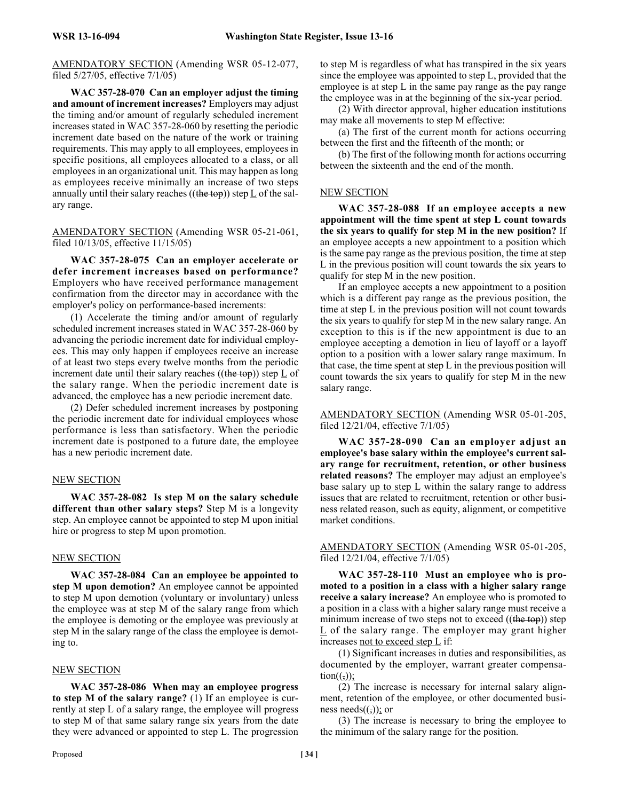AMENDATORY SECTION (Amending WSR 05-12-077, filed 5/27/05, effective 7/1/05)

**WAC 357-28-070 Can an employer adjust the timing and amount of increment increases?** Employers may adjust the timing and/or amount of regularly scheduled increment increases stated in WAC 357-28-060 by resetting the periodic increment date based on the nature of the work or training requirements. This may apply to all employees, employees in specific positions, all employees allocated to a class, or all employees in an organizational unit. This may happen as long as employees receive minimally an increase of two steps annually until their salary reaches ((the top)) step  $\underline{L}$  of the salary range.

AMENDATORY SECTION (Amending WSR 05-21-061, filed 10/13/05, effective 11/15/05)

**WAC 357-28-075 Can an employer accelerate or defer increment increases based on performance?** Employers who have received performance management confirmation from the director may in accordance with the employer's policy on performance-based increments:

(1) Accelerate the timing and/or amount of regularly scheduled increment increases stated in WAC 357-28-060 by advancing the periodic increment date for individual employees. This may only happen if employees receive an increase of at least two steps every twelve months from the periodic increment date until their salary reaches ((the top)) step  $\underline{L}$  of the salary range. When the periodic increment date is advanced, the employee has a new periodic increment date.

(2) Defer scheduled increment increases by postponing the periodic increment date for individual employees whose performance is less than satisfactory. When the periodic increment date is postponed to a future date, the employee has a new periodic increment date.

#### NEW SECTION

**WAC 357-28-082 Is step M on the salary schedule different than other salary steps?** Step M is a longevity step. An employee cannot be appointed to step M upon initial hire or progress to step M upon promotion.

#### NEW SECTION

**WAC 357-28-084 Can an employee be appointed to step M upon demotion?** An employee cannot be appointed to step M upon demotion (voluntary or involuntary) unless the employee was at step M of the salary range from which the employee is demoting or the employee was previously at step M in the salary range of the class the employee is demoting to.

#### NEW SECTION

**WAC 357-28-086 When may an employee progress to step M of the salary range?** (1) If an employee is currently at step L of a salary range, the employee will progress to step M of that same salary range six years from the date they were advanced or appointed to step L. The progression to step M is regardless of what has transpired in the six years since the employee was appointed to step L, provided that the employee is at step L in the same pay range as the pay range the employee was in at the beginning of the six-year period.

(2) With director approval, higher education institutions may make all movements to step M effective:

(a) The first of the current month for actions occurring between the first and the fifteenth of the month; or

(b) The first of the following month for actions occurring between the sixteenth and the end of the month.

#### NEW SECTION

**WAC 357-28-088 If an employee accepts a new appointment will the time spent at step L count towards the six years to qualify for step M in the new position?** If an employee accepts a new appointment to a position which is the same pay range as the previous position, the time at step L in the previous position will count towards the six years to qualify for step M in the new position.

If an employee accepts a new appointment to a position which is a different pay range as the previous position, the time at step L in the previous position will not count towards the six years to qualify for step M in the new salary range. An exception to this is if the new appointment is due to an employee accepting a demotion in lieu of layoff or a layoff option to a position with a lower salary range maximum. In that case, the time spent at step L in the previous position will count towards the six years to qualify for step M in the new salary range.

AMENDATORY SECTION (Amending WSR 05-01-205, filed 12/21/04, effective 7/1/05)

**WAC 357-28-090 Can an employer adjust an employee's base salary within the employee's current salary range for recruitment, retention, or other business related reasons?** The employer may adjust an employee's base salary  $\mu$  to step  $\overline{L}$  within the salary range to address issues that are related to recruitment, retention or other business related reason, such as equity, alignment, or competitive market conditions.

#### AMENDATORY SECTION (Amending WSR 05-01-205, filed 12/21/04, effective 7/1/05)

**WAC 357-28-110 Must an employee who is promoted to a position in a class with a higher salary range receive a salary increase?** An employee who is promoted to a position in a class with a higher salary range must receive a minimum increase of two steps not to exceed  $((the top))$  step  $L$  of the salary range. The employer may grant higher increases not to exceed step L if:

(1) Significant increases in duties and responsibilities, as documented by the employer, warrant greater compensa $tion((,))$ ;

(2) The increase is necessary for internal salary alignment, retention of the employee, or other documented business needs $((\overline{\cdot}))$ ; or

(3) The increase is necessary to bring the employee to the minimum of the salary range for the position.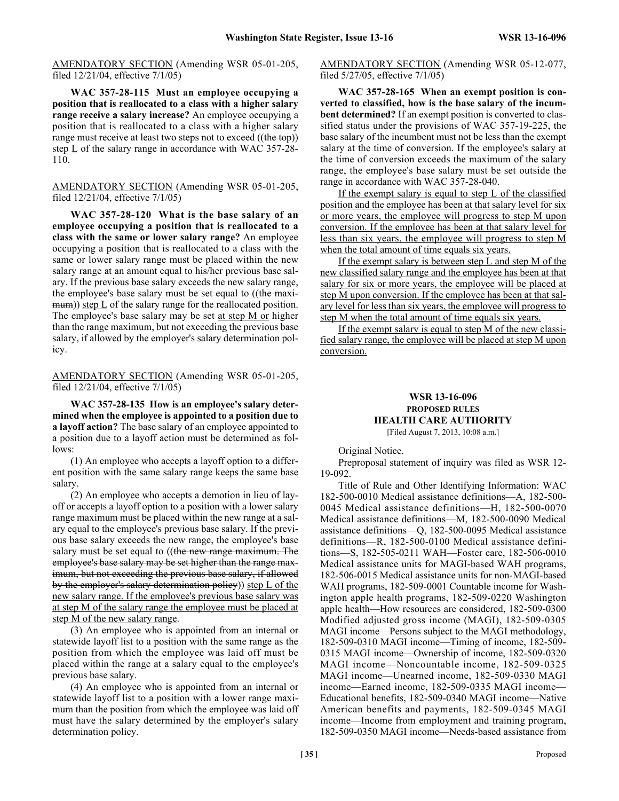AMENDATORY SECTION (Amending WSR 05-01-205, filed 12/21/04, effective 7/1/05)

**WAC 357-28-115 Must an employee occupying a position that is reallocated to a class with a higher salary range receive a salary increase?** An employee occupying a position that is reallocated to a class with a higher salary range must receive at least two steps not to exceed ((the top)) step  $\underline{L}$  of the salary range in accordance with WAC 357-28-110.

AMENDATORY SECTION (Amending WSR 05-01-205, filed 12/21/04, effective 7/1/05)

**WAC 357-28-120 What is the base salary of an employee occupying a position that is reallocated to a class with the same or lower salary range?** An employee occupying a position that is reallocated to a class with the same or lower salary range must be placed within the new salary range at an amount equal to his/her previous base salary. If the previous base salary exceeds the new salary range, the employee's base salary must be set equal to ((the maxi $mum)$ ) step L of the salary range for the reallocated position. The employee's base salary may be set at step M or higher than the range maximum, but not exceeding the previous base salary, if allowed by the employer's salary determination policy.

AMENDATORY SECTION (Amending WSR 05-01-205, filed 12/21/04, effective 7/1/05)

**WAC 357-28-135 How is an employee's salary determined when the employee is appointed to a position due to a layoff action?** The base salary of an employee appointed to a position due to a layoff action must be determined as follows:

(1) An employee who accepts a layoff option to a different position with the same salary range keeps the same base salary.

(2) An employee who accepts a demotion in lieu of layoff or accepts a layoff option to a position with a lower salary range maximum must be placed within the new range at a salary equal to the employee's previous base salary. If the previous base salary exceeds the new range, the employee's base salary must be set equal to ((the new range maximum. The employee's base salary may be set higher than the range maximum, but not exceeding the previous base salary, if allowed by the employer's salary determination policy)) step L of the new salary range. If the employee's previous base salary was at step M of the salary range the employee must be placed at step M of the new salary range.

(3) An employee who is appointed from an internal or statewide layoff list to a position with the same range as the position from which the employee was laid off must be placed within the range at a salary equal to the employee's previous base salary.

(4) An employee who is appointed from an internal or statewide layoff list to a position with a lower range maximum than the position from which the employee was laid off must have the salary determined by the employer's salary determination policy.

AMENDATORY SECTION (Amending WSR 05-12-077, filed 5/27/05, effective 7/1/05)

**WAC 357-28-165 When an exempt position is converted to classified, how is the base salary of the incumbent determined?** If an exempt position is converted to classified status under the provisions of WAC 357-19-225, the base salary of the incumbent must not be less than the exempt salary at the time of conversion. If the employee's salary at the time of conversion exceeds the maximum of the salary range, the employee's base salary must be set outside the range in accordance with WAC 357-28-040.

If the exempt salary is equal to step L of the classified position and the employee has been at that salary level for six or more years, the employee will progress to step M upon conversion. If the employee has been at that salary level for less than six years, the employee will progress to step M when the total amount of time equals six years.

If the exempt salary is between step L and step M of the new classified salary range and the employee has been at that salary for six or more years, the employee will be placed at step M upon conversion. If the employee has been at that salary level for less than six years, the employee will progress to step M when the total amount of time equals six years.

If the exempt salary is equal to step M of the new classified salary range, the employee will be placed at step M upon conversion.

# **WSR 13-16-096 PROPOSED RULES HEALTH CARE AUTHORITY**

[Filed August 7, 2013, 10:08 a.m.]

Original Notice.

Preproposal statement of inquiry was filed as WSR 12- 19-092.

Title of Rule and Other Identifying Information: WAC 182-500-0010 Medical assistance definitions—A, 182-500- 0045 Medical assistance definitions—H, 182-500-0070 Medical assistance definitions—M, 182-500-0090 Medical assistance definitions—Q, 182-500-0095 Medical assistance definitions—R, 182-500-0100 Medical assistance definitions—S, 182-505-0211 WAH—Foster care, 182-506-0010 Medical assistance units for MAGI-based WAH programs, 182-506-0015 Medical assistance units for non-MAGI-based WAH programs, 182-509-0001 Countable income for Washington apple health programs, 182-509-0220 Washington apple health—How resources are considered, 182-509-0300 Modified adjusted gross income (MAGI), 182-509-0305 MAGI income—Persons subject to the MAGI methodology, 182-509-0310 MAGI income—Timing of income, 182-509- 0315 MAGI income—Ownership of income, 182-509-0320 MAGI income—Noncountable income, 182-509-0325 MAGI income—Unearned income, 182-509-0330 MAGI income—Earned income, 182-509-0335 MAGI income— Educational benefits, 182-509-0340 MAGI income—Native American benefits and payments, 182-509-0345 MAGI income—Income from employment and training program, 182-509-0350 MAGI income—Needs-based assistance from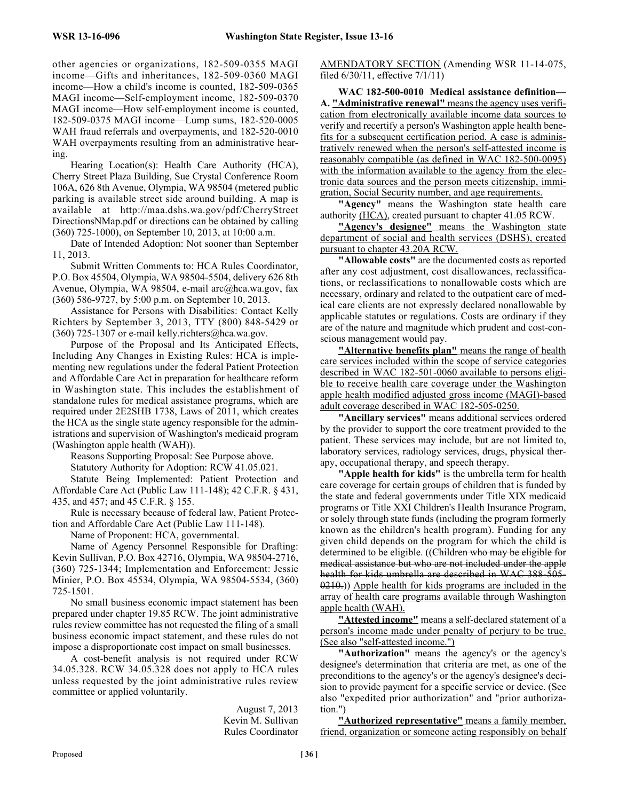other agencies or organizations, 182-509-0355 MAGI income—Gifts and inheritances, 182-509-0360 MAGI income—How a child's income is counted, 182-509-0365 MAGI income—Self-employment income, 182-509-0370 MAGI income—How self-employment income is counted, 182-509-0375 MAGI income—Lump sums, 182-520-0005 WAH fraud referrals and overpayments, and 182-520-0010 WAH overpayments resulting from an administrative hearing.

Hearing Location(s): Health Care Authority (HCA), Cherry Street Plaza Building, Sue Crystal Conference Room 106A, 626 8th Avenue, Olympia, WA 98504 (metered public parking is available street side around building. A map is available at http://maa.dshs.wa.gov/pdf/CherryStreet DirectionsNMap.pdf or directions can be obtained by calling (360) 725-1000), on September 10, 2013, at 10:00 a.m.

Date of Intended Adoption: Not sooner than September 11, 2013.

Submit Written Comments to: HCA Rules Coordinator, P.O. Box 45504, Olympia, WA 98504-5504, delivery 626 8th Avenue, Olympia, WA 98504, e-mail arc@hca.wa.gov, fax (360) 586-9727, by 5:00 p.m. on September 10, 2013.

Assistance for Persons with Disabilities: Contact Kelly Richters by September 3, 2013, TTY (800) 848-5429 or (360) 725-1307 or e-mail kelly.richters@hca.wa.gov.

Purpose of the Proposal and Its Anticipated Effects, Including Any Changes in Existing Rules: HCA is implementing new regulations under the federal Patient Protection and Affordable Care Act in preparation for healthcare reform in Washington state. This includes the establishment of standalone rules for medical assistance programs, which are required under 2E2SHB 1738, Laws of 2011, which creates the HCA as the single state agency responsible for the administrations and supervision of Washington's medicaid program (Washington apple health (WAH)).

Reasons Supporting Proposal: See Purpose above.

Statutory Authority for Adoption: RCW 41.05.021.

Statute Being Implemented: Patient Protection and Affordable Care Act (Public Law 111-148); 42 C.F.R. § 431, 435, and 457; and 45 C.F.R. § 155.

Rule is necessary because of federal law, Patient Protection and Affordable Care Act (Public Law 111-148).

Name of Proponent: HCA, governmental.

Name of Agency Personnel Responsible for Drafting: Kevin Sullivan, P.O. Box 42716, Olympia, WA 98504-2716, (360) 725-1344; Implementation and Enforcement: Jessie Minier, P.O. Box 45534, Olympia, WA 98504-5534, (360) 725-1501.

No small business economic impact statement has been prepared under chapter 19.85 RCW. The joint administrative rules review committee has not requested the filing of a small business economic impact statement, and these rules do not impose a disproportionate cost impact on small businesses.

A cost-benefit analysis is not required under RCW 34.05.328. RCW 34.05.328 does not apply to HCA rules unless requested by the joint administrative rules review committee or applied voluntarily.

> August 7, 2013 Kevin M. Sullivan Rules Coordinator

AMENDATORY SECTION (Amending WSR 11-14-075, filed 6/30/11, effective 7/1/11)

**WAC 182-500-0010 Medical assistance definition— A. "Administrative renewal"** means the agency uses verification from electronically available income data sources to verify and recertify a person's Washington apple health benefits for a subsequent certification period. A case is administratively renewed when the person's self-attested income is reasonably compatible (as defined in WAC 182-500-0095) with the information available to the agency from the electronic data sources and the person meets citizenship, immigration, Social Security number, and age requirements.

**"Agency"** means the Washington state health care authority (HCA), created pursuant to chapter 41.05 RCW.

**"Agency's designee"** means the Washington state department of social and health services (DSHS), created pursuant to chapter 43.20A RCW.

**"Allowable costs"** are the documented costs as reported after any cost adjustment, cost disallowances, reclassifications, or reclassifications to nonallowable costs which are necessary, ordinary and related to the outpatient care of medical care clients are not expressly declared nonallowable by applicable statutes or regulations. Costs are ordinary if they are of the nature and magnitude which prudent and cost-conscious management would pay.

**"Alternative benefits plan"** means the range of health care services included within the scope of service categories described in WAC 182-501-0060 available to persons eligible to receive health care coverage under the Washington apple health modified adjusted gross income (MAGI)-based adult coverage described in WAC 182-505-0250.

**"Ancillary services"** means additional services ordered by the provider to support the core treatment provided to the patient. These services may include, but are not limited to, laboratory services, radiology services, drugs, physical therapy, occupational therapy, and speech therapy.

**"Apple health for kids"** is the umbrella term for health care coverage for certain groups of children that is funded by the state and federal governments under Title XIX medicaid programs or Title XXI Children's Health Insurance Program, or solely through state funds (including the program formerly known as the children's health program). Funding for any given child depends on the program for which the child is determined to be eligible. ((Children who may be eligible for medical assistance but who are not included under the apple health for kids umbrella are described in WAC 388-505- 0210.)) Apple health for kids programs are included in the array of health care programs available through Washington apple health (WAH).

**"Attested income"** means a self-declared statement of a person's income made under penalty of perjury to be true. (See also "self-attested income.")

**"Authorization"** means the agency's or the agency's designee's determination that criteria are met, as one of the preconditions to the agency's or the agency's designee's decision to provide payment for a specific service or device. (See also "expedited prior authorization" and "prior authorization.")

**"Authorized representative"** means a family member, friend, organization or someone acting responsibly on behalf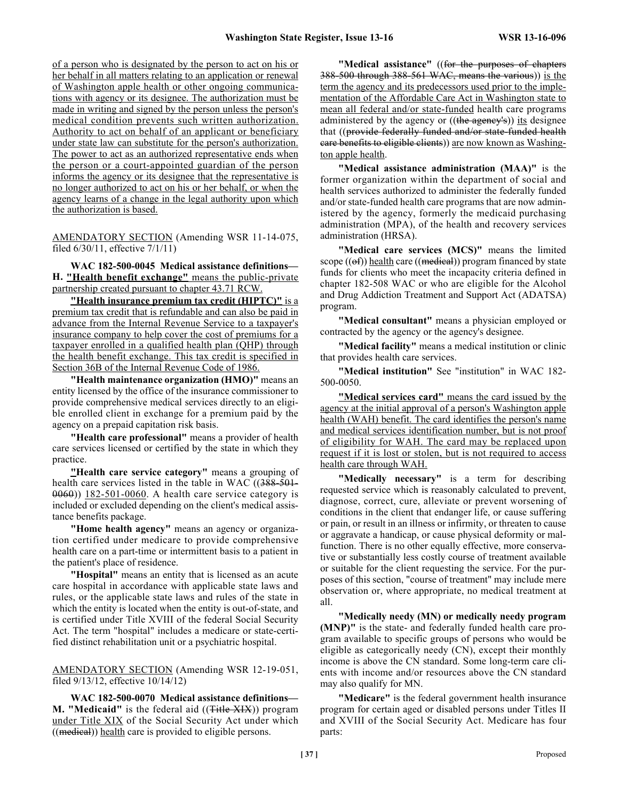of a person who is designated by the person to act on his or her behalf in all matters relating to an application or renewal of Washington apple health or other ongoing communications with agency or its designee. The authorization must be made in writing and signed by the person unless the person's medical condition prevents such written authorization. Authority to act on behalf of an applicant or beneficiary under state law can substitute for the person's authorization. The power to act as an authorized representative ends when the person or a court-appointed guardian of the person informs the agency or its designee that the representative is no longer authorized to act on his or her behalf, or when the agency learns of a change in the legal authority upon which the authorization is based.

AMENDATORY SECTION (Amending WSR 11-14-075, filed 6/30/11, effective 7/1/11)

**WAC 182-500-0045 Medical assistance definitions— H. "Health benefit exchange"** means the public-private partnership created pursuant to chapter 43.71 RCW.

**"Health insurance premium tax credit (HIPTC)"** is a premium tax credit that is refundable and can also be paid in advance from the Internal Revenue Service to a taxpayer's insurance company to help cover the cost of premiums for a taxpayer enrolled in a qualified health plan (QHP) through the health benefit exchange. This tax credit is specified in Section 36B of the Internal Revenue Code of 1986.

**"Health maintenance organization (HMO)"** means an entity licensed by the office of the insurance commissioner to provide comprehensive medical services directly to an eligible enrolled client in exchange for a premium paid by the agency on a prepaid capitation risk basis.

**"Health care professional"** means a provider of health care services licensed or certified by the state in which they practice.

**"Health care service category"** means a grouping of health care services listed in the table in WAC ((388-501-0060)) 182-501-0060. A health care service category is included or excluded depending on the client's medical assistance benefits package.

**"Home health agency"** means an agency or organization certified under medicare to provide comprehensive health care on a part-time or intermittent basis to a patient in the patient's place of residence.

**"Hospital"** means an entity that is licensed as an acute care hospital in accordance with applicable state laws and rules, or the applicable state laws and rules of the state in which the entity is located when the entity is out-of-state, and is certified under Title XVIII of the federal Social Security Act. The term "hospital" includes a medicare or state-certified distinct rehabilitation unit or a psychiatric hospital.

AMENDATORY SECTION (Amending WSR 12-19-051, filed 9/13/12, effective 10/14/12)

**WAC 182-500-0070 Medical assistance definitions— M. "Medicaid"** is the federal aid ((<del>Title XIX</del>)) program under Title XIX of the Social Security Act under which  $((\text{median}))$  health care is provided to eligible persons.

**"Medical assistance"** ((for the purposes of chapters 388-500 through 388-561 WAC, means the various)) is the term the agency and its predecessors used prior to the implementation of the Affordable Care Act in Washington state to mean all federal and/or state-funded health care programs administered by the agency or ((the agency's)) its designee that ((provide federally funded and/or state-funded health care benefits to eligible clients)) are now known as Washington apple health.

**"Medical assistance administration (MAA)"** is the former organization within the department of social and health services authorized to administer the federally funded and/or state-funded health care programs that are now administered by the agency, formerly the medicaid purchasing administration (MPA), of the health and recovery services administration (HRSA).

**"Medical care services (MCS)"** means the limited scope  $((\theta f))$  health care  $((\text{median}))$  program financed by state funds for clients who meet the incapacity criteria defined in chapter 182-508 WAC or who are eligible for the Alcohol and Drug Addiction Treatment and Support Act (ADATSA) program.

**"Medical consultant"** means a physician employed or contracted by the agency or the agency's designee.

**"Medical facility"** means a medical institution or clinic that provides health care services.

**"Medical institution"** See "institution" in WAC 182- 500-0050.

**"Medical services card"** means the card issued by the agency at the initial approval of a person's Washington apple health (WAH) benefit. The card identifies the person's name and medical services identification number, but is not proof of eligibility for WAH. The card may be replaced upon request if it is lost or stolen, but is not required to access health care through WAH.

**"Medically necessary"** is a term for describing requested service which is reasonably calculated to prevent, diagnose, correct, cure, alleviate or prevent worsening of conditions in the client that endanger life, or cause suffering or pain, or result in an illness or infirmity, or threaten to cause or aggravate a handicap, or cause physical deformity or malfunction. There is no other equally effective, more conservative or substantially less costly course of treatment available or suitable for the client requesting the service. For the purposes of this section, "course of treatment" may include mere observation or, where appropriate, no medical treatment at all.

**"Medically needy (MN) or medically needy program (MNP)"** is the state- and federally funded health care program available to specific groups of persons who would be eligible as categorically needy (CN), except their monthly income is above the CN standard. Some long-term care clients with income and/or resources above the CN standard may also qualify for MN.

**"Medicare"** is the federal government health insurance program for certain aged or disabled persons under Titles II and XVIII of the Social Security Act. Medicare has four parts: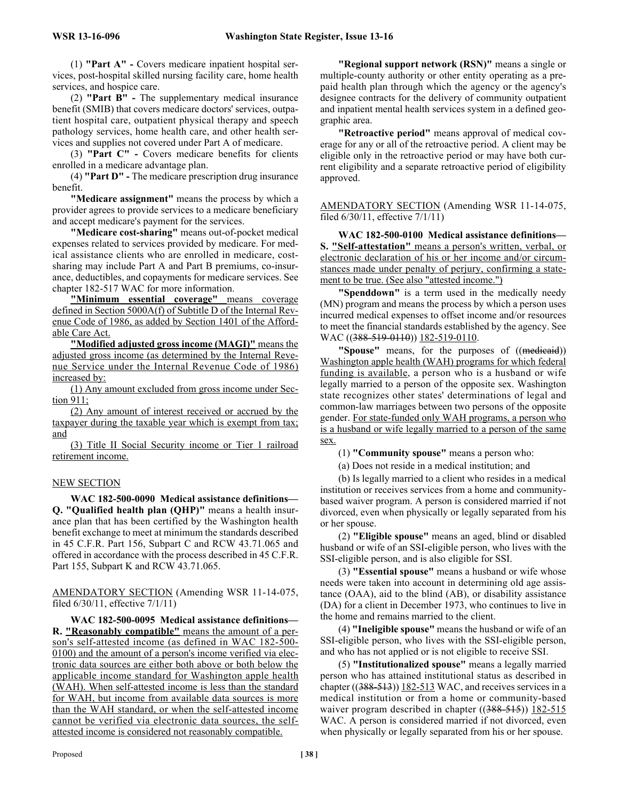(1) **"Part A" -** Covers medicare inpatient hospital services, post-hospital skilled nursing facility care, home health services, and hospice care.

(2) **"Part B" -** The supplementary medical insurance benefit (SMIB) that covers medicare doctors' services, outpatient hospital care, outpatient physical therapy and speech pathology services, home health care, and other health services and supplies not covered under Part A of medicare.

(3) **"Part C" -** Covers medicare benefits for clients enrolled in a medicare advantage plan.

(4) **"Part D" -** The medicare prescription drug insurance benefit.

**"Medicare assignment"** means the process by which a provider agrees to provide services to a medicare beneficiary and accept medicare's payment for the services.

**"Medicare cost-sharing"** means out-of-pocket medical expenses related to services provided by medicare. For medical assistance clients who are enrolled in medicare, costsharing may include Part A and Part B premiums, co-insurance, deductibles, and copayments for medicare services. See chapter 182-517 WAC for more information.

**"Minimum essential coverage"** means coverage defined in Section 5000A(f) of Subtitle D of the Internal Revenue Code of 1986, as added by Section 1401 of the Affordable Care Act.

**"Modified adjusted gross income (MAGI)"** means the adjusted gross income (as determined by the Internal Revenue Service under the Internal Revenue Code of 1986) increased by:

(1) Any amount excluded from gross income under Section 911;

(2) Any amount of interest received or accrued by the taxpayer during the taxable year which is exempt from tax; and

(3) Title II Social Security income or Tier 1 railroad retirement income.

#### NEW SECTION

**WAC 182-500-0090 Medical assistance definitions— Q. "Qualified health plan (QHP)"** means a health insurance plan that has been certified by the Washington health benefit exchange to meet at minimum the standards described in 45 C.F.R. Part 156, Subpart C and RCW 43.71.065 and offered in accordance with the process described in 45 C.F.R. Part 155, Subpart K and RCW 43.71.065.

AMENDATORY SECTION (Amending WSR 11-14-075, filed 6/30/11, effective 7/1/11)

**WAC 182-500-0095 Medical assistance definitions— R. "Reasonably compatible"** means the amount of a person's self-attested income (as defined in WAC 182-500- 0100) and the amount of a person's income verified via electronic data sources are either both above or both below the applicable income standard for Washington apple health (WAH). When self-attested income is less than the standard for WAH, but income from available data sources is more than the WAH standard, or when the self-attested income cannot be verified via electronic data sources, the selfattested income is considered not reasonably compatible.

**"Regional support network (RSN)"** means a single or multiple-county authority or other entity operating as a prepaid health plan through which the agency or the agency's designee contracts for the delivery of community outpatient and inpatient mental health services system in a defined geographic area.

**"Retroactive period"** means approval of medical coverage for any or all of the retroactive period. A client may be eligible only in the retroactive period or may have both current eligibility and a separate retroactive period of eligibility approved.

AMENDATORY SECTION (Amending WSR 11-14-075, filed 6/30/11, effective 7/1/11)

**WAC 182-500-0100 Medical assistance definitions— S. "Self-attestation"** means a person's written, verbal, or electronic declaration of his or her income and/or circumstances made under penalty of perjury, confirming a statement to be true. (See also "attested income.")

**"Spenddown"** is a term used in the medically needy (MN) program and means the process by which a person uses incurred medical expenses to offset income and/or resources to meet the financial standards established by the agency. See WAC ((388-519-0110)) 182-519-0110.

"Spouse" means, for the purposes of ((medicaid)) Washington apple health (WAH) programs for which federal funding is available, a person who is a husband or wife legally married to a person of the opposite sex. Washington state recognizes other states' determinations of legal and common-law marriages between two persons of the opposite gender. For state-funded only WAH programs, a person who is a husband or wife legally married to a person of the same sex.

(1) **"Community spouse"** means a person who:

(a) Does not reside in a medical institution; and

(b) Is legally married to a client who resides in a medical institution or receives services from a home and communitybased waiver program. A person is considered married if not divorced, even when physically or legally separated from his or her spouse.

(2) **"Eligible spouse"** means an aged, blind or disabled husband or wife of an SSI-eligible person, who lives with the SSI-eligible person, and is also eligible for SSI.

(3) **"Essential spouse"** means a husband or wife whose needs were taken into account in determining old age assistance (OAA), aid to the blind (AB), or disability assistance (DA) for a client in December 1973, who continues to live in the home and remains married to the client.

(4) **"Ineligible spouse"** means the husband or wife of an SSI-eligible person, who lives with the SSI-eligible person, and who has not applied or is not eligible to receive SSI.

(5) **"Institutionalized spouse"** means a legally married person who has attained institutional status as described in chapter  $((388-513))$  182-513 WAC, and receives services in a medical institution or from a home or community-based waiver program described in chapter  $((388-515))$  182-515 WAC. A person is considered married if not divorced, even when physically or legally separated from his or her spouse.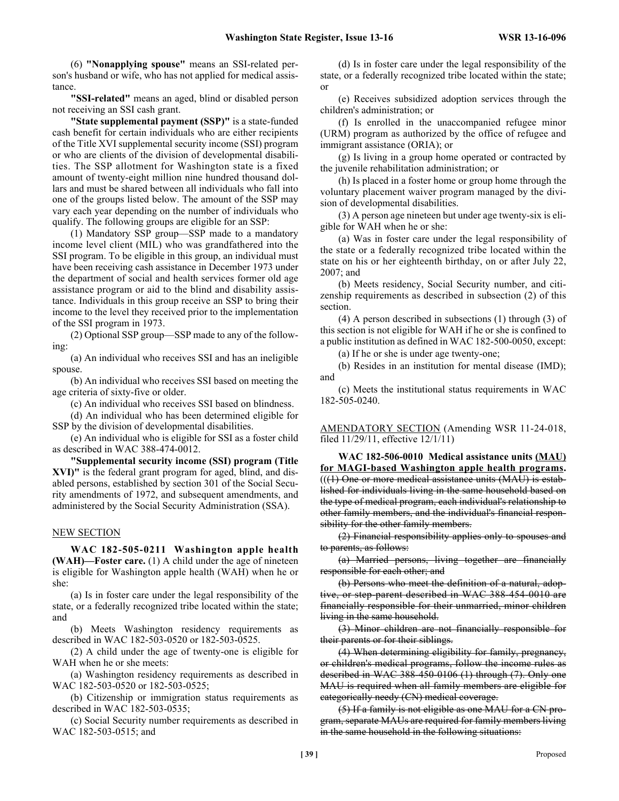(6) **"Nonapplying spouse"** means an SSI-related person's husband or wife, who has not applied for medical assistance.

**"SSI-related"** means an aged, blind or disabled person not receiving an SSI cash grant.

**"State supplemental payment (SSP)"** is a state-funded cash benefit for certain individuals who are either recipients of the Title XVI supplemental security income (SSI) program or who are clients of the division of developmental disabilities. The SSP allotment for Washington state is a fixed amount of twenty-eight million nine hundred thousand dollars and must be shared between all individuals who fall into one of the groups listed below. The amount of the SSP may vary each year depending on the number of individuals who qualify. The following groups are eligible for an SSP:

(1) Mandatory SSP group—SSP made to a mandatory income level client (MIL) who was grandfathered into the SSI program. To be eligible in this group, an individual must have been receiving cash assistance in December 1973 under the department of social and health services former old age assistance program or aid to the blind and disability assistance. Individuals in this group receive an SSP to bring their income to the level they received prior to the implementation of the SSI program in 1973.

(2) Optional SSP group—SSP made to any of the following:

(a) An individual who receives SSI and has an ineligible spouse.

(b) An individual who receives SSI based on meeting the age criteria of sixty-five or older.

(c) An individual who receives SSI based on blindness.

(d) An individual who has been determined eligible for SSP by the division of developmental disabilities.

(e) An individual who is eligible for SSI as a foster child as described in WAC 388-474-0012.

**"Supplemental security income (SSI) program (Title XVI)"** is the federal grant program for aged, blind, and disabled persons, established by section 301 of the Social Security amendments of 1972, and subsequent amendments, and administered by the Social Security Administration (SSA).

#### NEW SECTION

**WAC 182-505-0211 Washington apple health (WAH)—Foster care.** (1) A child under the age of nineteen is eligible for Washington apple health (WAH) when he or she:

(a) Is in foster care under the legal responsibility of the state, or a federally recognized tribe located within the state; and

(b) Meets Washington residency requirements as described in WAC 182-503-0520 or 182-503-0525.

(2) A child under the age of twenty-one is eligible for WAH when he or she meets:

(a) Washington residency requirements as described in WAC 182-503-0520 or 182-503-0525;

(b) Citizenship or immigration status requirements as described in WAC 182-503-0535;

(c) Social Security number requirements as described in WAC 182-503-0515; and

(d) Is in foster care under the legal responsibility of the state, or a federally recognized tribe located within the state; or

(e) Receives subsidized adoption services through the children's administration; or

(f) Is enrolled in the unaccompanied refugee minor (URM) program as authorized by the office of refugee and immigrant assistance (ORIA); or

(g) Is living in a group home operated or contracted by the juvenile rehabilitation administration; or

(h) Is placed in a foster home or group home through the voluntary placement waiver program managed by the division of developmental disabilities.

(3) A person age nineteen but under age twenty-six is eligible for WAH when he or she:

(a) Was in foster care under the legal responsibility of the state or a federally recognized tribe located within the state on his or her eighteenth birthday, on or after July 22, 2007; and

(b) Meets residency, Social Security number, and citizenship requirements as described in subsection (2) of this section.

(4) A person described in subsections (1) through (3) of this section is not eligible for WAH if he or she is confined to a public institution as defined in WAC 182-500-0050, except:

(a) If he or she is under age twenty-one;

(b) Resides in an institution for mental disease (IMD); and

(c) Meets the institutional status requirements in WAC 182-505-0240.

AMENDATORY SECTION (Amending WSR 11-24-018, filed 11/29/11, effective 12/1/11)

**WAC 182-506-0010 Medical assistance units (MAU) for MAGI-based Washington apple health programs.**  $((1)$  One or more medical assistance units  $(MAU)$  is established for individuals living in the same household based on the type of medical program, each individual's relationship to other family members, and the individual's financial responsibility for the other family members.

(2) Financial responsibility applies only to spouses and to parents, as follows:

(a) Married persons, living together are financially responsible for each other; and

(b) Persons who meet the definition of a natural, adoptive, or step-parent described in WAC 388-454-0010 are financially responsible for their unmarried, minor children living in the same household.

(3) Minor children are not financially responsible for their parents or for their siblings.

(4) When determining eligibility for family, pregnancy, or children's medical programs, follow the income rules as described in WAC 388-450-0106 (1) through (7). Only one MAU is required when all family members are eligible for categorically needy (CN) medical coverage.

(5) If a family is not eligible as one MAU for a CN program, separate MAUs are required for family members living in the same household in the following situations: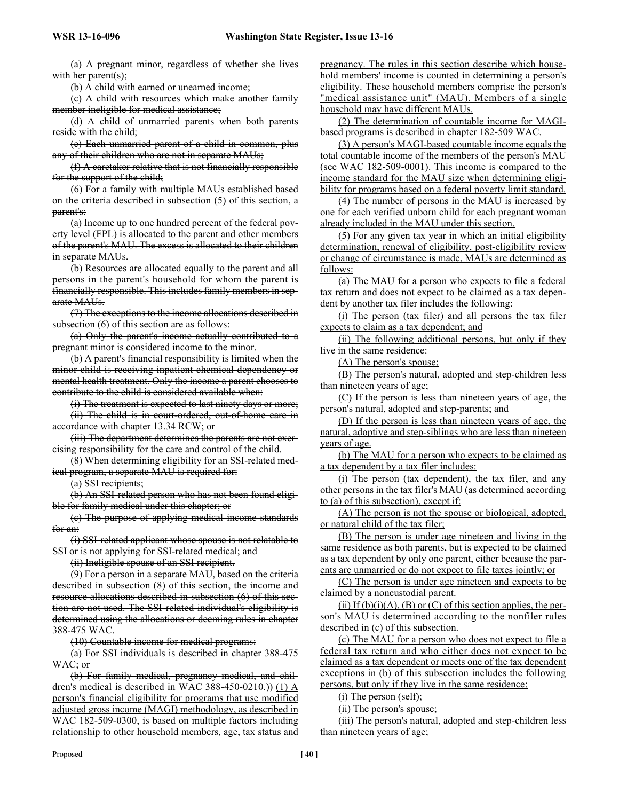(a) A pregnant minor, regardless of whether she lives with her parent(s);

(b) A child with earned or unearned income;

(c) A child with resources which make another family member ineligible for medical assistance;

(d) A child of unmarried parents when both parents reside with the child;

(e) Each unmarried parent of a child in common, plus any of their children who are not in separate MAUs;

(f) A caretaker relative that is not financially responsible for the support of the child;

(6) For a family with multiple MAUs established based on the criteria described in subsection (5) of this section, a parent's:

(a) Income up to one hundred percent of the federal poverty level (FPL) is allocated to the parent and other members of the parent's MAU. The excess is allocated to their children in separate MAUs.

(b) Resources are allocated equally to the parent and all persons in the parent's household for whom the parent is financially responsible. This includes family members in separate MAUs.

(7) The exceptions to the income allocations described in subsection (6) of this section are as follows:

(a) Only the parent's income actually contributed to a pregnant minor is considered income to the minor.

(b) A parent's financial responsibility is limited when the minor child is receiving inpatient chemical dependency or mental health treatment. Only the income a parent chooses to contribute to the child is considered available when:

(i) The treatment is expected to last ninety days or more;

(ii) The child is in court-ordered, out-of-home care in accordance with chapter 13.34 RCW; or

(iii) The department determines the parents are not exercising responsibility for the care and control of the child.

(8) When determining eligibility for an SSI-related medical program, a separate MAU is required for:

(a) SSI recipients;

(b) An SSI-related person who has not been found eligible for family medical under this chapter; or

(c) The purpose of applying medical income standards for an:

(i) SSI-related applicant whose spouse is not relatable to SSI or is not applying for SSI-related medical; and

(ii) Ineligible spouse of an SSI recipient.

(9) For a person in a separate MAU, based on the criteria described in subsection (8) of this section, the income and resource allocations described in subsection (6) of this section are not used. The SSI-related individual's eligibility is determined using the allocations or deeming rules in chapter 388-475 WAC.

(10) Countable income for medical programs:

(a) For SSI individuals is described in chapter 388-475 WAC; or

(b) For family medical, pregnancy medical, and children's medical is described in WAC 388-450-0210.)) (1) A person's financial eligibility for programs that use modified adjusted gross income (MAGI) methodology, as described in WAC 182-509-0300, is based on multiple factors including relationship to other household members, age, tax status and

pregnancy. The rules in this section describe which household members' income is counted in determining a person's eligibility. These household members comprise the person's "medical assistance unit" (MAU). Members of a single household may have different MAUs.

(2) The determination of countable income for MAGIbased programs is described in chapter 182-509 WAC.

(3) A person's MAGI-based countable income equals the total countable income of the members of the person's MAU (see WAC 182-509-0001). This income is compared to the income standard for the MAU size when determining eligibility for programs based on a federal poverty limit standard.

(4) The number of persons in the MAU is increased by one for each verified unborn child for each pregnant woman already included in the MAU under this section.

(5) For any given tax year in which an initial eligibility determination, renewal of eligibility, post-eligibility review or change of circumstance is made, MAUs are determined as follows:

(a) The MAU for a person who expects to file a federal tax return and does not expect to be claimed as a tax dependent by another tax filer includes the following:

(i) The person (tax filer) and all persons the tax filer expects to claim as a tax dependent; and

(ii) The following additional persons, but only if they live in the same residence:

(A) The person's spouse;

(B) The person's natural, adopted and step-children less than nineteen years of age;

(C) If the person is less than nineteen years of age, the person's natural, adopted and step-parents; and

(D) If the person is less than nineteen years of age, the natural, adoptive and step-siblings who are less than nineteen years of age.

(b) The MAU for a person who expects to be claimed as a tax dependent by a tax filer includes:

(i) The person (tax dependent), the tax filer, and any other persons in the tax filer's MAU (as determined according to (a) of this subsection), except if:

(A) The person is not the spouse or biological, adopted, or natural child of the tax filer;

(B) The person is under age nineteen and living in the same residence as both parents, but is expected to be claimed as a tax dependent by only one parent, either because the parents are unmarried or do not expect to file taxes jointly; or

(C) The person is under age nineteen and expects to be claimed by a noncustodial parent.

(ii) If  $(b)(i)(A)$ ,  $(B)$  or  $(C)$  of this section applies, the person's MAU is determined according to the nonfiler rules described in (c) of this subsection.

(c) The MAU for a person who does not expect to file a federal tax return and who either does not expect to be claimed as a tax dependent or meets one of the tax dependent exceptions in (b) of this subsection includes the following persons, but only if they live in the same residence:

(i) The person (self);

(ii) The person's spouse;

(iii) The person's natural, adopted and step-children less than nineteen years of age;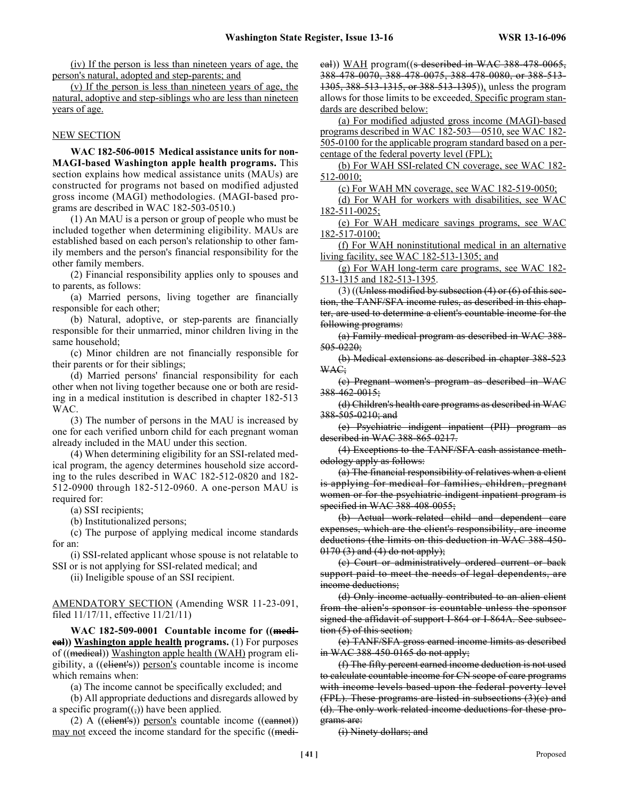(iv) If the person is less than nineteen years of age, the person's natural, adopted and step-parents; and

(v) If the person is less than nineteen years of age, the natural, adoptive and step-siblings who are less than nineteen years of age.

#### NEW SECTION

**WAC 182-506-0015 Medical assistance units for non-MAGI-based Washington apple health programs.** This section explains how medical assistance units (MAUs) are constructed for programs not based on modified adjusted gross income (MAGI) methodologies. (MAGI-based programs are described in WAC 182-503-0510.)

(1) An MAU is a person or group of people who must be included together when determining eligibility. MAUs are established based on each person's relationship to other family members and the person's financial responsibility for the other family members.

(2) Financial responsibility applies only to spouses and to parents, as follows:

(a) Married persons, living together are financially responsible for each other;

(b) Natural, adoptive, or step-parents are financially responsible for their unmarried, minor children living in the same household;

(c) Minor children are not financially responsible for their parents or for their siblings;

(d) Married persons' financial responsibility for each other when not living together because one or both are residing in a medical institution is described in chapter 182-513 WAC.

(3) The number of persons in the MAU is increased by one for each verified unborn child for each pregnant woman already included in the MAU under this section.

(4) When determining eligibility for an SSI-related medical program, the agency determines household size according to the rules described in WAC 182-512-0820 and 182- 512-0900 through 182-512-0960. A one-person MAU is required for:

(a) SSI recipients;

(b) Institutionalized persons;

(c) The purpose of applying medical income standards for an:

(i) SSI-related applicant whose spouse is not relatable to SSI or is not applying for SSI-related medical; and

(ii) Ineligible spouse of an SSI recipient.

AMENDATORY SECTION (Amending WSR 11-23-091, filed 11/17/11, effective 11/21/11)

**WAC 182-509-0001 Countable income for ((medical)) Washington apple health programs.** (1) For purposes of ((medical)) Washington apple health (WAH) program eligibility, a ((client's)) person's countable income is income which remains when:

(a) The income cannot be specifically excluded; and

(b) All appropriate deductions and disregards allowed by a specific program $((,))$  have been applied.

(2) A  $((\text{client's}))$  person's countable income  $((\text{cannot}))$ may not exceed the income standard for the specific ((medieal)) WAH program((s described in WAC 388-478-0065, 388-478-0070, 388-478-0075, 388-478-0080, or 388-513- 1305, 388-513-1315, or 388-513-1395)), unless the program allows for those limits to be exceeded. Specific program standards are described below:

(a) For modified adjusted gross income (MAGI)-based programs described in WAC 182-503—0510, see WAC 182- 505-0100 for the applicable program standard based on a percentage of the federal poverty level (FPL);

(b) For WAH SSI-related CN coverage, see WAC 182- 512-0010;

(c) For WAH MN coverage, see WAC 182-519-0050;

(d) For WAH for workers with disabilities, see WAC 182-511-0025;

(e) For WAH medicare savings programs, see WAC 182-517-0100;

(f) For WAH noninstitutional medical in an alternative living facility, see WAC 182-513-1305; and

(g) For WAH long-term care programs, see WAC 182- 513-1315 and 182-513-1395.

 $(3)$  ((Unless modified by subsection  $(4)$  or  $(6)$  of this section, the TANF/SFA income rules, as described in this chapter, are used to determine a client's countable income for the following programs:

(a) Family medical program as described in WAC 388- 505-0220;

(b) Medical extensions as described in chapter 388-523 WAC;

(c) Pregnant women's program as described in WAC 388-462-0015;

(d) Children's health care programs as described in WAC 388-505-0210; and

(e) Psychiatric indigent inpatient (PII) program as described in WAC 388-865-0217.

(4) Exceptions to the TANF/SFA cash assistance methodology apply as follows:

(a) The financial responsibility of relatives when a client is applying for medical for families, children, pregnant women or for the psychiatric indigent inpatient program is specified in WAC 388-408-0055;

(b) Actual work-related child and dependent care expenses, which are the client's responsibility, are income deductions (the limits on this deduction in WAC 388-450-  $0170$  (3) and (4) do not apply);

(c) Court or administratively ordered current or back support paid to meet the needs of legal dependents, are income deductions;

(d) Only income actually contributed to an alien client from the alien's sponsor is countable unless the sponsor signed the affidavit of support I-864 or I-864A. See subsection (5) of this section;

(e) TANF/SFA gross earned income limits as described in WAC 388-450-0165 do not apply;

(f) The fifty percent earned income deduction is not used to calculate countable income for CN scope of care programs with income levels based upon the federal poverty level (FPL). These programs are listed in subsections (3)(c) and (d). The only work related income deductions for these programs are:

(i) Ninety dollars; and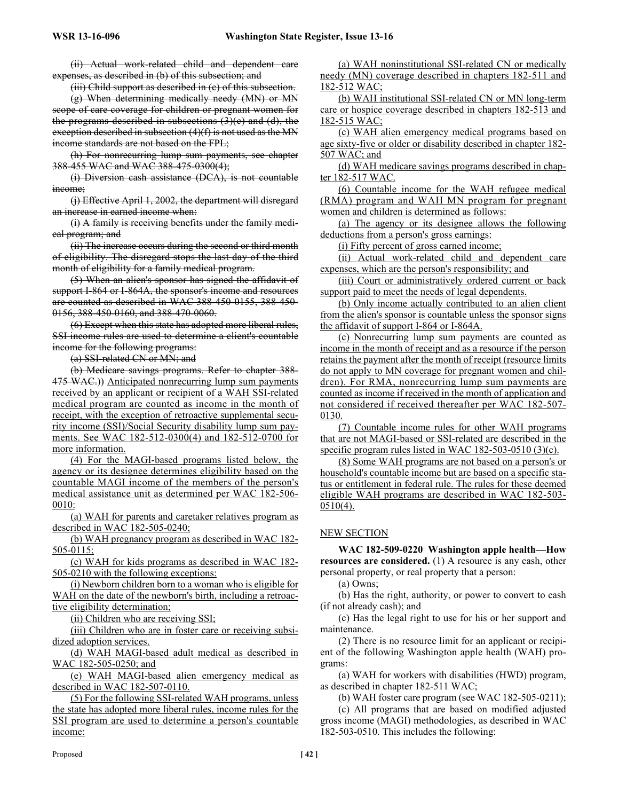(ii) Actual work-related child and dependent care expenses, as described in (b) of this subsection; and

(iii) Child support as described in (c) of this subsection.

(g) When determining medically needy (MN) or MN scope of care coverage for children or pregnant women for the programs described in subsections  $(3)(c)$  and  $(d)$ , the exception described in subsection  $(4)(f)$  is not used as the MN income standards are not based on the FPL;

(h) For nonrecurring lump sum payments, see chapter 388-455 WAC and WAC 388-475-0300(4);

(i) Diversion cash assistance (DCA), is not countable income;

(j) Effective April 1, 2002, the department will disregard an increase in earned income when:

(i) A family is receiving benefits under the family medical program; and

(ii) The increase occurs during the second or third month of eligibility. The disregard stops the last day of the third month of eligibility for a family medical program.

(5) When an alien's sponsor has signed the affidavit of support I-864 or I-864A, the sponsor's income and resources are counted as described in WAC 388-450-0155, 388-450- 0156, 388-450-0160, and 388-470-0060.

(6) Except when this state has adopted more liberal rules, SSI income rules are used to determine a client's countable income for the following programs:

(a) SSI-related CN or MN; and

(b) Medicare savings programs. Refer to chapter 388- 475 WAC.)) Anticipated nonrecurring lump sum payments received by an applicant or recipient of a WAH SSI-related medical program are counted as income in the month of receipt, with the exception of retroactive supplemental security income (SSI)/Social Security disability lump sum payments. See WAC 182-512-0300(4) and 182-512-0700 for more information.

(4) For the MAGI-based programs listed below, the agency or its designee determines eligibility based on the countable MAGI income of the members of the person's medical assistance unit as determined per WAC 182-506- 0010:

(a) WAH for parents and caretaker relatives program as described in WAC 182-505-0240;

(b) WAH pregnancy program as described in WAC 182- 505-0115;

(c) WAH for kids programs as described in WAC 182- 505-0210 with the following exceptions:

(i) Newborn children born to a woman who is eligible for WAH on the date of the newborn's birth, including a retroactive eligibility determination;

(ii) Children who are receiving SSI;

(iii) Children who are in foster care or receiving subsidized adoption services.

(d) WAH MAGI-based adult medical as described in WAC 182-505-0250; and

(e) WAH MAGI-based alien emergency medical as described in WAC 182-507-0110.

(5) For the following SSI-related WAH programs, unless the state has adopted more liberal rules, income rules for the SSI program are used to determine a person's countable income:

(a) WAH noninstitutional SSI-related CN or medically needy (MN) coverage described in chapters 182-511 and 182-512 WAC;

(b) WAH institutional SSI-related CN or MN long-term care or hospice coverage described in chapters 182-513 and 182-515 WAC;

(c) WAH alien emergency medical programs based on age sixty-five or older or disability described in chapter 182- 507 WAC; and

(d) WAH medicare savings programs described in chapter 182-517 WAC.

(6) Countable income for the WAH refugee medical (RMA) program and WAH MN program for pregnant women and children is determined as follows:

(a) The agency or its designee allows the following deductions from a person's gross earnings:

(i) Fifty percent of gross earned income;

(ii) Actual work-related child and dependent care expenses, which are the person's responsibility; and

(iii) Court or administratively ordered current or back support paid to meet the needs of legal dependents.

(b) Only income actually contributed to an alien client from the alien's sponsor is countable unless the sponsor signs the affidavit of support I-864 or I-864A.

(c) Nonrecurring lump sum payments are counted as income in the month of receipt and as a resource if the person retains the payment after the month of receipt (resource limits do not apply to MN coverage for pregnant women and children). For RMA, nonrecurring lump sum payments are counted as income if received in the month of application and not considered if received thereafter per WAC 182-507- 0130.

(7) Countable income rules for other WAH programs that are not MAGI-based or SSI-related are described in the specific program rules listed in WAC 182-503-0510 (3)(c).

(8) Some WAH programs are not based on a person's or household's countable income but are based on a specific status or entitlement in federal rule. The rules for these deemed eligible WAH programs are described in WAC 182-503-  $0510(4)$ .

# NEW SECTION

**WAC 182-509-0220 Washington apple health—How resources are considered.** (1) A resource is any cash, other personal property, or real property that a person:

(a) Owns;

(b) Has the right, authority, or power to convert to cash (if not already cash); and

(c) Has the legal right to use for his or her support and maintenance.

(2) There is no resource limit for an applicant or recipient of the following Washington apple health (WAH) programs:

(a) WAH for workers with disabilities (HWD) program, as described in chapter 182-511 WAC;

(b) WAH foster care program (see WAC 182-505-0211);

(c) All programs that are based on modified adjusted gross income (MAGI) methodologies, as described in WAC 182-503-0510. This includes the following: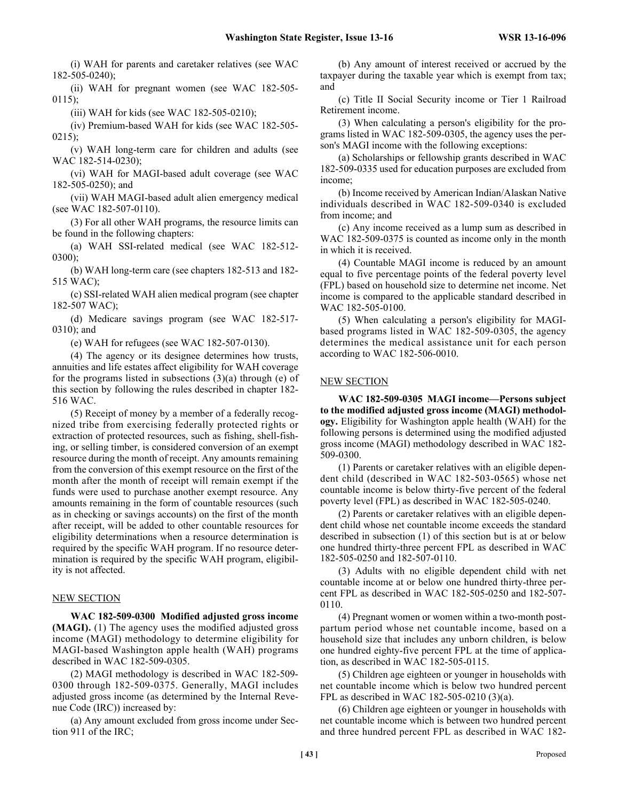(i) WAH for parents and caretaker relatives (see WAC 182-505-0240);

(ii) WAH for pregnant women (see WAC 182-505- 0115);

(iii) WAH for kids (see WAC  $182-505-0210$ );

(iv) Premium-based WAH for kids (see WAC 182-505- 0215);

(v) WAH long-term care for children and adults (see WAC 182-514-0230);

(vi) WAH for MAGI-based adult coverage (see WAC 182-505-0250); and

(vii) WAH MAGI-based adult alien emergency medical (see WAC 182-507-0110).

(3) For all other WAH programs, the resource limits can be found in the following chapters:

(a) WAH SSI-related medical (see WAC 182-512- 0300);

(b) WAH long-term care (see chapters 182-513 and 182- 515 WAC);

(c) SSI-related WAH alien medical program (see chapter 182-507 WAC);

(d) Medicare savings program (see WAC 182-517- 0310); and

(e) WAH for refugees (see WAC 182-507-0130).

(4) The agency or its designee determines how trusts, annuities and life estates affect eligibility for WAH coverage for the programs listed in subsections  $(3)(a)$  through (e) of this section by following the rules described in chapter 182- 516 WAC.

(5) Receipt of money by a member of a federally recognized tribe from exercising federally protected rights or extraction of protected resources, such as fishing, shell-fishing, or selling timber, is considered conversion of an exempt resource during the month of receipt. Any amounts remaining from the conversion of this exempt resource on the first of the month after the month of receipt will remain exempt if the funds were used to purchase another exempt resource. Any amounts remaining in the form of countable resources (such as in checking or savings accounts) on the first of the month after receipt, will be added to other countable resources for eligibility determinations when a resource determination is required by the specific WAH program. If no resource determination is required by the specific WAH program, eligibility is not affected.

#### NEW SECTION

**WAC 182-509-0300 Modified adjusted gross income (MAGI).** (1) The agency uses the modified adjusted gross income (MAGI) methodology to determine eligibility for MAGI-based Washington apple health (WAH) programs described in WAC 182-509-0305.

(2) MAGI methodology is described in WAC 182-509- 0300 through 182-509-0375. Generally, MAGI includes adjusted gross income (as determined by the Internal Revenue Code (IRC)) increased by:

(a) Any amount excluded from gross income under Section 911 of the IRC;

(b) Any amount of interest received or accrued by the taxpayer during the taxable year which is exempt from tax; and

(c) Title II Social Security income or Tier 1 Railroad Retirement income.

(3) When calculating a person's eligibility for the programs listed in WAC 182-509-0305, the agency uses the person's MAGI income with the following exceptions:

(a) Scholarships or fellowship grants described in WAC 182-509-0335 used for education purposes are excluded from income;

(b) Income received by American Indian/Alaskan Native individuals described in WAC 182-509-0340 is excluded from income; and

(c) Any income received as a lump sum as described in WAC 182-509-0375 is counted as income only in the month in which it is received.

(4) Countable MAGI income is reduced by an amount equal to five percentage points of the federal poverty level (FPL) based on household size to determine net income. Net income is compared to the applicable standard described in WAC 182-505-0100.

(5) When calculating a person's eligibility for MAGIbased programs listed in WAC 182-509-0305, the agency determines the medical assistance unit for each person according to WAC 182-506-0010.

### NEW SECTION

**WAC 182-509-0305 MAGI income—Persons subject to the modified adjusted gross income (MAGI) methodology.** Eligibility for Washington apple health (WAH) for the following persons is determined using the modified adjusted gross income (MAGI) methodology described in WAC 182- 509-0300.

(1) Parents or caretaker relatives with an eligible dependent child (described in WAC 182-503-0565) whose net countable income is below thirty-five percent of the federal poverty level (FPL) as described in WAC 182-505-0240.

(2) Parents or caretaker relatives with an eligible dependent child whose net countable income exceeds the standard described in subsection (1) of this section but is at or below one hundred thirty-three percent FPL as described in WAC 182-505-0250 and 182-507-0110.

(3) Adults with no eligible dependent child with net countable income at or below one hundred thirty-three percent FPL as described in WAC 182-505-0250 and 182-507- 0110.

(4) Pregnant women or women within a two-month postpartum period whose net countable income, based on a household size that includes any unborn children, is below one hundred eighty-five percent FPL at the time of application, as described in WAC 182-505-0115.

(5) Children age eighteen or younger in households with net countable income which is below two hundred percent FPL as described in WAC 182-505-0210 (3)(a).

(6) Children age eighteen or younger in households with net countable income which is between two hundred percent and three hundred percent FPL as described in WAC 182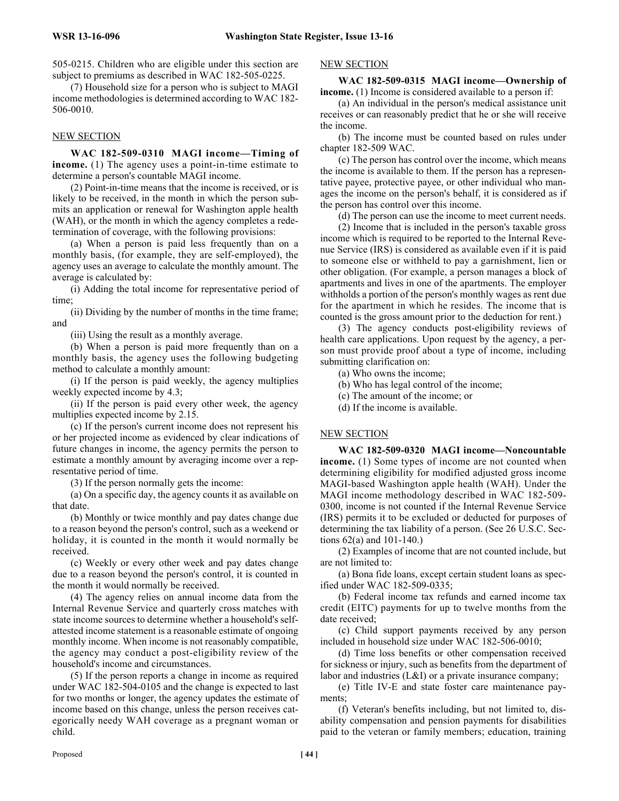505-0215. Children who are eligible under this section are subject to premiums as described in WAC 182-505-0225.

(7) Household size for a person who is subject to MAGI income methodologies is determined according to WAC 182- 506-0010.

#### NEW SECTION

**WAC 182-509-0310 MAGI income—Timing of income.** (1) The agency uses a point-in-time estimate to determine a person's countable MAGI income.

(2) Point-in-time means that the income is received, or is likely to be received, in the month in which the person submits an application or renewal for Washington apple health (WAH), or the month in which the agency completes a redetermination of coverage, with the following provisions:

(a) When a person is paid less frequently than on a monthly basis, (for example, they are self-employed), the agency uses an average to calculate the monthly amount. The average is calculated by:

(i) Adding the total income for representative period of time;

(ii) Dividing by the number of months in the time frame; and

(iii) Using the result as a monthly average.

(b) When a person is paid more frequently than on a monthly basis, the agency uses the following budgeting method to calculate a monthly amount:

(i) If the person is paid weekly, the agency multiplies weekly expected income by 4.3;

(ii) If the person is paid every other week, the agency multiplies expected income by 2.15.

(c) If the person's current income does not represent his or her projected income as evidenced by clear indications of future changes in income, the agency permits the person to estimate a monthly amount by averaging income over a representative period of time.

(3) If the person normally gets the income:

(a) On a specific day, the agency counts it as available on that date.

(b) Monthly or twice monthly and pay dates change due to a reason beyond the person's control, such as a weekend or holiday, it is counted in the month it would normally be received.

(c) Weekly or every other week and pay dates change due to a reason beyond the person's control, it is counted in the month it would normally be received.

(4) The agency relies on annual income data from the Internal Revenue Service and quarterly cross matches with state income sources to determine whether a household's selfattested income statement is a reasonable estimate of ongoing monthly income. When income is not reasonably compatible, the agency may conduct a post-eligibility review of the household's income and circumstances.

(5) If the person reports a change in income as required under WAC 182-504-0105 and the change is expected to last for two months or longer, the agency updates the estimate of income based on this change, unless the person receives categorically needy WAH coverage as a pregnant woman or child.

#### NEW SECTION

#### **WAC 182-509-0315 MAGI income—Ownership of income.** (1) Income is considered available to a person if:

(a) An individual in the person's medical assistance unit receives or can reasonably predict that he or she will receive the income.

(b) The income must be counted based on rules under chapter 182-509 WAC.

(c) The person has control over the income, which means the income is available to them. If the person has a representative payee, protective payee, or other individual who manages the income on the person's behalf, it is considered as if the person has control over this income.

(d) The person can use the income to meet current needs.

(2) Income that is included in the person's taxable gross income which is required to be reported to the Internal Revenue Service (IRS) is considered as available even if it is paid to someone else or withheld to pay a garnishment, lien or other obligation. (For example, a person manages a block of apartments and lives in one of the apartments. The employer withholds a portion of the person's monthly wages as rent due for the apartment in which he resides. The income that is counted is the gross amount prior to the deduction for rent.)

(3) The agency conducts post-eligibility reviews of health care applications. Upon request by the agency, a person must provide proof about a type of income, including submitting clarification on:

(a) Who owns the income;

- (b) Who has legal control of the income;
- (c) The amount of the income; or
- (d) If the income is available.

#### NEW SECTION

**WAC 182-509-0320 MAGI income—Noncountable income.** (1) Some types of income are not counted when determining eligibility for modified adjusted gross income MAGI-based Washington apple health (WAH). Under the MAGI income methodology described in WAC 182-509- 0300, income is not counted if the Internal Revenue Service (IRS) permits it to be excluded or deducted for purposes of determining the tax liability of a person. (See 26 U.S.C. Sections 62(a) and 101-140.)

(2) Examples of income that are not counted include, but are not limited to:

(a) Bona fide loans, except certain student loans as specified under WAC 182-509-0335;

(b) Federal income tax refunds and earned income tax credit (EITC) payments for up to twelve months from the date received;

(c) Child support payments received by any person included in household size under WAC 182-506-0010;

(d) Time loss benefits or other compensation received for sickness or injury, such as benefits from the department of labor and industries (L&I) or a private insurance company;

(e) Title IV-E and state foster care maintenance payments;

(f) Veteran's benefits including, but not limited to, disability compensation and pension payments for disabilities paid to the veteran or family members; education, training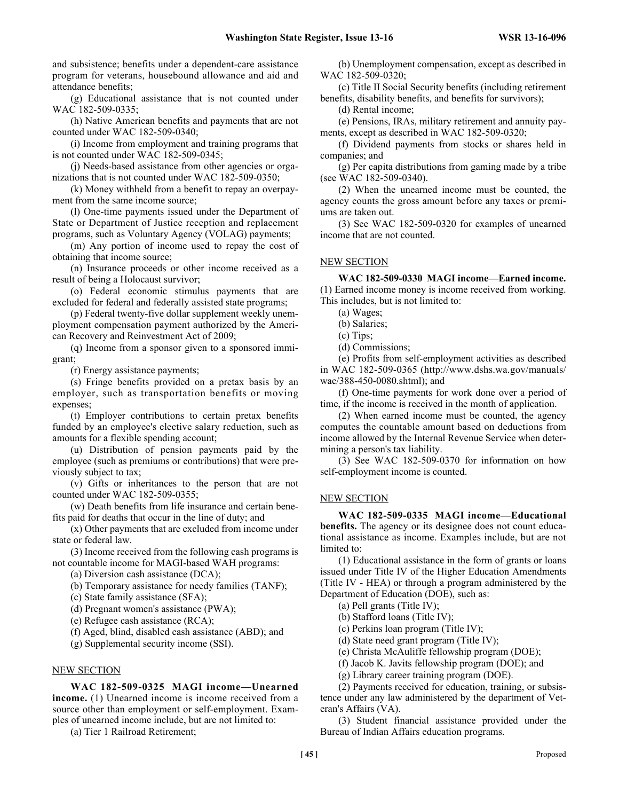and subsistence; benefits under a dependent-care assistance program for veterans, housebound allowance and aid and attendance benefits;

(g) Educational assistance that is not counted under WAC 182-509-0335;

(h) Native American benefits and payments that are not counted under WAC 182-509-0340;

(i) Income from employment and training programs that is not counted under WAC 182-509-0345;

(j) Needs-based assistance from other agencies or organizations that is not counted under WAC 182-509-0350;

(k) Money withheld from a benefit to repay an overpayment from the same income source;

(l) One-time payments issued under the Department of State or Department of Justice reception and replacement programs, such as Voluntary Agency (VOLAG) payments;

(m) Any portion of income used to repay the cost of obtaining that income source;

(n) Insurance proceeds or other income received as a result of being a Holocaust survivor;

(o) Federal economic stimulus payments that are excluded for federal and federally assisted state programs;

(p) Federal twenty-five dollar supplement weekly unemployment compensation payment authorized by the American Recovery and Reinvestment Act of 2009;

(q) Income from a sponsor given to a sponsored immigrant;

(r) Energy assistance payments;

(s) Fringe benefits provided on a pretax basis by an employer, such as transportation benefits or moving expenses;

(t) Employer contributions to certain pretax benefits funded by an employee's elective salary reduction, such as amounts for a flexible spending account;

(u) Distribution of pension payments paid by the employee (such as premiums or contributions) that were previously subject to tax;

(v) Gifts or inheritances to the person that are not counted under WAC 182-509-0355;

(w) Death benefits from life insurance and certain benefits paid for deaths that occur in the line of duty; and

(x) Other payments that are excluded from income under state or federal law.

(3) Income received from the following cash programs is not countable income for MAGI-based WAH programs:

(a) Diversion cash assistance (DCA);

(b) Temporary assistance for needy families (TANF);

(c) State family assistance (SFA);

(d) Pregnant women's assistance (PWA);

(e) Refugee cash assistance (RCA);

(f) Aged, blind, disabled cash assistance (ABD); and

(g) Supplemental security income (SSI).

### NEW SECTION

**WAC 182-509-0325 MAGI income—Unearned income.** (1) Unearned income is income received from a source other than employment or self-employment. Examples of unearned income include, but are not limited to:

(a) Tier 1 Railroad Retirement;

(b) Unemployment compensation, except as described in WAC 182-509-0320;

(c) Title II Social Security benefits (including retirement benefits, disability benefits, and benefits for survivors);

(d) Rental income;

(e) Pensions, IRAs, military retirement and annuity payments, except as described in WAC 182-509-0320;

(f) Dividend payments from stocks or shares held in companies; and

(g) Per capita distributions from gaming made by a tribe (see WAC 182-509-0340).

(2) When the unearned income must be counted, the agency counts the gross amount before any taxes or premiums are taken out.

(3) See WAC 182-509-0320 for examples of unearned income that are not counted.

#### NEW SECTION

**WAC 182-509-0330 MAGI income—Earned income.** (1) Earned income money is income received from working. This includes, but is not limited to:

(a) Wages;

(b) Salaries;

(c) Tips;

(d) Commissions;

(e) Profits from self-employment activities as described in WAC 182-509-0365 (http://www.dshs.wa.gov/manuals/ wac/388-450-0080.shtml); and

(f) One-time payments for work done over a period of time, if the income is received in the month of application.

(2) When earned income must be counted, the agency computes the countable amount based on deductions from income allowed by the Internal Revenue Service when determining a person's tax liability.

(3) See WAC 182-509-0370 for information on how self-employment income is counted.

#### NEW SECTION

**WAC 182-509-0335 MAGI income—Educational benefits.** The agency or its designee does not count educational assistance as income. Examples include, but are not limited to:

(1) Educational assistance in the form of grants or loans issued under Title IV of the Higher Education Amendments (Title IV - HEA) or through a program administered by the Department of Education (DOE), such as:

(a) Pell grants (Title IV);

(b) Stafford loans (Title IV);

(c) Perkins loan program (Title IV);

(d) State need grant program (Title IV);

(e) Christa McAuliffe fellowship program (DOE);

(f) Jacob K. Javits fellowship program (DOE); and

(g) Library career training program (DOE).

(2) Payments received for education, training, or subsistence under any law administered by the department of Veteran's Affairs (VA).

(3) Student financial assistance provided under the Bureau of Indian Affairs education programs.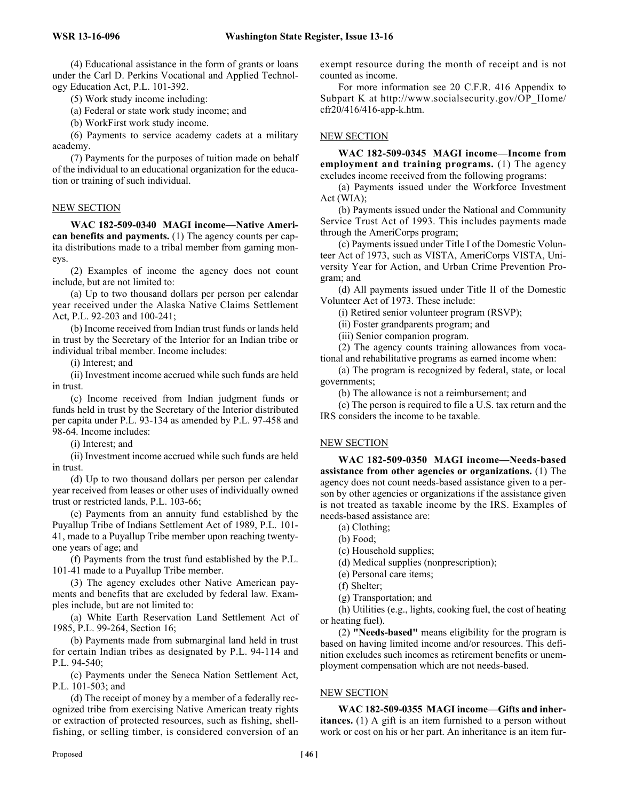(4) Educational assistance in the form of grants or loans under the Carl D. Perkins Vocational and Applied Technology Education Act, P.L. 101-392.

(5) Work study income including:

(a) Federal or state work study income; and

(b) WorkFirst work study income.

(6) Payments to service academy cadets at a military academy.

(7) Payments for the purposes of tuition made on behalf of the individual to an educational organization for the education or training of such individual.

#### NEW SECTION

**WAC 182-509-0340 MAGI income—Native American benefits and payments.** (1) The agency counts per capita distributions made to a tribal member from gaming moneys.

(2) Examples of income the agency does not count include, but are not limited to:

(a) Up to two thousand dollars per person per calendar year received under the Alaska Native Claims Settlement Act, P.L. 92-203 and 100-241;

(b) Income received from Indian trust funds or lands held in trust by the Secretary of the Interior for an Indian tribe or individual tribal member. Income includes:

(i) Interest; and

(ii) Investment income accrued while such funds are held in trust.

(c) Income received from Indian judgment funds or funds held in trust by the Secretary of the Interior distributed per capita under P.L. 93-134 as amended by P.L. 97-458 and 98-64. Income includes:

(i) Interest; and

(ii) Investment income accrued while such funds are held in trust.

(d) Up to two thousand dollars per person per calendar year received from leases or other uses of individually owned trust or restricted lands, P.L. 103-66;

(e) Payments from an annuity fund established by the Puyallup Tribe of Indians Settlement Act of 1989, P.L. 101- 41, made to a Puyallup Tribe member upon reaching twentyone years of age; and

(f) Payments from the trust fund established by the P.L. 101-41 made to a Puyallup Tribe member.

(3) The agency excludes other Native American payments and benefits that are excluded by federal law. Examples include, but are not limited to:

(a) White Earth Reservation Land Settlement Act of 1985, P.L. 99-264, Section 16;

(b) Payments made from submarginal land held in trust for certain Indian tribes as designated by P.L. 94-114 and P.L. 94-540;

(c) Payments under the Seneca Nation Settlement Act, P.L. 101-503; and

(d) The receipt of money by a member of a federally recognized tribe from exercising Native American treaty rights or extraction of protected resources, such as fishing, shellfishing, or selling timber, is considered conversion of an exempt resource during the month of receipt and is not counted as income.

For more information see 20 C.F.R. 416 Appendix to Subpart K at http://www.socialsecurity.gov/OP\_Home/ cfr20/416/416-app-k.htm.

#### NEW SECTION

**WAC 182-509-0345 MAGI income—Income from employment and training programs.** (1) The agency excludes income received from the following programs:

(a) Payments issued under the Workforce Investment Act (WIA);

(b) Payments issued under the National and Community Service Trust Act of 1993. This includes payments made through the AmeriCorps program;

(c) Payments issued under Title I of the Domestic Volunteer Act of 1973, such as VISTA, AmeriCorps VISTA, University Year for Action, and Urban Crime Prevention Program; and

(d) All payments issued under Title II of the Domestic Volunteer Act of 1973. These include:

(i) Retired senior volunteer program (RSVP);

(ii) Foster grandparents program; and

(iii) Senior companion program.

(2) The agency counts training allowances from vocational and rehabilitative programs as earned income when:

(a) The program is recognized by federal, state, or local governments;

(b) The allowance is not a reimbursement; and

(c) The person is required to file a U.S. tax return and the IRS considers the income to be taxable.

#### NEW SECTION

**WAC 182-509-0350 MAGI income—Needs-based assistance from other agencies or organizations.** (1) The agency does not count needs-based assistance given to a person by other agencies or organizations if the assistance given is not treated as taxable income by the IRS. Examples of needs-based assistance are:

- (a) Clothing;
- (b) Food;
- (c) Household supplies;
- (d) Medical supplies (nonprescription);
- (e) Personal care items;
- (f) Shelter;
- (g) Transportation; and

(h) Utilities (e.g., lights, cooking fuel, the cost of heating or heating fuel).

(2) **"Needs-based"** means eligibility for the program is based on having limited income and/or resources. This definition excludes such incomes as retirement benefits or unemployment compensation which are not needs-based.

#### NEW SECTION

**WAC 182-509-0355 MAGI income—Gifts and inheritances.** (1) A gift is an item furnished to a person without work or cost on his or her part. An inheritance is an item fur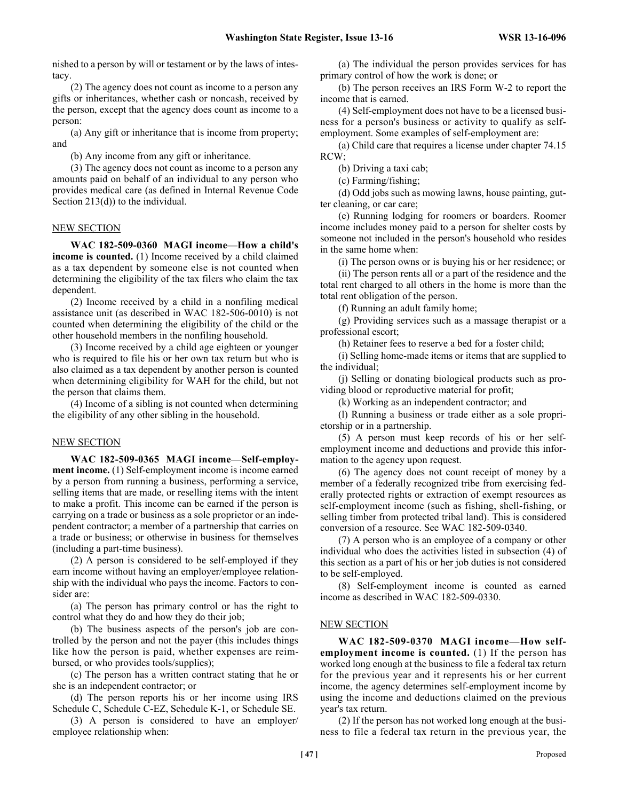nished to a person by will or testament or by the laws of intestacy.

(2) The agency does not count as income to a person any gifts or inheritances, whether cash or noncash, received by the person, except that the agency does count as income to a person:

(a) Any gift or inheritance that is income from property; and

(b) Any income from any gift or inheritance.

(3) The agency does not count as income to a person any amounts paid on behalf of an individual to any person who provides medical care (as defined in Internal Revenue Code Section 213(d)) to the individual.

#### NEW SECTION

**WAC 182-509-0360 MAGI income—How a child's income is counted.** (1) Income received by a child claimed as a tax dependent by someone else is not counted when determining the eligibility of the tax filers who claim the tax dependent.

(2) Income received by a child in a nonfiling medical assistance unit (as described in WAC 182-506-0010) is not counted when determining the eligibility of the child or the other household members in the nonfiling household.

(3) Income received by a child age eighteen or younger who is required to file his or her own tax return but who is also claimed as a tax dependent by another person is counted when determining eligibility for WAH for the child, but not the person that claims them.

(4) Income of a sibling is not counted when determining the eligibility of any other sibling in the household.

#### NEW SECTION

**WAC 182-509-0365 MAGI income—Self-employment income.** (1) Self-employment income is income earned by a person from running a business, performing a service, selling items that are made, or reselling items with the intent to make a profit. This income can be earned if the person is carrying on a trade or business as a sole proprietor or an independent contractor; a member of a partnership that carries on a trade or business; or otherwise in business for themselves (including a part-time business).

(2) A person is considered to be self-employed if they earn income without having an employer/employee relationship with the individual who pays the income. Factors to consider are:

(a) The person has primary control or has the right to control what they do and how they do their job;

(b) The business aspects of the person's job are controlled by the person and not the payer (this includes things like how the person is paid, whether expenses are reimbursed, or who provides tools/supplies);

(c) The person has a written contract stating that he or she is an independent contractor; or

(d) The person reports his or her income using IRS Schedule C, Schedule C-EZ, Schedule K-1, or Schedule SE.

(3) A person is considered to have an employer/ employee relationship when:

(a) The individual the person provides services for has primary control of how the work is done; or

(b) The person receives an IRS Form W-2 to report the income that is earned.

(4) Self-employment does not have to be a licensed business for a person's business or activity to qualify as selfemployment. Some examples of self-employment are:

(a) Child care that requires a license under chapter 74.15 RCW;

(b) Driving a taxi cab;

(c) Farming/fishing;

(d) Odd jobs such as mowing lawns, house painting, gutter cleaning, or car care;

(e) Running lodging for roomers or boarders. Roomer income includes money paid to a person for shelter costs by someone not included in the person's household who resides in the same home when:

(i) The person owns or is buying his or her residence; or

(ii) The person rents all or a part of the residence and the total rent charged to all others in the home is more than the total rent obligation of the person.

(f) Running an adult family home;

(g) Providing services such as a massage therapist or a professional escort;

(h) Retainer fees to reserve a bed for a foster child;

(i) Selling home-made items or items that are supplied to the individual;

(j) Selling or donating biological products such as providing blood or reproductive material for profit;

(k) Working as an independent contractor; and

(l) Running a business or trade either as a sole proprietorship or in a partnership.

(5) A person must keep records of his or her selfemployment income and deductions and provide this information to the agency upon request.

(6) The agency does not count receipt of money by a member of a federally recognized tribe from exercising federally protected rights or extraction of exempt resources as self-employment income (such as fishing, shell-fishing, or selling timber from protected tribal land). This is considered conversion of a resource. See WAC 182-509-0340.

(7) A person who is an employee of a company or other individual who does the activities listed in subsection (4) of this section as a part of his or her job duties is not considered to be self-employed.

(8) Self-employment income is counted as earned income as described in WAC 182-509-0330.

#### NEW SECTION

**WAC 182-509-0370 MAGI income—How selfemployment income is counted.** (1) If the person has worked long enough at the business to file a federal tax return for the previous year and it represents his or her current income, the agency determines self-employment income by using the income and deductions claimed on the previous year's tax return.

(2) If the person has not worked long enough at the business to file a federal tax return in the previous year, the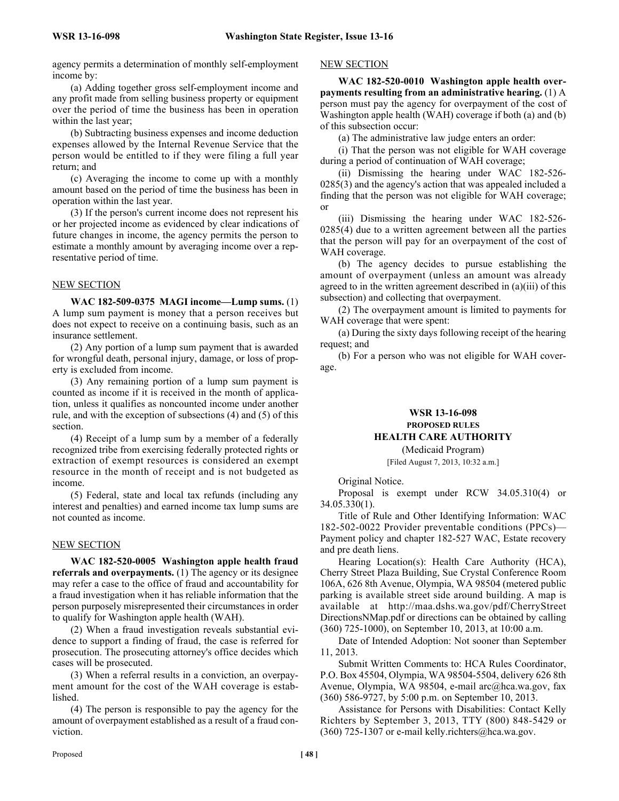agency permits a determination of monthly self-employment income by:

(a) Adding together gross self-employment income and any profit made from selling business property or equipment over the period of time the business has been in operation within the last year;

(b) Subtracting business expenses and income deduction expenses allowed by the Internal Revenue Service that the person would be entitled to if they were filing a full year return; and

(c) Averaging the income to come up with a monthly amount based on the period of time the business has been in operation within the last year.

(3) If the person's current income does not represent his or her projected income as evidenced by clear indications of future changes in income, the agency permits the person to estimate a monthly amount by averaging income over a representative period of time.

#### NEW SECTION

**WAC 182-509-0375 MAGI income—Lump sums.** (1) A lump sum payment is money that a person receives but does not expect to receive on a continuing basis, such as an insurance settlement.

(2) Any portion of a lump sum payment that is awarded for wrongful death, personal injury, damage, or loss of property is excluded from income.

(3) Any remaining portion of a lump sum payment is counted as income if it is received in the month of application, unless it qualifies as noncounted income under another rule, and with the exception of subsections (4) and (5) of this section.

(4) Receipt of a lump sum by a member of a federally recognized tribe from exercising federally protected rights or extraction of exempt resources is considered an exempt resource in the month of receipt and is not budgeted as income.

(5) Federal, state and local tax refunds (including any interest and penalties) and earned income tax lump sums are not counted as income.

#### NEW SECTION

**WAC 182-520-0005 Washington apple health fraud referrals and overpayments.** (1) The agency or its designee may refer a case to the office of fraud and accountability for a fraud investigation when it has reliable information that the person purposely misrepresented their circumstances in order to qualify for Washington apple health (WAH).

(2) When a fraud investigation reveals substantial evidence to support a finding of fraud, the case is referred for prosecution. The prosecuting attorney's office decides which cases will be prosecuted.

(3) When a referral results in a conviction, an overpayment amount for the cost of the WAH coverage is established.

(4) The person is responsible to pay the agency for the amount of overpayment established as a result of a fraud conviction.

#### NEW SECTION

**WAC 182-520-0010 Washington apple health overpayments resulting from an administrative hearing.** (1) A person must pay the agency for overpayment of the cost of Washington apple health (WAH) coverage if both (a) and (b) of this subsection occur:

(a) The administrative law judge enters an order:

(i) That the person was not eligible for WAH coverage during a period of continuation of WAH coverage;

(ii) Dismissing the hearing under WAC 182-526- 0285(3) and the agency's action that was appealed included a finding that the person was not eligible for WAH coverage; or

(iii) Dismissing the hearing under WAC 182-526- 0285(4) due to a written agreement between all the parties that the person will pay for an overpayment of the cost of WAH coverage.

(b) The agency decides to pursue establishing the amount of overpayment (unless an amount was already agreed to in the written agreement described in (a)(iii) of this subsection) and collecting that overpayment.

(2) The overpayment amount is limited to payments for WAH coverage that were spent:

(a) During the sixty days following receipt of the hearing request; and

(b) For a person who was not eligible for WAH coverage.

#### **WSR 13-16-098 PROPOSED RULES HEALTH CARE AUTHORITY**

(Medicaid Program)

[Filed August 7, 2013, 10:32 a.m.]

Original Notice.

Proposal is exempt under RCW 34.05.310(4) or 34.05.330(1).

Title of Rule and Other Identifying Information: WAC 182-502-0022 Provider preventable conditions (PPCs)— Payment policy and chapter 182-527 WAC, Estate recovery and pre death liens.

Hearing Location(s): Health Care Authority (HCA), Cherry Street Plaza Building, Sue Crystal Conference Room 106A, 626 8th Avenue, Olympia, WA 98504 (metered public parking is available street side around building. A map is available at http://maa.dshs.wa.gov/pdf/CherryStreet DirectionsNMap.pdf or directions can be obtained by calling (360) 725-1000), on September 10, 2013, at 10:00 a.m.

Date of Intended Adoption: Not sooner than September 11, 2013.

Submit Written Comments to: HCA Rules Coordinator, P.O. Box 45504, Olympia, WA 98504-5504, delivery 626 8th Avenue, Olympia, WA 98504, e-mail arc@hca.wa.gov, fax (360) 586-9727, by 5:00 p.m. on September 10, 2013.

Assistance for Persons with Disabilities: Contact Kelly Richters by September 3, 2013, TTY (800) 848-5429 or (360) 725-1307 or e-mail kelly.richters@hca.wa.gov.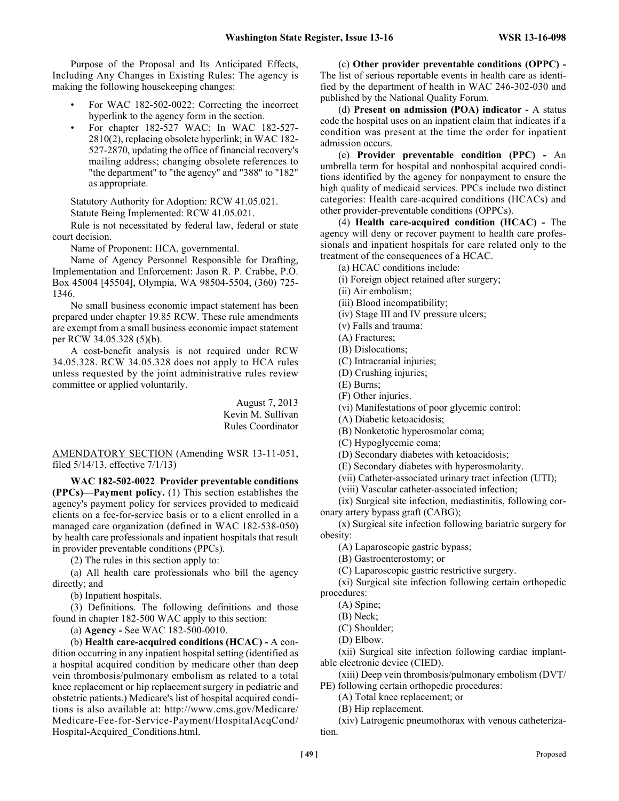Purpose of the Proposal and Its Anticipated Effects, Including Any Changes in Existing Rules: The agency is making the following housekeeping changes:

- For WAC 182-502-0022: Correcting the incorrect hyperlink to the agency form in the section.
- For chapter 182-527 WAC: In WAC 182-527- 2810(2), replacing obsolete hyperlink; in WAC 182- 527-2870, updating the office of financial recovery's mailing address; changing obsolete references to "the department" to "the agency" and "388" to "182" as appropriate.

Statutory Authority for Adoption: RCW 41.05.021. Statute Being Implemented: RCW 41.05.021.

Rule is not necessitated by federal law, federal or state court decision.

Name of Proponent: HCA, governmental.

Name of Agency Personnel Responsible for Drafting, Implementation and Enforcement: Jason R. P. Crabbe, P.O. Box 45004 [45504], Olympia, WA 98504-5504, (360) 725- 1346.

No small business economic impact statement has been prepared under chapter 19.85 RCW. These rule amendments are exempt from a small business economic impact statement per RCW 34.05.328 (5)(b).

A cost-benefit analysis is not required under RCW 34.05.328. RCW 34.05.328 does not apply to HCA rules unless requested by the joint administrative rules review committee or applied voluntarily.

> August 7, 2013 Kevin M. Sullivan Rules Coordinator

AMENDATORY SECTION (Amending WSR 13-11-051, filed 5/14/13, effective 7/1/13)

**WAC 182-502-0022 Provider preventable conditions (PPCs)—Payment policy.** (1) This section establishes the agency's payment policy for services provided to medicaid clients on a fee-for-service basis or to a client enrolled in a managed care organization (defined in WAC 182-538-050) by health care professionals and inpatient hospitals that result in provider preventable conditions (PPCs).

(2) The rules in this section apply to:

(a) All health care professionals who bill the agency directly; and

(b) Inpatient hospitals.

(3) Definitions. The following definitions and those found in chapter 182-500 WAC apply to this section:

(a) **Agency -** See WAC 182-500-0010.

(b) **Health care-acquired conditions (HCAC) -** A condition occurring in any inpatient hospital setting (identified as a hospital acquired condition by medicare other than deep vein thrombosis/pulmonary embolism as related to a total knee replacement or hip replacement surgery in pediatric and obstetric patients.) Medicare's list of hospital acquired conditions is also available at: http://www.cms.gov/Medicare/ Medicare-Fee-for-Service-Payment/HospitalAcqCond/ Hospital-Acquired\_Conditions.html.

(c) **Other provider preventable conditions (OPPC) -**  The list of serious reportable events in health care as identified by the department of health in WAC 246-302-030 and published by the National Quality Forum.

(d) **Present on admission (POA) indicator -** A status code the hospital uses on an inpatient claim that indicates if a condition was present at the time the order for inpatient admission occurs.

(e) **Provider preventable condition (PPC) -** An umbrella term for hospital and nonhospital acquired conditions identified by the agency for nonpayment to ensure the high quality of medicaid services. PPCs include two distinct categories: Health care-acquired conditions (HCACs) and other provider-preventable conditions (OPPCs).

(4) **Health care-acquired condition (HCAC) -** The agency will deny or recover payment to health care professionals and inpatient hospitals for care related only to the treatment of the consequences of a HCAC.

(a) HCAC conditions include:

(i) Foreign object retained after surgery;

(ii) Air embolism;

(iii) Blood incompatibility;

(iv) Stage III and IV pressure ulcers;

(v) Falls and trauma:

(A) Fractures;

(B) Dislocations;

(C) Intracranial injuries;

(D) Crushing injuries;

(E) Burns;

(F) Other injuries.

(vi) Manifestations of poor glycemic control:

(A) Diabetic ketoacidosis;

(B) Nonketotic hyperosmolar coma;

(C) Hypoglycemic coma;

(D) Secondary diabetes with ketoacidosis;

(E) Secondary diabetes with hyperosmolarity.

(vii) Catheter-associated urinary tract infection (UTI);

(viii) Vascular catheter-associated infection;

(ix) Surgical site infection, mediastinitis, following coronary artery bypass graft (CABG);

(x) Surgical site infection following bariatric surgery for obesity:

(A) Laparoscopic gastric bypass;

(B) Gastroenterostomy; or

(C) Laparoscopic gastric restrictive surgery.

(xi) Surgical site infection following certain orthopedic procedures:

(A) Spine;

(B) Neck;

(C) Shoulder;

(D) Elbow.

(xii) Surgical site infection following cardiac implantable electronic device (CIED).

(xiii) Deep vein thrombosis/pulmonary embolism (DVT/ PE) following certain orthopedic procedures:

(A) Total knee replacement; or

(B) Hip replacement.

(xiv) Latrogenic pneumothorax with venous catheterization.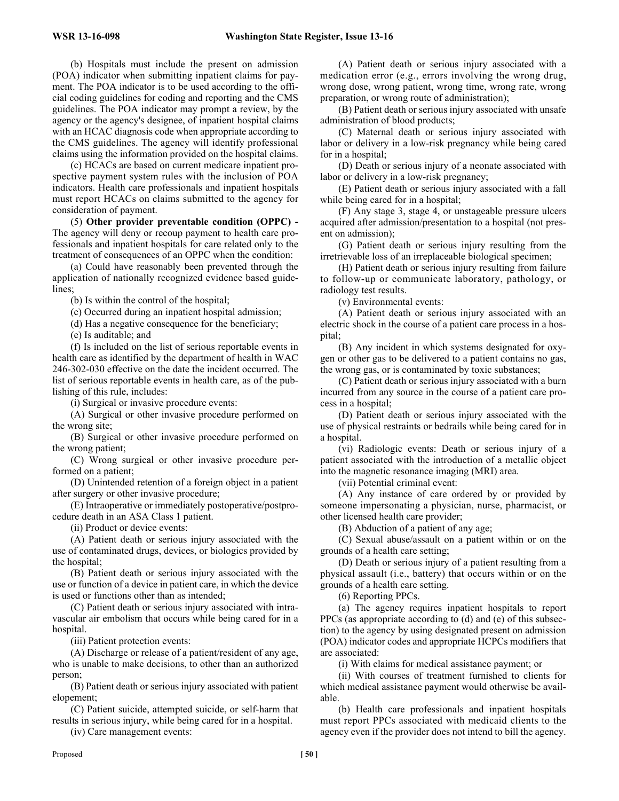(b) Hospitals must include the present on admission (POA) indicator when submitting inpatient claims for payment. The POA indicator is to be used according to the official coding guidelines for coding and reporting and the CMS guidelines. The POA indicator may prompt a review, by the agency or the agency's designee, of inpatient hospital claims with an HCAC diagnosis code when appropriate according to the CMS guidelines. The agency will identify professional claims using the information provided on the hospital claims.

(c) HCACs are based on current medicare inpatient prospective payment system rules with the inclusion of POA indicators. Health care professionals and inpatient hospitals must report HCACs on claims submitted to the agency for consideration of payment.

(5) **Other provider preventable condition (OPPC) -**  The agency will deny or recoup payment to health care professionals and inpatient hospitals for care related only to the treatment of consequences of an OPPC when the condition:

(a) Could have reasonably been prevented through the application of nationally recognized evidence based guidelines;

(b) Is within the control of the hospital;

(c) Occurred during an inpatient hospital admission;

(d) Has a negative consequence for the beneficiary;

(e) Is auditable; and

(f) Is included on the list of serious reportable events in health care as identified by the department of health in WAC 246-302-030 effective on the date the incident occurred. The list of serious reportable events in health care, as of the publishing of this rule, includes:

(i) Surgical or invasive procedure events:

(A) Surgical or other invasive procedure performed on the wrong site;

(B) Surgical or other invasive procedure performed on the wrong patient;

(C) Wrong surgical or other invasive procedure performed on a patient;

(D) Unintended retention of a foreign object in a patient after surgery or other invasive procedure;

(E) Intraoperative or immediately postoperative/postprocedure death in an ASA Class 1 patient.

(ii) Product or device events:

(A) Patient death or serious injury associated with the use of contaminated drugs, devices, or biologics provided by the hospital;

(B) Patient death or serious injury associated with the use or function of a device in patient care, in which the device is used or functions other than as intended;

(C) Patient death or serious injury associated with intravascular air embolism that occurs while being cared for in a hospital.

(iii) Patient protection events:

(A) Discharge or release of a patient/resident of any age, who is unable to make decisions, to other than an authorized person;

(B) Patient death or serious injury associated with patient elopement;

(C) Patient suicide, attempted suicide, or self-harm that results in serious injury, while being cared for in a hospital.

(iv) Care management events:

(A) Patient death or serious injury associated with a medication error (e.g., errors involving the wrong drug, wrong dose, wrong patient, wrong time, wrong rate, wrong preparation, or wrong route of administration);

(B) Patient death or serious injury associated with unsafe administration of blood products;

(C) Maternal death or serious injury associated with labor or delivery in a low-risk pregnancy while being cared for in a hospital;

(D) Death or serious injury of a neonate associated with labor or delivery in a low-risk pregnancy;

(E) Patient death or serious injury associated with a fall while being cared for in a hospital;

(F) Any stage 3, stage 4, or unstageable pressure ulcers acquired after admission/presentation to a hospital (not present on admission);

(G) Patient death or serious injury resulting from the irretrievable loss of an irreplaceable biological specimen;

(H) Patient death or serious injury resulting from failure to follow-up or communicate laboratory, pathology, or radiology test results.

(v) Environmental events:

(A) Patient death or serious injury associated with an electric shock in the course of a patient care process in a hospital;

(B) Any incident in which systems designated for oxygen or other gas to be delivered to a patient contains no gas, the wrong gas, or is contaminated by toxic substances;

(C) Patient death or serious injury associated with a burn incurred from any source in the course of a patient care process in a hospital;

(D) Patient death or serious injury associated with the use of physical restraints or bedrails while being cared for in a hospital.

(vi) Radiologic events: Death or serious injury of a patient associated with the introduction of a metallic object into the magnetic resonance imaging (MRI) area.

(vii) Potential criminal event:

(A) Any instance of care ordered by or provided by someone impersonating a physician, nurse, pharmacist, or other licensed health care provider;

(B) Abduction of a patient of any age;

(C) Sexual abuse/assault on a patient within or on the grounds of a health care setting;

(D) Death or serious injury of a patient resulting from a physical assault (i.e., battery) that occurs within or on the grounds of a health care setting.

(6) Reporting PPCs.

(a) The agency requires inpatient hospitals to report PPCs (as appropriate according to (d) and (e) of this subsection) to the agency by using designated present on admission (POA) indicator codes and appropriate HCPCs modifiers that are associated:

(i) With claims for medical assistance payment; or

(ii) With courses of treatment furnished to clients for which medical assistance payment would otherwise be available.

(b) Health care professionals and inpatient hospitals must report PPCs associated with medicaid clients to the agency even if the provider does not intend to bill the agency.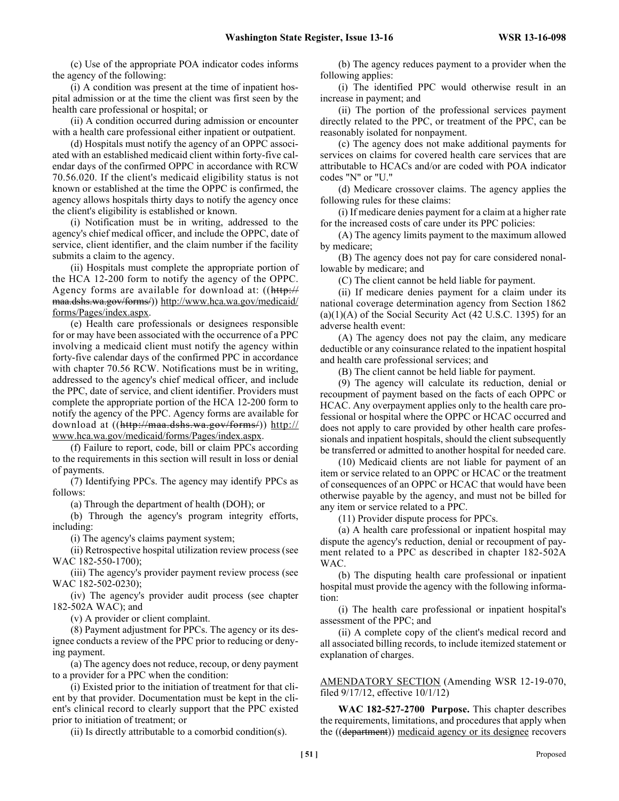(c) Use of the appropriate POA indicator codes informs the agency of the following:

(i) A condition was present at the time of inpatient hospital admission or at the time the client was first seen by the health care professional or hospital; or

(ii) A condition occurred during admission or encounter with a health care professional either inpatient or outpatient.

(d) Hospitals must notify the agency of an OPPC associated with an established medicaid client within forty-five calendar days of the confirmed OPPC in accordance with RCW 70.56.020. If the client's medicaid eligibility status is not known or established at the time the OPPC is confirmed, the agency allows hospitals thirty days to notify the agency once the client's eligibility is established or known.

(i) Notification must be in writing, addressed to the agency's chief medical officer, and include the OPPC, date of service, client identifier, and the claim number if the facility submits a claim to the agency.

(ii) Hospitals must complete the appropriate portion of the HCA 12-200 form to notify the agency of the OPPC. Agency forms are available for download at: ((http:// maa.dshs.wa.gov/forms/)) http://www.hca.wa.gov/medicaid/ forms/Pages/index.aspx.

(e) Health care professionals or designees responsible for or may have been associated with the occurrence of a PPC involving a medicaid client must notify the agency within forty-five calendar days of the confirmed PPC in accordance with chapter 70.56 RCW. Notifications must be in writing, addressed to the agency's chief medical officer, and include the PPC, date of service, and client identifier. Providers must complete the appropriate portion of the HCA 12-200 form to notify the agency of the PPC. Agency forms are available for download at ((http://maa.dshs.wa.gov/forms/)) http:// www.hca.wa.gov/medicaid/forms/Pages/index.aspx.

(f) Failure to report, code, bill or claim PPCs according to the requirements in this section will result in loss or denial of payments.

(7) Identifying PPCs. The agency may identify PPCs as follows:

(a) Through the department of health (DOH); or

(b) Through the agency's program integrity efforts, including:

(i) The agency's claims payment system;

(ii) Retrospective hospital utilization review process (see WAC 182-550-1700);

(iii) The agency's provider payment review process (see WAC 182-502-0230);

(iv) The agency's provider audit process (see chapter 182-502A WAC); and

(v) A provider or client complaint.

(8) Payment adjustment for PPCs. The agency or its designee conducts a review of the PPC prior to reducing or denying payment.

(a) The agency does not reduce, recoup, or deny payment to a provider for a PPC when the condition:

(i) Existed prior to the initiation of treatment for that client by that provider. Documentation must be kept in the client's clinical record to clearly support that the PPC existed prior to initiation of treatment; or

(ii) Is directly attributable to a comorbid condition(s).

(b) The agency reduces payment to a provider when the following applies:

(i) The identified PPC would otherwise result in an increase in payment; and

(ii) The portion of the professional services payment directly related to the PPC, or treatment of the PPC, can be reasonably isolated for nonpayment.

(c) The agency does not make additional payments for services on claims for covered health care services that are attributable to HCACs and/or are coded with POA indicator codes "N" or "U."

(d) Medicare crossover claims. The agency applies the following rules for these claims:

(i) If medicare denies payment for a claim at a higher rate for the increased costs of care under its PPC policies:

(A) The agency limits payment to the maximum allowed by medicare;

(B) The agency does not pay for care considered nonallowable by medicare; and

(C) The client cannot be held liable for payment.

(ii) If medicare denies payment for a claim under its national coverage determination agency from Section 1862  $(a)(1)(A)$  of the Social Security Act (42 U.S.C. 1395) for an adverse health event:

(A) The agency does not pay the claim, any medicare deductible or any coinsurance related to the inpatient hospital and health care professional services; and

(B) The client cannot be held liable for payment.

(9) The agency will calculate its reduction, denial or recoupment of payment based on the facts of each OPPC or HCAC. Any overpayment applies only to the health care professional or hospital where the OPPC or HCAC occurred and does not apply to care provided by other health care professionals and inpatient hospitals, should the client subsequently be transferred or admitted to another hospital for needed care.

(10) Medicaid clients are not liable for payment of an item or service related to an OPPC or HCAC or the treatment of consequences of an OPPC or HCAC that would have been otherwise payable by the agency, and must not be billed for any item or service related to a PPC.

(11) Provider dispute process for PPCs.

(a) A health care professional or inpatient hospital may dispute the agency's reduction, denial or recoupment of payment related to a PPC as described in chapter 182-502A WAC.

(b) The disputing health care professional or inpatient hospital must provide the agency with the following information:

(i) The health care professional or inpatient hospital's assessment of the PPC; and

(ii) A complete copy of the client's medical record and all associated billing records, to include itemized statement or explanation of charges.

AMENDATORY SECTION (Amending WSR 12-19-070, filed 9/17/12, effective 10/1/12)

**WAC 182-527-2700 Purpose.** This chapter describes the requirements, limitations, and procedures that apply when the ((department)) medicaid agency or its designee recovers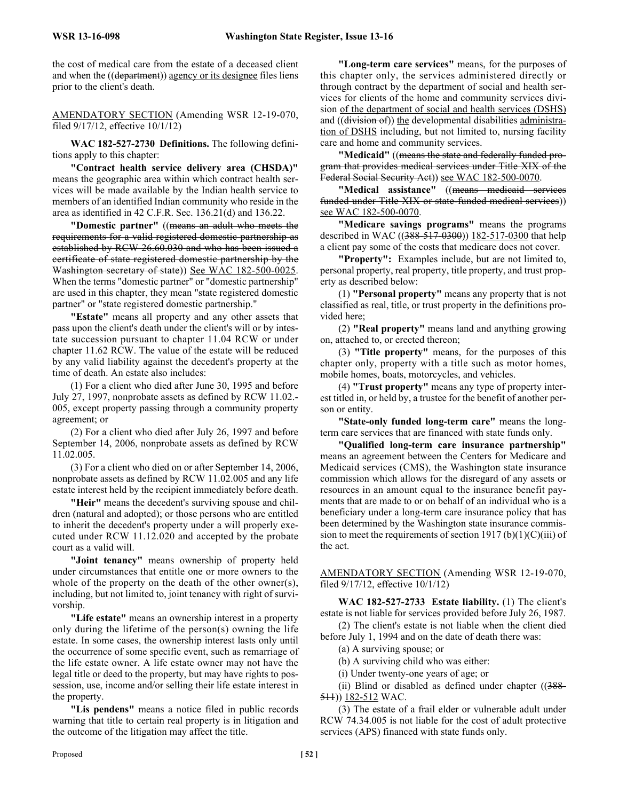the cost of medical care from the estate of a deceased client and when the ((department)) agency or its designee files liens prior to the client's death.

AMENDATORY SECTION (Amending WSR 12-19-070, filed 9/17/12, effective 10/1/12)

**WAC 182-527-2730 Definitions.** The following definitions apply to this chapter:

**"Contract health service delivery area (CHSDA)"** means the geographic area within which contract health services will be made available by the Indian health service to members of an identified Indian community who reside in the area as identified in 42 C.F.R. Sec. 136.21(d) and 136.22.

**"Domestic partner"** ((means an adult who meets the requirements for a valid registered domestic partnership as established by RCW 26.60.030 and who has been issued a certificate of state registered domestic partnership by the Washington secretary of state)) See WAC 182-500-0025. When the terms "domestic partner" or "domestic partnership" are used in this chapter, they mean "state registered domestic partner" or "state registered domestic partnership."

**"Estate"** means all property and any other assets that pass upon the client's death under the client's will or by intestate succession pursuant to chapter 11.04 RCW or under chapter 11.62 RCW. The value of the estate will be reduced by any valid liability against the decedent's property at the time of death. An estate also includes:

(1) For a client who died after June 30, 1995 and before July 27, 1997, nonprobate assets as defined by RCW 11.02.- 005, except property passing through a community property agreement; or

(2) For a client who died after July 26, 1997 and before September 14, 2006, nonprobate assets as defined by RCW 11.02.005.

(3) For a client who died on or after September 14, 2006, nonprobate assets as defined by RCW 11.02.005 and any life estate interest held by the recipient immediately before death.

**"Heir"** means the decedent's surviving spouse and children (natural and adopted); or those persons who are entitled to inherit the decedent's property under a will properly executed under RCW 11.12.020 and accepted by the probate court as a valid will.

**"Joint tenancy"** means ownership of property held under circumstances that entitle one or more owners to the whole of the property on the death of the other owner(s), including, but not limited to, joint tenancy with right of survivorship.

**"Life estate"** means an ownership interest in a property only during the lifetime of the person(s) owning the life estate. In some cases, the ownership interest lasts only until the occurrence of some specific event, such as remarriage of the life estate owner. A life estate owner may not have the legal title or deed to the property, but may have rights to possession, use, income and/or selling their life estate interest in the property.

**"Lis pendens"** means a notice filed in public records warning that title to certain real property is in litigation and the outcome of the litigation may affect the title.

**"Long-term care services"** means, for the purposes of this chapter only, the services administered directly or through contract by the department of social and health services for clients of the home and community services division of the department of social and health services (DSHS) and ((division of)) the developmental disabilities administration of DSHS including, but not limited to, nursing facility care and home and community services.

**"Medicaid"** ((means the state and federally funded program that provides medical services under Title XIX of the Federal Social Security Act)) see WAC 182-500-0070.

**"Medical assistance"** ((means medicaid services funded under Title XIX or state-funded medical services)) see WAC 182-500-0070.

**"Medicare savings programs"** means the programs described in WAC ((388-517-0300)) 182-517-0300 that help a client pay some of the costs that medicare does not cover.

**"Property":** Examples include, but are not limited to, personal property, real property, title property, and trust property as described below:

(1) **"Personal property"** means any property that is not classified as real, title, or trust property in the definitions provided here;

(2) **"Real property"** means land and anything growing on, attached to, or erected thereon;

(3) **"Title property"** means, for the purposes of this chapter only, property with a title such as motor homes, mobile homes, boats, motorcycles, and vehicles.

(4) **"Trust property"** means any type of property interest titled in, or held by, a trustee for the benefit of another person or entity.

**"State-only funded long-term care"** means the longterm care services that are financed with state funds only.

**"Qualified long-term care insurance partnership"** means an agreement between the Centers for Medicare and Medicaid services (CMS), the Washington state insurance commission which allows for the disregard of any assets or resources in an amount equal to the insurance benefit payments that are made to or on behalf of an individual who is a beneficiary under a long-term care insurance policy that has been determined by the Washington state insurance commission to meet the requirements of section 1917 (b)(1)(C)(iii) of the act.

AMENDATORY SECTION (Amending WSR 12-19-070, filed 9/17/12, effective 10/1/12)

**WAC 182-527-2733 Estate liability.** (1) The client's estate is not liable for services provided before July 26, 1987.

(2) The client's estate is not liable when the client died before July 1, 1994 and on the date of death there was:

(a) A surviving spouse; or

(b) A surviving child who was either:

(i) Under twenty-one years of age; or

(ii) Blind or disabled as defined under chapter  $((388 -$ 511)) 182-512 WAC.

(3) The estate of a frail elder or vulnerable adult under RCW 74.34.005 is not liable for the cost of adult protective services (APS) financed with state funds only.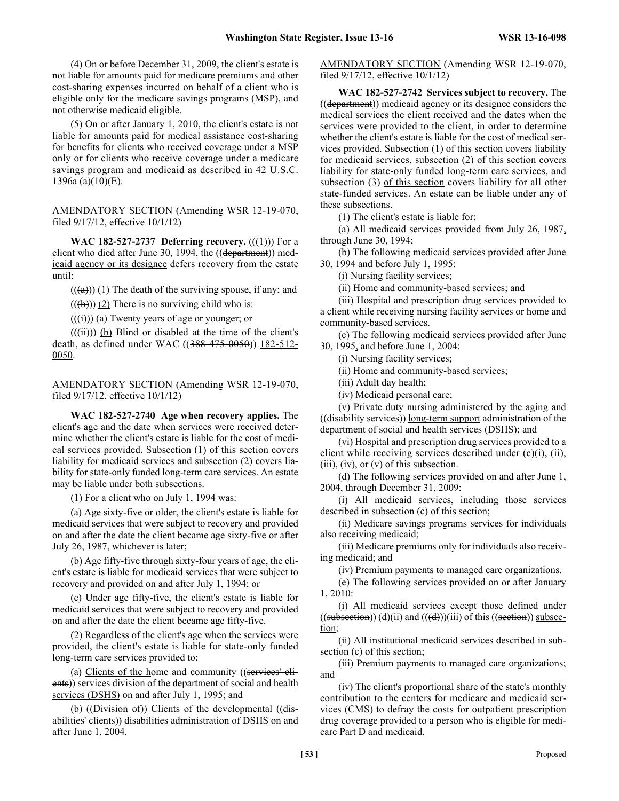(4) On or before December 31, 2009, the client's estate is not liable for amounts paid for medicare premiums and other cost-sharing expenses incurred on behalf of a client who is eligible only for the medicare savings programs (MSP), and not otherwise medicaid eligible.

(5) On or after January 1, 2010, the client's estate is not liable for amounts paid for medical assistance cost-sharing for benefits for clients who received coverage under a MSP only or for clients who receive coverage under a medicare savings program and medicaid as described in 42 U.S.C. 1396a (a)(10)(E).

AMENDATORY SECTION (Amending WSR 12-19-070, filed 9/17/12, effective 10/1/12)

**WAC 182-527-2737 Deferring recovery.**  $((\text{(+)}))$  For a client who died after June 30, 1994, the  $((\text{department})) \text{ med-}$ icaid agency or its designee defers recovery from the estate until:

 $((a))$  (1) The death of the surviving spouse, if any; and

 $((\text{(b)}))$  (2) There is no surviving child who is:

 $((\overrightarrow{(i)}))$  (a) Twenty years of age or younger; or

 $((\overrightarrow{ii}))$  (b) Blind or disabled at the time of the client's death, as defined under WAC ((388-475-0050)) 182-512-0050.

AMENDATORY SECTION (Amending WSR 12-19-070, filed 9/17/12, effective 10/1/12)

**WAC 182-527-2740 Age when recovery applies.** The client's age and the date when services were received determine whether the client's estate is liable for the cost of medical services provided. Subsection (1) of this section covers liability for medicaid services and subsection (2) covers liability for state-only funded long-term care services. An estate may be liable under both subsections.

(1) For a client who on July 1, 1994 was:

(a) Age sixty-five or older, the client's estate is liable for medicaid services that were subject to recovery and provided on and after the date the client became age sixty-five or after July 26, 1987, whichever is later;

(b) Age fifty-five through sixty-four years of age, the client's estate is liable for medicaid services that were subject to recovery and provided on and after July 1, 1994; or

(c) Under age fifty-five, the client's estate is liable for medicaid services that were subject to recovery and provided on and after the date the client became age fifty-five.

(2) Regardless of the client's age when the services were provided, the client's estate is liable for state-only funded long-term care services provided to:

(a) Clients of the home and community ((services' elients)) services division of the department of social and health services (DSHS) on and after July 1, 1995; and

(b)  $((\overline{Division\ \ of})$  Clients of the developmental  $((\overline{dis}$ abilities' clients)) disabilities administration of DSHS on and after June 1, 2004.

AMENDATORY SECTION (Amending WSR 12-19-070, filed 9/17/12, effective 10/1/12)

**WAC 182-527-2742 Services subject to recovery.** The ((department)) medicaid agency or its designee considers the medical services the client received and the dates when the services were provided to the client, in order to determine whether the client's estate is liable for the cost of medical services provided. Subsection (1) of this section covers liability for medicaid services, subsection (2) of this section covers liability for state-only funded long-term care services, and subsection (3) of this section covers liability for all other state-funded services. An estate can be liable under any of these subsections.

(1) The client's estate is liable for:

(a) All medicaid services provided from July 26, 1987, through June 30, 1994;

(b) The following medicaid services provided after June 30, 1994 and before July 1, 1995:

(i) Nursing facility services;

(ii) Home and community-based services; and

(iii) Hospital and prescription drug services provided to a client while receiving nursing facility services or home and community-based services.

(c) The following medicaid services provided after June 30, 1995, and before June 1, 2004:

(i) Nursing facility services;

(ii) Home and community-based services;

(iii) Adult day health;

(iv) Medicaid personal care;

(v) Private duty nursing administered by the aging and ((disability services)) long-term support administration of the department of social and health services (DSHS); and

(vi) Hospital and prescription drug services provided to a client while receiving services described under (c)(i), (ii),  $(iii)$ ,  $(iv)$ , or  $(v)$  of this subsection.

(d) The following services provided on and after June 1, 2004, through December 31, 2009:

(i) All medicaid services, including those services described in subsection (c) of this section;

(ii) Medicare savings programs services for individuals also receiving medicaid;

(iii) Medicare premiums only for individuals also receiving medicaid; and

(iv) Premium payments to managed care organizations.

(e) The following services provided on or after January 1, 2010:

(i) All medicaid services except those defined under  $((subsection))$   $(d)(ii)$  and  $((d))$  $(iii)$  of this  $((section))$  subsection;

(ii) All institutional medicaid services described in subsection (c) of this section;

(iii) Premium payments to managed care organizations; and

(iv) The client's proportional share of the state's monthly contribution to the centers for medicare and medicaid services (CMS) to defray the costs for outpatient prescription drug coverage provided to a person who is eligible for medicare Part D and medicaid.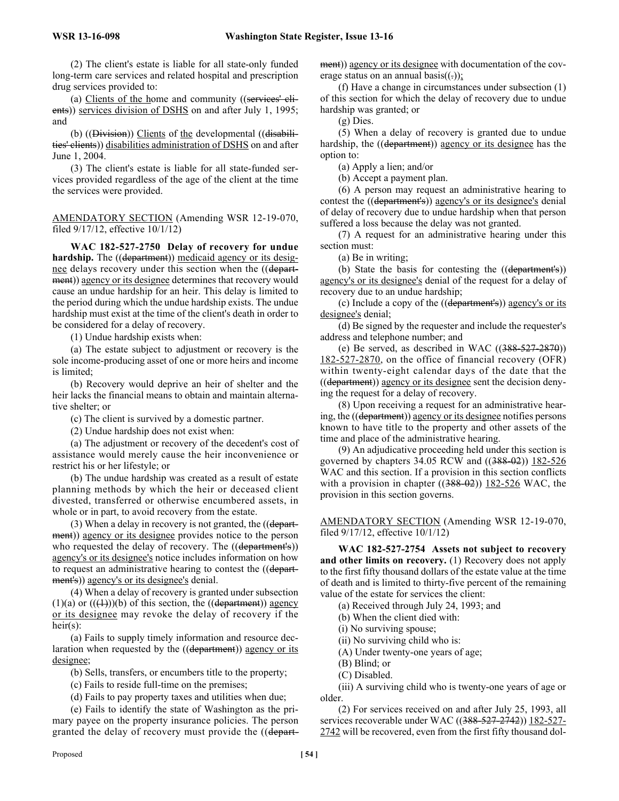(2) The client's estate is liable for all state-only funded long-term care services and related hospital and prescription drug services provided to:

(a) Clients of the home and community ((services' clients)) services division of DSHS on and after July 1, 1995; and

(b) ((Division)) Clients of the developmental ((disabilities' clients)) disabilities administration of DSHS on and after June 1, 2004.

(3) The client's estate is liable for all state-funded services provided regardless of the age of the client at the time the services were provided.

AMENDATORY SECTION (Amending WSR 12-19-070, filed 9/17/12, effective 10/1/12)

**WAC 182-527-2750 Delay of recovery for undue hardship.** The ((department)) medicaid agency or its designee delays recovery under this section when the ((department)) agency or its designee determines that recovery would cause an undue hardship for an heir. This delay is limited to the period during which the undue hardship exists. The undue hardship must exist at the time of the client's death in order to be considered for a delay of recovery.

(1) Undue hardship exists when:

(a) The estate subject to adjustment or recovery is the sole income-producing asset of one or more heirs and income is limited;

(b) Recovery would deprive an heir of shelter and the heir lacks the financial means to obtain and maintain alternative shelter; or

(c) The client is survived by a domestic partner.

(2) Undue hardship does not exist when:

(a) The adjustment or recovery of the decedent's cost of assistance would merely cause the heir inconvenience or restrict his or her lifestyle; or

(b) The undue hardship was created as a result of estate planning methods by which the heir or deceased client divested, transferred or otherwise encumbered assets, in whole or in part, to avoid recovery from the estate.

(3) When a delay in recovery is not granted, the ((department)) agency or its designee provides notice to the person who requested the delay of recovery. The ((department's)) agency's or its designee's notice includes information on how to request an administrative hearing to contest the ((department's)) agency's or its designee's denial.

(4) When a delay of recovery is granted under subsection (1)(a) or  $((\text{+)})$ (b) of this section, the ((department)) agency or its designee may revoke the delay of recovery if the heir $(s)$ :

(a) Fails to supply timely information and resource declaration when requested by the ((department)) agency or its designee;

(b) Sells, transfers, or encumbers title to the property;

(c) Fails to reside full-time on the premises;

(d) Fails to pay property taxes and utilities when due;

(e) Fails to identify the state of Washington as the primary payee on the property insurance policies. The person granted the delay of recovery must provide the ((department)) agency or its designee with documentation of the coverage status on an annual basis( $(.))$ ;

(f) Have a change in circumstances under subsection (1) of this section for which the delay of recovery due to undue hardship was granted; or

(g) Dies.

(5) When a delay of recovery is granted due to undue hardship, the ((department)) agency or its designee has the option to:

(a) Apply a lien; and/or

(b) Accept a payment plan.

(6) A person may request an administrative hearing to contest the ((department's)) agency's or its designee's denial of delay of recovery due to undue hardship when that person suffered a loss because the delay was not granted.

(7) A request for an administrative hearing under this section must:

(a) Be in writing;

(b) State the basis for contesting the ((department's)) agency's or its designee's denial of the request for a delay of recovery due to an undue hardship;

(c) Include a copy of the ((department's)) agency's or its designee's denial;

(d) Be signed by the requester and include the requester's address and telephone number; and

(e) Be served, as described in WAC  $((388-527-2870))$ 182-527-2870, on the office of financial recovery (OFR) within twenty-eight calendar days of the date that the ((department)) agency or its designee sent the decision denying the request for a delay of recovery.

(8) Upon receiving a request for an administrative hearing, the ((department)) agency or its designee notifies persons known to have title to the property and other assets of the time and place of the administrative hearing.

(9) An adjudicative proceeding held under this section is governed by chapters 34.05 RCW and ((388-02)) 182-526 WAC and this section. If a provision in this section conflicts with a provision in chapter  $((388-02))$  182-526 WAC, the provision in this section governs.

AMENDATORY SECTION (Amending WSR 12-19-070, filed 9/17/12, effective 10/1/12)

**WAC 182-527-2754 Assets not subject to recovery and other limits on recovery.** (1) Recovery does not apply to the first fifty thousand dollars of the estate value at the time of death and is limited to thirty-five percent of the remaining value of the estate for services the client:

(a) Received through July 24, 1993; and

(b) When the client died with:

(i) No surviving spouse;

(ii) No surviving child who is:

(A) Under twenty-one years of age;

(B) Blind; or

(C) Disabled.

(iii) A surviving child who is twenty-one years of age or older.

(2) For services received on and after July 25, 1993, all services recoverable under WAC ((388-527-2742)) 182-527-2742 will be recovered, even from the first fifty thousand dol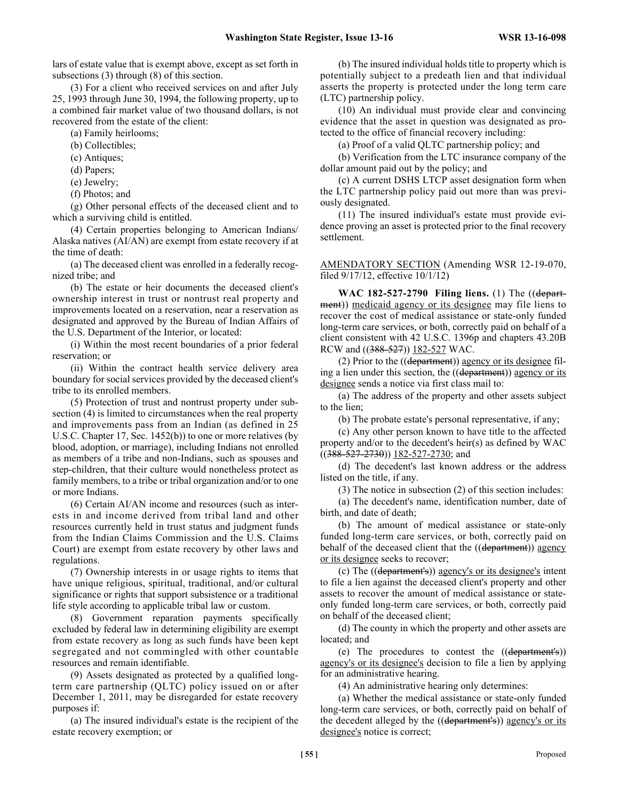lars of estate value that is exempt above, except as set forth in subsections (3) through (8) of this section.

(3) For a client who received services on and after July 25, 1993 through June 30, 1994, the following property, up to a combined fair market value of two thousand dollars, is not recovered from the estate of the client:

(a) Family heirlooms;

(b) Collectibles;

(c) Antiques;

(d) Papers;

(e) Jewelry;

(f) Photos; and

(g) Other personal effects of the deceased client and to which a surviving child is entitled.

(4) Certain properties belonging to American Indians/ Alaska natives (AI/AN) are exempt from estate recovery if at the time of death:

(a) The deceased client was enrolled in a federally recognized tribe; and

(b) The estate or heir documents the deceased client's ownership interest in trust or nontrust real property and improvements located on a reservation, near a reservation as designated and approved by the Bureau of Indian Affairs of the U.S. Department of the Interior, or located:

(i) Within the most recent boundaries of a prior federal reservation; or

(ii) Within the contract health service delivery area boundary for social services provided by the deceased client's tribe to its enrolled members.

(5) Protection of trust and nontrust property under subsection (4) is limited to circumstances when the real property and improvements pass from an Indian (as defined in 25 U.S.C. Chapter 17, Sec. 1452(b)) to one or more relatives (by blood, adoption, or marriage), including Indians not enrolled as members of a tribe and non-Indians, such as spouses and step-children, that their culture would nonetheless protect as family members, to a tribe or tribal organization and/or to one or more Indians.

(6) Certain AI/AN income and resources (such as interests in and income derived from tribal land and other resources currently held in trust status and judgment funds from the Indian Claims Commission and the U.S. Claims Court) are exempt from estate recovery by other laws and regulations.

(7) Ownership interests in or usage rights to items that have unique religious, spiritual, traditional, and/or cultural significance or rights that support subsistence or a traditional life style according to applicable tribal law or custom.

(8) Government reparation payments specifically excluded by federal law in determining eligibility are exempt from estate recovery as long as such funds have been kept segregated and not commingled with other countable resources and remain identifiable.

(9) Assets designated as protected by a qualified longterm care partnership (QLTC) policy issued on or after December 1, 2011, may be disregarded for estate recovery purposes if:

(a) The insured individual's estate is the recipient of the estate recovery exemption; or

(b) The insured individual holds title to property which is potentially subject to a predeath lien and that individual asserts the property is protected under the long term care (LTC) partnership policy.

(10) An individual must provide clear and convincing evidence that the asset in question was designated as protected to the office of financial recovery including:

(a) Proof of a valid QLTC partnership policy; and

(b) Verification from the LTC insurance company of the dollar amount paid out by the policy; and

(c) A current DSHS LTCP asset designation form when the LTC partnership policy paid out more than was previously designated.

(11) The insured individual's estate must provide evidence proving an asset is protected prior to the final recovery settlement.

AMENDATORY SECTION (Amending WSR 12-19-070, filed 9/17/12, effective 10/1/12)

**WAC 182-527-2790 Filing liens.** (1) The ((department)) medicaid agency or its designee may file liens to recover the cost of medical assistance or state-only funded long-term care services, or both, correctly paid on behalf of a client consistent with 42 U.S.C. 1396p and chapters 43.20B RCW and ((388-527)) 182-527 WAC.

(2) Prior to the  $((department))$  agency or its designee filing a lien under this section, the ((department)) agency or its designee sends a notice via first class mail to:

(a) The address of the property and other assets subject to the lien;

(b) The probate estate's personal representative, if any;

(c) Any other person known to have title to the affected property and/or to the decedent's heir(s) as defined by WAC  $((388-527-2730))$  182-527-2730; and

(d) The decedent's last known address or the address listed on the title, if any.

(3) The notice in subsection (2) of this section includes:

(a) The decedent's name, identification number, date of birth, and date of death;

(b) The amount of medical assistance or state-only funded long-term care services, or both, correctly paid on behalf of the deceased client that the ((department)) agency or its designee seeks to recover;

(c) The ((department's)) agency's or its designee's intent to file a lien against the deceased client's property and other assets to recover the amount of medical assistance or stateonly funded long-term care services, or both, correctly paid on behalf of the deceased client;

(d) The county in which the property and other assets are located; and

(e) The procedures to contest the ((department's)) agency's or its designee's decision to file a lien by applying for an administrative hearing.

(4) An administrative hearing only determines:

(a) Whether the medical assistance or state-only funded long-term care services, or both, correctly paid on behalf of the decedent alleged by the ((department's)) agency's or its designee's notice is correct;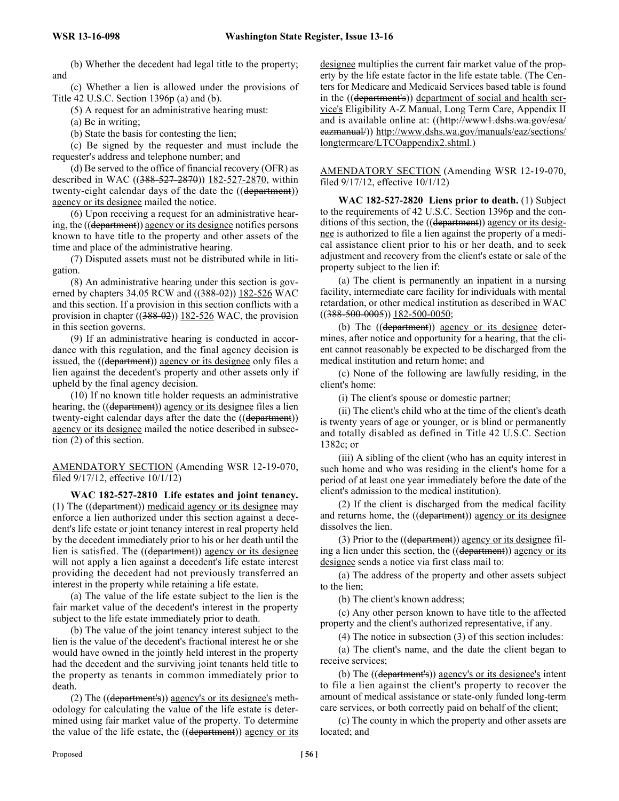(b) Whether the decedent had legal title to the property; and

(c) Whether a lien is allowed under the provisions of Title 42 U.S.C. Section 1396p (a) and (b).

(5) A request for an administrative hearing must:

(a) Be in writing;

(b) State the basis for contesting the lien;

(c) Be signed by the requester and must include the requester's address and telephone number; and

(d) Be served to the office of financial recovery (OFR) as described in WAC ((388-527-2870)) 182-527-2870, within twenty-eight calendar days of the date the ((department)) agency or its designee mailed the notice.

(6) Upon receiving a request for an administrative hearing, the ((department)) agency or its designee notifies persons known to have title to the property and other assets of the time and place of the administrative hearing.

(7) Disputed assets must not be distributed while in litigation.

(8) An administrative hearing under this section is governed by chapters 34.05 RCW and ((388-02)) 182-526 WAC and this section. If a provision in this section conflicts with a provision in chapter ((388-02)) 182-526 WAC, the provision in this section governs.

(9) If an administrative hearing is conducted in accordance with this regulation, and the final agency decision is issued, the ((department)) agency or its designee only files a lien against the decedent's property and other assets only if upheld by the final agency decision.

(10) If no known title holder requests an administrative hearing, the ((department)) agency or its designee files a lien twenty-eight calendar days after the date the ((department)) agency or its designee mailed the notice described in subsection (2) of this section.

AMENDATORY SECTION (Amending WSR 12-19-070, filed 9/17/12, effective 10/1/12)

**WAC 182-527-2810 Life estates and joint tenancy.** (1) The ((department)) medicaid agency or its designee may enforce a lien authorized under this section against a decedent's life estate or joint tenancy interest in real property held by the decedent immediately prior to his or her death until the lien is satisfied. The ((department)) agency or its designee will not apply a lien against a decedent's life estate interest providing the decedent had not previously transferred an interest in the property while retaining a life estate.

(a) The value of the life estate subject to the lien is the fair market value of the decedent's interest in the property subject to the life estate immediately prior to death.

(b) The value of the joint tenancy interest subject to the lien is the value of the decedent's fractional interest he or she would have owned in the jointly held interest in the property had the decedent and the surviving joint tenants held title to the property as tenants in common immediately prior to death.

(2) The ((department's)) agency's or its designee's methodology for calculating the value of the life estate is determined using fair market value of the property. To determine the value of the life estate, the ((department)) agency or its designee multiplies the current fair market value of the property by the life estate factor in the life estate table. (The Centers for Medicare and Medicaid Services based table is found in the ((department's)) department of social and health service's Eligibility A-Z Manual, Long Term Care, Appendix II and is available online at: ((http://www1.dshs.wa.gov/esa/ eazmanual/)) http://www.dshs.wa.gov/manuals/eaz/sections/ longtermcare/LTCOappendix2.shtml.)

AMENDATORY SECTION (Amending WSR 12-19-070, filed 9/17/12, effective 10/1/12)

**WAC 182-527-2820 Liens prior to death.** (1) Subject to the requirements of 42 U.S.C. Section 1396p and the conditions of this section, the ((department)) agency or its designee is authorized to file a lien against the property of a medical assistance client prior to his or her death, and to seek adjustment and recovery from the client's estate or sale of the property subject to the lien if:

(a) The client is permanently an inpatient in a nursing facility, intermediate care facility for individuals with mental retardation, or other medical institution as described in WAC ((388-500-0005)) 182-500-0050;

(b) The ((department)) agency or its designee determines, after notice and opportunity for a hearing, that the client cannot reasonably be expected to be discharged from the medical institution and return home; and

(c) None of the following are lawfully residing, in the client's home:

(i) The client's spouse or domestic partner;

(ii) The client's child who at the time of the client's death is twenty years of age or younger, or is blind or permanently and totally disabled as defined in Title 42 U.S.C. Section 1382c; or

(iii) A sibling of the client (who has an equity interest in such home and who was residing in the client's home for a period of at least one year immediately before the date of the client's admission to the medical institution).

(2) If the client is discharged from the medical facility and returns home, the ((department)) agency or its designee dissolves the lien.

(3) Prior to the  $((\text{department}))$  agency or its designee filing a lien under this section, the ((department)) agency or its designee sends a notice via first class mail to:

(a) The address of the property and other assets subject to the lien;

(b) The client's known address;

(c) Any other person known to have title to the affected property and the client's authorized representative, if any.

(4) The notice in subsection (3) of this section includes:

(a) The client's name, and the date the client began to receive services;

(b) The ((department's)) agency's or its designee's intent to file a lien against the client's property to recover the amount of medical assistance or state-only funded long-term care services, or both correctly paid on behalf of the client;

(c) The county in which the property and other assets are located; and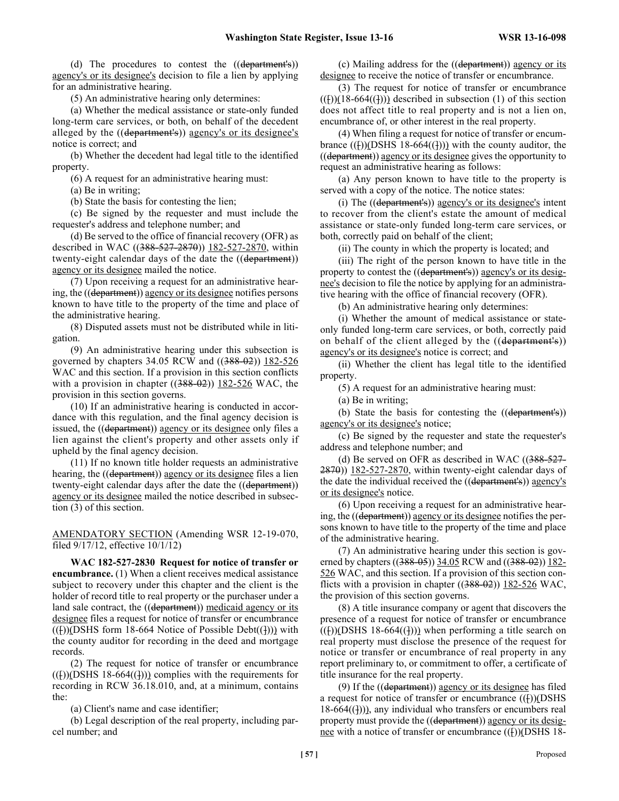(d) The procedures to contest the ((department's)) agency's or its designee's decision to file a lien by applying for an administrative hearing.

(5) An administrative hearing only determines:

(a) Whether the medical assistance or state-only funded long-term care services, or both, on behalf of the decedent alleged by the ((department's)) agency's or its designee's notice is correct; and

(b) Whether the decedent had legal title to the identified property.

(6) A request for an administrative hearing must:

(a) Be in writing;

(b) State the basis for contesting the lien;

(c) Be signed by the requester and must include the requester's address and telephone number; and

(d) Be served to the office of financial recovery (OFR) as described in WAC ((388-527-2870)) 182-527-2870, within twenty-eight calendar days of the date the ((department)) agency or its designee mailed the notice.

(7) Upon receiving a request for an administrative hearing, the ((department)) agency or its designee notifies persons known to have title to the property of the time and place of the administrative hearing.

(8) Disputed assets must not be distributed while in litigation.

(9) An administrative hearing under this subsection is governed by chapters 34.05 RCW and ((388-02)) 182-526 WAC and this section. If a provision in this section conflicts with a provision in chapter  $((388-02))$  182-526 WAC, the provision in this section governs.

(10) If an administrative hearing is conducted in accordance with this regulation, and the final agency decision is issued, the ((department)) agency or its designee only files a lien against the client's property and other assets only if upheld by the final agency decision.

(11) If no known title holder requests an administrative hearing, the ((department)) agency or its designee files a lien twenty-eight calendar days after the date the ((department)) agency or its designee mailed the notice described in subsection (3) of this section.

AMENDATORY SECTION (Amending WSR 12-19-070, filed 9/17/12, effective 10/1/12)

**WAC 182-527-2830 Request for notice of transfer or encumbrance.** (1) When a client receives medical assistance subject to recovery under this chapter and the client is the holder of record title to real property or the purchaser under a land sale contract, the ((department)) medicaid agency or its designee files a request for notice of transfer or encumbrance  $((f))$ (DSHS form 18-664 Notice of Possible Debt $((f))$ ) with the county auditor for recording in the deed and mortgage records.

(2) The request for notice of transfer or encumbrance  $((f))$ (DSHS 18-664 $((f))$ ) complies with the requirements for recording in RCW 36.18.010, and, at a minimum, contains the:

(a) Client's name and case identifier;

(b) Legal description of the real property, including parcel number; and

(c) Mailing address for the ((department)) agency or its designee to receive the notice of transfer or encumbrance.

(3) The request for notice of transfer or encumbrance  $((f))(18-664((f)))$  described in subsection (1) of this section does not affect title to real property and is not a lien on, encumbrance of, or other interest in the real property.

(4) When filing a request for notice of transfer or encumbrance  $(())$ (DSHS 18-664 $(())$ ) with the county auditor, the ((department)) agency or its designee gives the opportunity to request an administrative hearing as follows:

(a) Any person known to have title to the property is served with a copy of the notice. The notice states:

(i) The ((department's)) agency's or its designee's intent to recover from the client's estate the amount of medical assistance or state-only funded long-term care services, or both, correctly paid on behalf of the client;

(ii) The county in which the property is located; and

(iii) The right of the person known to have title in the property to contest the ((department's)) agency's or its designee's decision to file the notice by applying for an administrative hearing with the office of financial recovery (OFR).

(b) An administrative hearing only determines:

(i) Whether the amount of medical assistance or stateonly funded long-term care services, or both, correctly paid on behalf of the client alleged by the ((department's)) agency's or its designee's notice is correct; and

(ii) Whether the client has legal title to the identified property.

(5) A request for an administrative hearing must:

(a) Be in writing;

(b) State the basis for contesting the ((department's)) agency's or its designee's notice;

(c) Be signed by the requester and state the requester's address and telephone number; and

(d) Be served on OFR as described in WAC  $(388-527 2870$ ))  $182-527-2870$ , within twenty-eight calendar days of the date the individual received the ((department's)) agency's or its designee's notice.

(6) Upon receiving a request for an administrative hearing, the ((department)) agency or its designee notifies the persons known to have title to the property of the time and place of the administrative hearing.

(7) An administrative hearing under this section is governed by chapters ((388-05)) 34.05 RCW and ((388-02)) 182-526 WAC, and this section. If a provision of this section conflicts with a provision in chapter  $((388-02))$  182-526 WAC, the provision of this section governs.

(8) A title insurance company or agent that discovers the presence of a request for notice of transfer or encumbrance  $(())$ (DSHS 18-664 $(())$ ) when performing a title search on real property must disclose the presence of the request for notice or transfer or encumbrance of real property in any report preliminary to, or commitment to offer, a certificate of title insurance for the real property.

(9) If the ((department)) agency or its designee has filed a request for notice of transfer or encumbrance  $((f))$ (DSHS)  $18-664$ ( $(1)$ )), any individual who transfers or encumbers real property must provide the ((department)) agency or its designee with a notice of transfer or encumbrance  $((1))$ (DSHS 18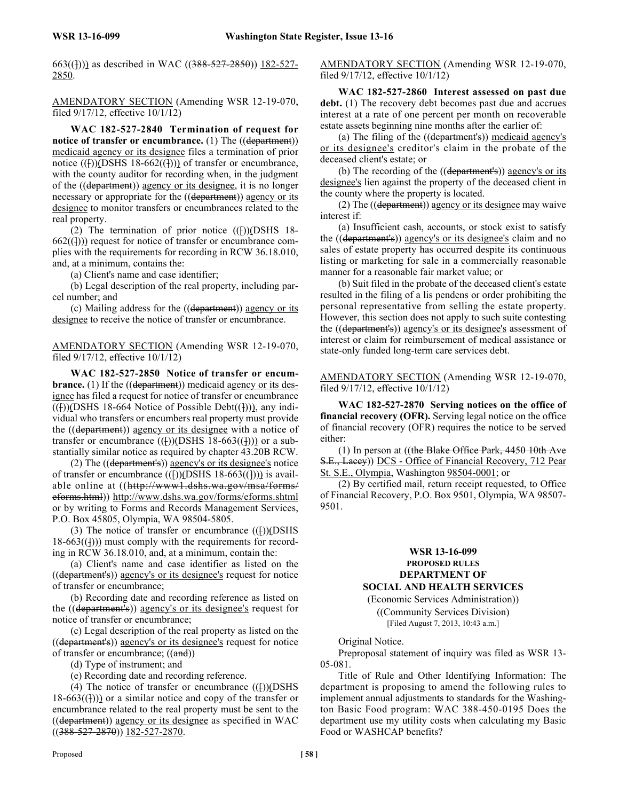663((<del>]</del>))) as described in WAC ((388-527-2850)) 182-527-2850.

AMENDATORY SECTION (Amending WSR 12-19-070, filed 9/17/12, effective 10/1/12)

**WAC 182-527-2840 Termination of request for notice of transfer or encumbrance.** (1) The ((department)) medicaid agency or its designee files a termination of prior notice  $((\dagger))$ (DSHS 18-662 $((\dagger))$ ) of transfer or encumbrance, with the county auditor for recording when, in the judgment of the ((department)) agency or its designee, it is no longer necessary or appropriate for the ((department)) agency or its designee to monitor transfers or encumbrances related to the real property.

(2) The termination of prior notice  $((**[**))$ (DSHS 18- $662((1))$  request for notice of transfer or encumbrance complies with the requirements for recording in RCW 36.18.010, and, at a minimum, contains the:

(a) Client's name and case identifier;

(b) Legal description of the real property, including parcel number; and

(c) Mailing address for the ((department)) agency or its designee to receive the notice of transfer or encumbrance.

AMENDATORY SECTION (Amending WSR 12-19-070, filed 9/17/12, effective 10/1/12)

**WAC 182-527-2850 Notice of transfer or encumbrance.** (1) If the ((department)) medicaid agency or its designee has filed a request for notice of transfer or encumbrance  $((f))$ (DSHS 18-664 Notice of Possible Debt $((f))$ ), any individual who transfers or encumbers real property must provide the ((department)) agency or its designee with a notice of transfer or encumbrance  $((\dagger))$ (DSHS 18-663 $((\dagger))$ ) or a substantially similar notice as required by chapter 43.20B RCW.

(2) The ((department's)) agency's or its designee's notice of transfer or encumbrance  $((\lceil))$ (DSHS 18-663 $((\rceil))$ ) is available online at ((http://www1.dshs.wa.gov/msa/forms/ eforms.html)) http://www.dshs.wa.gov/forms/eforms.shtml or by writing to Forms and Records Management Services, P.O. Box 45805, Olympia, WA 98504-5805.

(3) The notice of transfer or encumbrance  $((f))$ (DSHS)  $18-663$ ( $(1)$ )) must comply with the requirements for recording in RCW 36.18.010, and, at a minimum, contain the:

(a) Client's name and case identifier as listed on the ((department's)) agency's or its designee's request for notice of transfer or encumbrance;

(b) Recording date and recording reference as listed on the ((department's)) agency's or its designee's request for notice of transfer or encumbrance;

(c) Legal description of the real property as listed on the ((department's)) agency's or its designee's request for notice of transfer or encumbrance;  $((and))$ 

(d) Type of instrument; and

(e) Recording date and recording reference.

(4) The notice of transfer or encumbrance  $((f))$ (DSHS  $18-663$ ((1))) or a similar notice and copy of the transfer or encumbrance related to the real property must be sent to the ((department)) agency or its designee as specified in WAC  $((388 - 527 - 2870))$   $182 - 527 - 2870$ .

AMENDATORY SECTION (Amending WSR 12-19-070, filed 9/17/12, effective 10/1/12)

**WAC 182-527-2860 Interest assessed on past due debt.** (1) The recovery debt becomes past due and accrues interest at a rate of one percent per month on recoverable estate assets beginning nine months after the earlier of:

(a) The filing of the ((department's)) medicaid agency's or its designee's creditor's claim in the probate of the deceased client's estate; or

(b) The recording of the ((department's)) agency's or its designee's lien against the property of the deceased client in the county where the property is located.

(2) The ((department)) agency or its designee may waive interest if:

(a) Insufficient cash, accounts, or stock exist to satisfy the ((department's)) agency's or its designee's claim and no sales of estate property has occurred despite its continuous listing or marketing for sale in a commercially reasonable manner for a reasonable fair market value; or

(b) Suit filed in the probate of the deceased client's estate resulted in the filing of a lis pendens or order prohibiting the personal representative from selling the estate property. However, this section does not apply to such suite contesting the ((department's)) agency's or its designee's assessment of interest or claim for reimbursement of medical assistance or state-only funded long-term care services debt.

AMENDATORY SECTION (Amending WSR 12-19-070, filed 9/17/12, effective 10/1/12)

**WAC 182-527-2870 Serving notices on the office of financial recovery (OFR).** Serving legal notice on the office of financial recovery (OFR) requires the notice to be served either:

(1) In person at  $((the Blake Office Park, 4450 10th Ave)$ S.E., Lacey)) DCS - Office of Financial Recovery, 712 Pear St. S.E., Olympia, Washington 98504-0001; or

(2) By certified mail, return receipt requested, to Office of Financial Recovery, P.O. Box 9501, Olympia, WA 98507- 9501.

# **WSR 13-16-099 PROPOSED RULES DEPARTMENT OF**

**SOCIAL AND HEALTH SERVICES**

(Economic Services Administration)) ((Community Services Division) [Filed August 7, 2013, 10:43 a.m.]

Original Notice.

Preproposal statement of inquiry was filed as WSR 13- 05-081.

Title of Rule and Other Identifying Information: The department is proposing to amend the following rules to implement annual adjustments to standards for the Washington Basic Food program: WAC 388-450-0195 Does the department use my utility costs when calculating my Basic Food or WASHCAP benefits?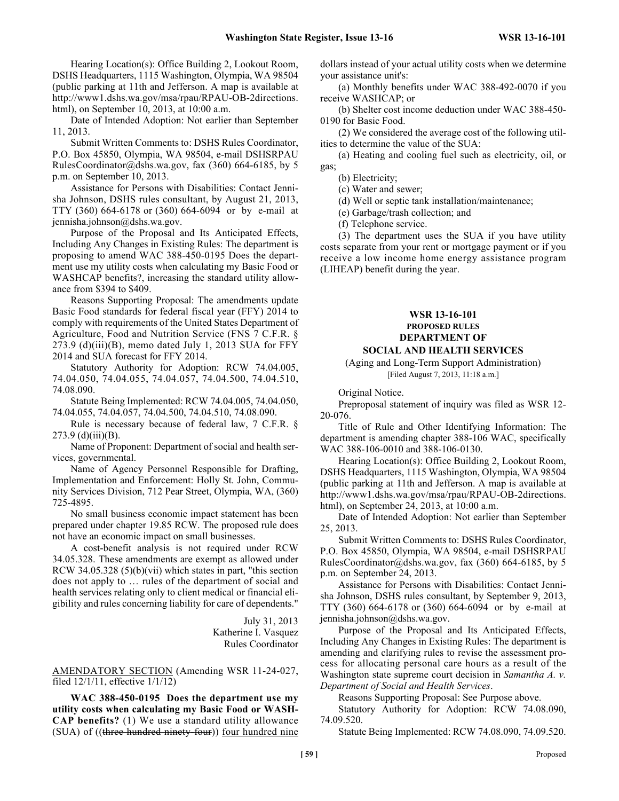Hearing Location(s): Office Building 2, Lookout Room, DSHS Headquarters, 1115 Washington, Olympia, WA 98504 (public parking at 11th and Jefferson. A map is available at http://www1.dshs.wa.gov/msa/rpau/RPAU-OB-2directions. html), on September 10, 2013, at 10:00 a.m.

Date of Intended Adoption: Not earlier than September 11, 2013.

Submit Written Comments to: DSHS Rules Coordinator, P.O. Box 45850, Olympia, WA 98504, e-mail DSHSRPAU RulesCoordinator@dshs.wa.gov, fax (360) 664-6185, by 5 p.m. on September 10, 2013.

Assistance for Persons with Disabilities: Contact Jennisha Johnson, DSHS rules consultant, by August 21, 2013, TTY (360) 664-6178 or (360) 664-6094 or by e-mail at jennisha.johnson@dshs.wa.gov.

Purpose of the Proposal and Its Anticipated Effects, Including Any Changes in Existing Rules: The department is proposing to amend WAC 388-450-0195 Does the department use my utility costs when calculating my Basic Food or WASHCAP benefits?, increasing the standard utility allowance from \$394 to \$409.

Reasons Supporting Proposal: The amendments update Basic Food standards for federal fiscal year (FFY) 2014 to comply with requirements of the United States Department of Agriculture, Food and Nutrition Service (FNS 7 C.F.R. §  $273.9$  (d)(iii)(B), memo dated July 1, 2013 SUA for FFY 2014 and SUA forecast for FFY 2014.

Statutory Authority for Adoption: RCW 74.04.005, 74.04.050, 74.04.055, 74.04.057, 74.04.500, 74.04.510, 74.08.090.

Statute Being Implemented: RCW 74.04.005, 74.04.050, 74.04.055, 74.04.057, 74.04.500, 74.04.510, 74.08.090.

Rule is necessary because of federal law, 7 C.F.R. §  $273.9$  (d)(iii)(B).

Name of Proponent: Department of social and health services, governmental.

Name of Agency Personnel Responsible for Drafting, Implementation and Enforcement: Holly St. John, Community Services Division, 712 Pear Street, Olympia, WA, (360) 725-4895.

No small business economic impact statement has been prepared under chapter 19.85 RCW. The proposed rule does not have an economic impact on small businesses.

A cost-benefit analysis is not required under RCW 34.05.328. These amendments are exempt as allowed under RCW 34.05.328 (5)(b)(vii) which states in part, "this section does not apply to … rules of the department of social and health services relating only to client medical or financial eligibility and rules concerning liability for care of dependents."

> July 31, 2013 Katherine I. Vasquez Rules Coordinator

AMENDATORY SECTION (Amending WSR 11-24-027, filed 12/1/11, effective 1/1/12)

**WAC 388-450-0195 Does the department use my utility costs when calculating my Basic Food or WASH-CAP benefits?** (1) We use a standard utility allowance (SUA) of ((three hundred ninety-four)) four hundred nine dollars instead of your actual utility costs when we determine your assistance unit's:

(a) Monthly benefits under WAC 388-492-0070 if you receive WASHCAP; or

(b) Shelter cost income deduction under WAC 388-450- 0190 for Basic Food.

(2) We considered the average cost of the following utilities to determine the value of the SUA:

(a) Heating and cooling fuel such as electricity, oil, or gas;

(b) Electricity;

(c) Water and sewer;

(d) Well or septic tank installation/maintenance;

(e) Garbage/trash collection; and

(f) Telephone service.

(3) The department uses the SUA if you have utility costs separate from your rent or mortgage payment or if you receive a low income home energy assistance program (LIHEAP) benefit during the year.

#### **WSR 13-16-101 PROPOSED RULES DEPARTMENT OF SOCIAL AND HEALTH SERVICES**

# (Aging and Long-Term Support Administration)

[Filed August 7, 2013, 11:18 a.m.]

Original Notice.

Preproposal statement of inquiry was filed as WSR 12- 20-076.

Title of Rule and Other Identifying Information: The department is amending chapter 388-106 WAC, specifically WAC 388-106-0010 and 388-106-0130.

Hearing Location(s): Office Building 2, Lookout Room, DSHS Headquarters, 1115 Washington, Olympia, WA 98504 (public parking at 11th and Jefferson. A map is available at http://www1.dshs.wa.gov/msa/rpau/RPAU-OB-2directions. html), on September 24, 2013, at 10:00 a.m.

Date of Intended Adoption: Not earlier than September 25, 2013.

Submit Written Comments to: DSHS Rules Coordinator, P.O. Box 45850, Olympia, WA 98504, e-mail DSHSRPAU RulesCoordinator@dshs.wa.gov, fax (360) 664-6185, by 5 p.m. on September 24, 2013.

Assistance for Persons with Disabilities: Contact Jennisha Johnson, DSHS rules consultant, by September 9, 2013, TTY (360) 664-6178 or (360) 664-6094 or by e-mail at jennisha.johnson@dshs.wa.gov.

Purpose of the Proposal and Its Anticipated Effects, Including Any Changes in Existing Rules: The department is amending and clarifying rules to revise the assessment process for allocating personal care hours as a result of the Washington state supreme court decision in *Samantha A. v. Department of Social and Health Services*.

Reasons Supporting Proposal: See Purpose above.

Statutory Authority for Adoption: RCW 74.08.090, 74.09.520.

Statute Being Implemented: RCW 74.08.090, 74.09.520.